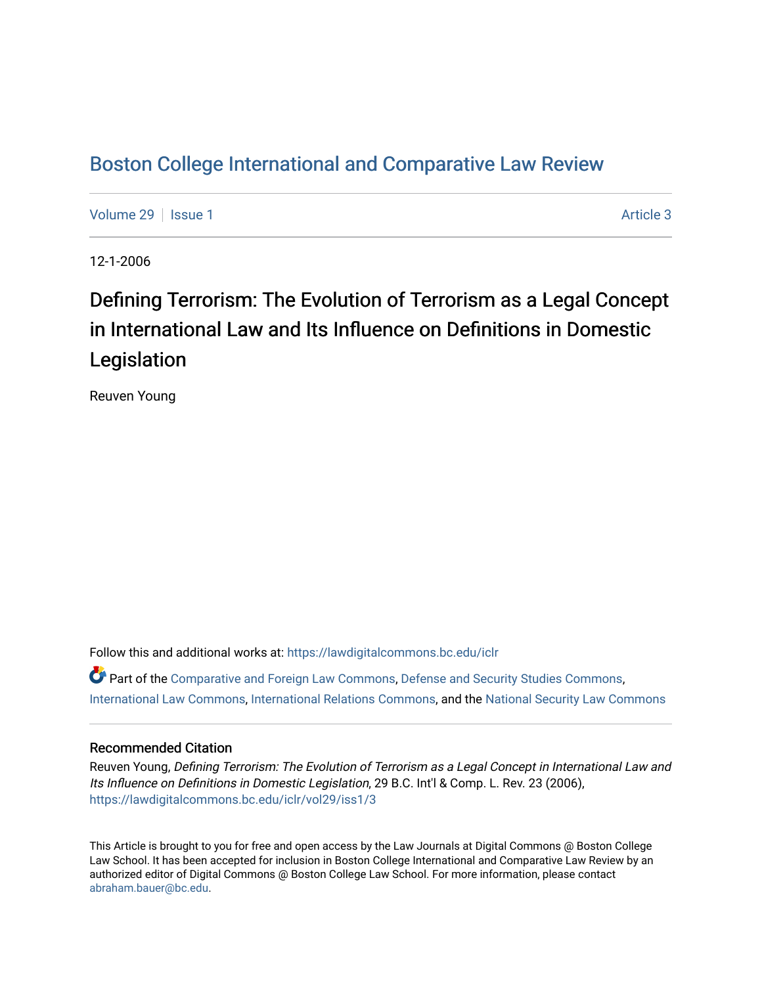## [Boston College International and Comparative Law Review](https://lawdigitalcommons.bc.edu/iclr)

[Volume 29](https://lawdigitalcommons.bc.edu/iclr/vol29) | [Issue 1](https://lawdigitalcommons.bc.edu/iclr/vol29/iss1) Article 3

12-1-2006

# Defining Terrorism: The Evolution of Terrorism as a Legal Concept in International Law and Its Influence on Definitions in Domestic Legislation

Reuven Young

Follow this and additional works at: [https://lawdigitalcommons.bc.edu/iclr](https://lawdigitalcommons.bc.edu/iclr?utm_source=lawdigitalcommons.bc.edu%2Ficlr%2Fvol29%2Fiss1%2F3&utm_medium=PDF&utm_campaign=PDFCoverPages) 

Part of the [Comparative and Foreign Law Commons,](http://network.bepress.com/hgg/discipline/836?utm_source=lawdigitalcommons.bc.edu%2Ficlr%2Fvol29%2Fiss1%2F3&utm_medium=PDF&utm_campaign=PDFCoverPages) [Defense and Security Studies Commons](http://network.bepress.com/hgg/discipline/394?utm_source=lawdigitalcommons.bc.edu%2Ficlr%2Fvol29%2Fiss1%2F3&utm_medium=PDF&utm_campaign=PDFCoverPages), [International Law Commons](http://network.bepress.com/hgg/discipline/609?utm_source=lawdigitalcommons.bc.edu%2Ficlr%2Fvol29%2Fiss1%2F3&utm_medium=PDF&utm_campaign=PDFCoverPages), [International Relations Commons](http://network.bepress.com/hgg/discipline/389?utm_source=lawdigitalcommons.bc.edu%2Ficlr%2Fvol29%2Fiss1%2F3&utm_medium=PDF&utm_campaign=PDFCoverPages), and the [National Security Law Commons](http://network.bepress.com/hgg/discipline/1114?utm_source=lawdigitalcommons.bc.edu%2Ficlr%2Fvol29%2Fiss1%2F3&utm_medium=PDF&utm_campaign=PDFCoverPages)

### Recommended Citation

Reuven Young, Defining Terrorism: The Evolution of Terrorism as a Legal Concept in International Law and Its Influence on Definitions in Domestic Legislation, 29 B.C. Int'l & Comp. L. Rev. 23 (2006), [https://lawdigitalcommons.bc.edu/iclr/vol29/iss1/3](https://lawdigitalcommons.bc.edu/iclr/vol29/iss1/3?utm_source=lawdigitalcommons.bc.edu%2Ficlr%2Fvol29%2Fiss1%2F3&utm_medium=PDF&utm_campaign=PDFCoverPages)

This Article is brought to you for free and open access by the Law Journals at Digital Commons @ Boston College Law School. It has been accepted for inclusion in Boston College International and Comparative Law Review by an authorized editor of Digital Commons @ Boston College Law School. For more information, please contact [abraham.bauer@bc.edu.](mailto:abraham.bauer@bc.edu)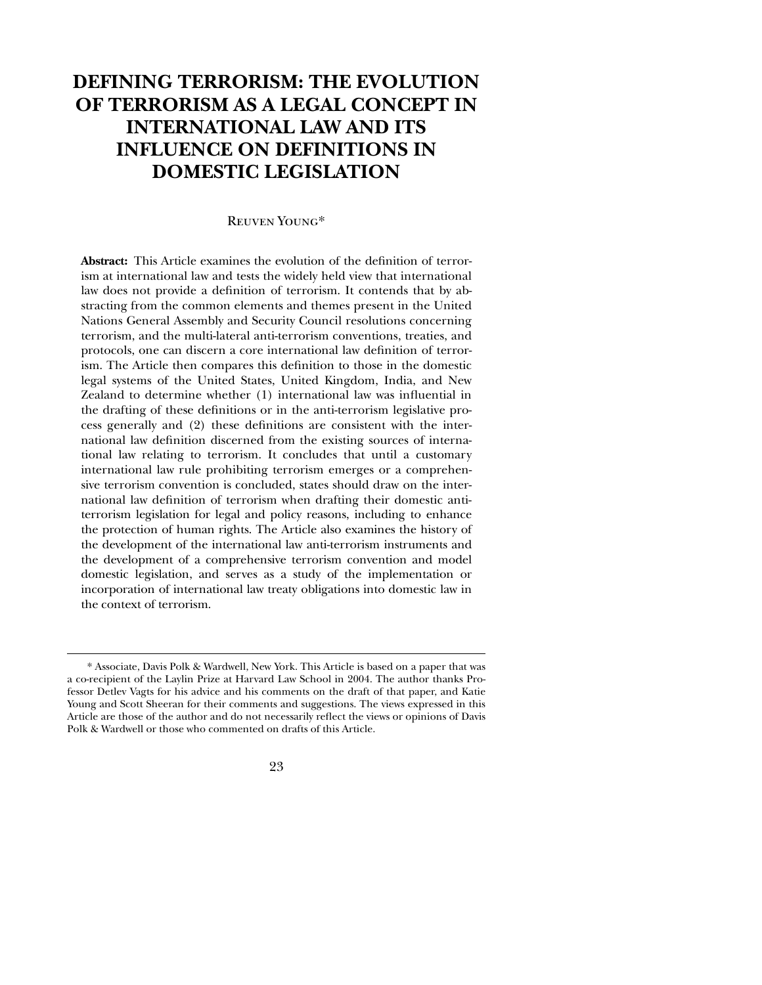### **DEFINING TERRORISM: THE EVOLUTION OF TERRORISM AS A LEGAL CONCEPT IN INTERNATIONAL LAW AND ITS INFLUENCE ON DEFINITIONS IN DOMESTIC LEGISLATION**

#### Reuven Young\*

**Abstract:** This Article examines the evolution of the definition of terrorism at international law and tests the widely held view that international law does not provide a definition of terrorism. It contends that by abstracting from the common elements and themes present in the United Nations General Assembly and Security Council resolutions concerning terrorism, and the multi-lateral anti-terrorism conventions, treaties, and protocols, one can discern a core international law definition of terrorism. The Article then compares this definition to those in the domestic legal systems of the United States, United Kingdom, India, and New Zealand to determine whether (1) international law was influential in the drafting of these definitions or in the anti-terrorism legislative process generally and (2) these definitions are consistent with the international law definition discerned from the existing sources of international law relating to terrorism. It concludes that until a customary international law rule prohibiting terrorism emerges or a comprehensive terrorism convention is concluded, states should draw on the international law definition of terrorism when drafting their domestic antiterrorism legislation for legal and policy reasons, including to enhance the protection of human rights. The Article also examines the history of the development of the international law anti-terrorism instruments and the development of a comprehensive terrorism convention and model domestic legislation, and serves as a study of the implementation or incorporation of international law treaty obligations into domestic law in the context of terrorism.

 $\overline{a}$ 

23

<sup>\*</sup> Associate, Davis Polk & Wardwell, New York. This Article is based on a paper that was a co-recipient of the Laylin Prize at Harvard Law School in 2004. The author thanks Professor Detlev Vagts for his advice and his comments on the draft of that paper, and Katie Young and Scott Sheeran for their comments and suggestions. The views expressed in this Article are those of the author and do not necessarily reflect the views or opinions of Davis Polk & Wardwell or those who commented on drafts of this Article.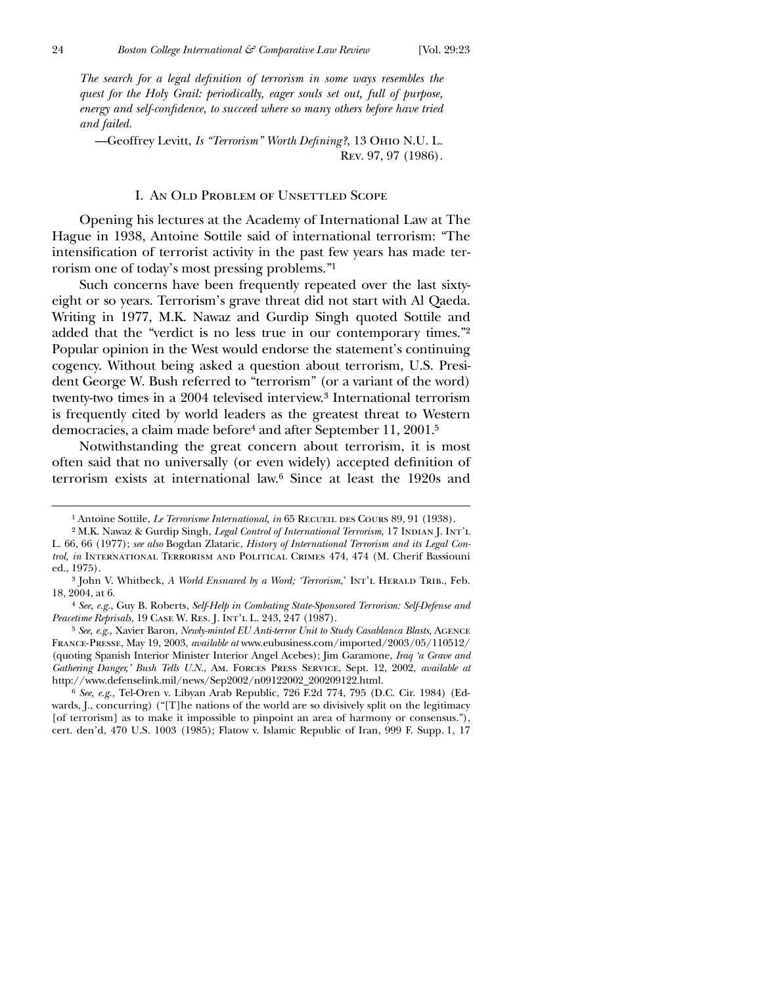$\overline{a}$ 

*The search for a legal definition of terrorism in some ways resembles the quest for the Holy Grail: periodically, eager souls set out, full of purpose,* energy and self-confidence, to succeed where so many others before have tried *and failed.*

—Geoffrey Levitt, *Is "Terrorism" Worth Defining?*, 13 OHIO N.U. L. Rev. 97, 97 (1986).

#### I. An Old Problem of Unsettled Scope

Opening his lectures at the Academy of International Law at The Hague in 1938, Antoine Sottile said of international terrorism: "The intensification of terrorist activity in the past few years has made terrorism one of today's most pressing problems."1

Such concerns have been frequently repeated over the last sixtyeight or so years. Terrorism's grave threat did not start with Al Qaeda. Writing in 1977, M.K. Nawaz and Gurdip Singh quoted Sottile and added that the "verdict is no less true in our contemporary times."2 Popular opinion in the West would endorse the statement's continuing cogency. Without being asked a question about terrorism, U.S. President George W. Bush referred to "terrorism" (or a variant of the word) twenty-two times in a 2004 televised interview.3 International terrorism is frequently cited by world leaders as the greatest threat to Western democracies, a claim made before4 and after September 11, 2001.5

Notwithstanding the great concern about terrorism, it is most often said that no universally (or even widely) accepted definition of terrorism exists at international law.6 Since at least the 1920s and

6 *See, e.g.,* Tel-Oren v. Libyan Arab Republic, 726 F.2d 774, 795 (D.C. Cir. 1984) (Edwards, J., concurring) ("[T]he nations of the world are so divisively split on the legitimacy [of terrorism] as to make it impossible to pinpoint an area of harmony or consensus."), cert. den'd, 470 U.S. 1003 (1985); Flatow v. Islamic Republic of Iran, 999 F. Supp. 1, 17

<sup>&</sup>lt;sup>1</sup> Antoine Sottile, *Le Terrorisme International, in* 65 RECUEIL DES COURS 89, 91 (1938).

<sup>&</sup>lt;sup>2</sup> M.K. Nawaz & Gurdip Singh, *Legal Control of International Terrorism*, 17 INDIAN J. INT'L L. 66, 66 (1977); *see also* Bogdan Zlataric, *History of International Terrorism and its Legal Control, in* International Terrorism and Political Crimes 474, 474 (M. Cherif Bassiouni ed., 1975).

<sup>&</sup>lt;sup>3</sup> John V. Whitbeck, *A World Ensnared by a Word; 'Terrorism*,' INT'L HERALD TRIB., Feb. 18, 2004, at 6.

<sup>4</sup> *See, e.g.*, Guy B. Roberts, *Self-Help in Combating State-Sponsored Terrorism: Self-Defense and Peacetime Reprisals*, 19 CASE W. RES. J. INT'L L. 243, 247 (1987).

<sup>5</sup> *See, e.g.,* Xavier Baron, *Newly-minted EU Anti-terror Unit to Study Casablanca Blasts,* Agence France-Presse, May 19, 2003, *available at* www.eubusiness.com/imported/2003/05/110512/ (quoting Spanish Interior Minister Interior Angel Acebes); Jim Garamone, *Iraq 'a Grave and Gathering Danger,' Bush Tells U.N.*, Am. Forces Press Service, Sept. 12, 2002, *available at* http://www.defenselink.mil/news/Sep2002/n09122002\_200209122.html.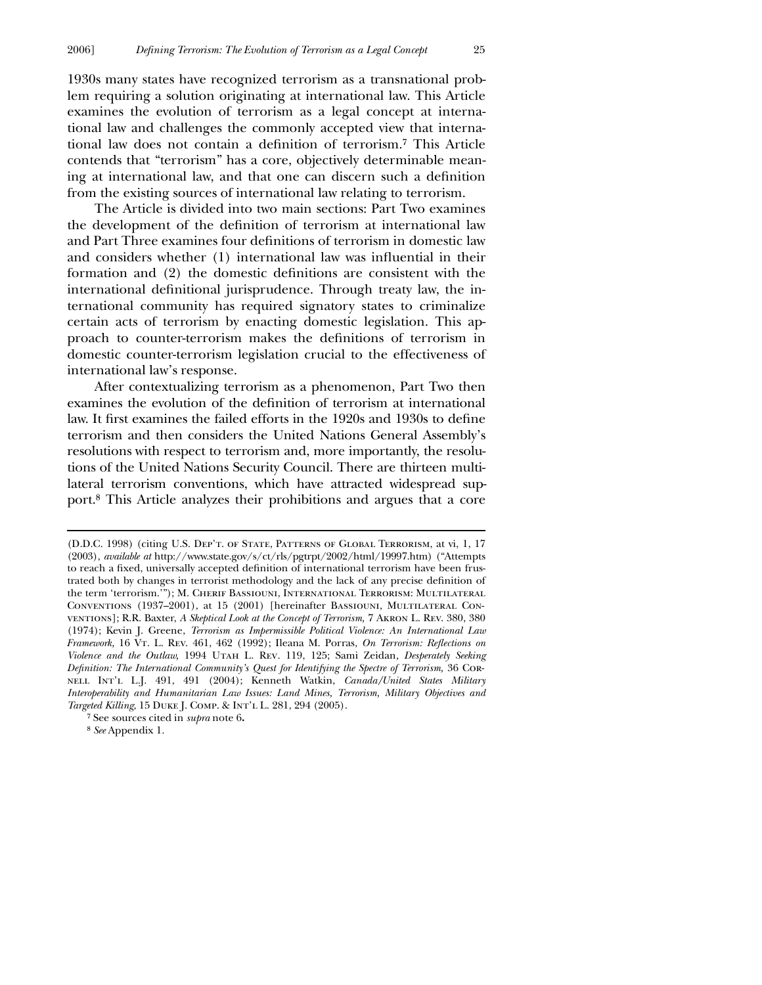1930s many states have recognized terrorism as a transnational problem requiring a solution originating at international law. This Article examines the evolution of terrorism as a legal concept at international law and challenges the commonly accepted view that international law does not contain a definition of terrorism.<sup>7</sup> This Article contends that "terrorism" has a core, objectively determinable meaning at international law, and that one can discern such a definition from the existing sources of international law relating to terrorism.

The Article is divided into two main sections: Part Two examines the development of the definition of terrorism at international law and Part Three examines four definitions of terrorism in domestic law and considers whether (1) international law was influential in their formation and (2) the domestic definitions are consistent with the international definitional jurisprudence. Through treaty law, the international community has required signatory states to criminalize certain acts of terrorism by enacting domestic legislation. This approach to counter-terrorism makes the definitions of terrorism in domestic counter-terrorism legislation crucial to the effectiveness of international law's response.

After contextualizing terrorism as a phenomenon, Part Two then examines the evolution of the definition of terrorism at international law. It first examines the failed efforts in the 1920s and 1930s to define terrorism and then considers the United Nations General Assembly's resolutions with respect to terrorism and, more importantly, the resolutions of the United Nations Security Council. There are thirteen multilateral terrorism conventions, which have attracted widespread support.8 This Article analyzes their prohibitions and argues that a core

7 See sources cited in *supra* note 6**.**

8 *See* Appendix 1.

<sup>(</sup>D.D.C. 1998) (citing U.S. Dep't. of State, Patterns of Global Terrorism, at vi, 1, 17 (2003), *available at* http://www.state.gov/s/ct/rls/pgtrpt/2002/html/19997.htm) ("Attempts to reach a fixed, universally accepted definition of international terrorism have been frustrated both by changes in terrorist methodology and the lack of any precise definition of the term 'terrorism.'"); M. Cherif Bassiouni, International Terrorism: Multilateral Conventions (1937–2001), at 15 (2001) [hereinafter Bassiouni, Multilateral Conventions]; R.R. Baxter, *A Skeptical Look at the Concept of Terrorism,* 7 Akron L. Rev. 380, 380 (1974); Kevin J. Greene, *Terrorism as Impermissible Political Violence: An International Law Framework,* 16 VT. L. Rev. 461, 462 (1992); Ileana M. Porras, *On Terrorism: Reflections on Violence and the Outlaw,* 1994 Utah L. Rev. 119, 125; Sami Zeidan*, Desperately Seeking Definition: The International Community's Quest for Identifying the Spectre of Terrorism,* 36 CORnell Int'l L.J. 491, 491 (2004); Kenneth Watkin, *Canada/United States Military Interoperability and Humanitarian Law Issues: Land Mines, Terrorism, Military Objectives and Targeted Killing*, 15 Duke J. Comp. & Int'l L. 281, 294 (2005).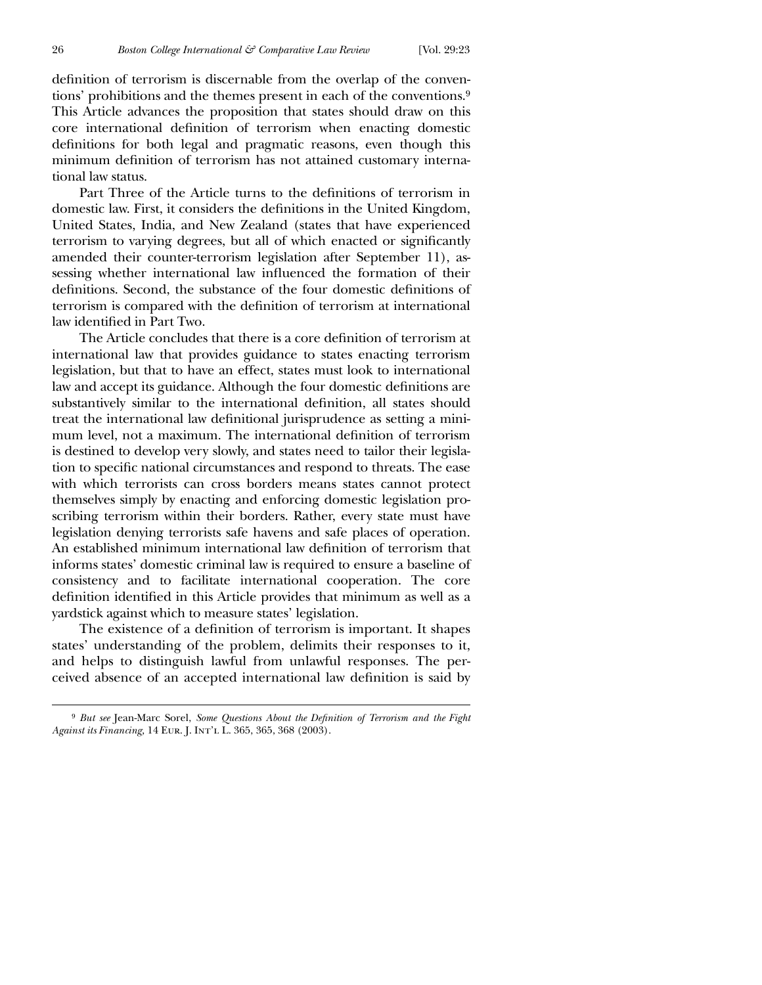definition of terrorism is discernable from the overlap of the conventions' prohibitions and the themes present in each of the conventions.9 This Article advances the proposition that states should draw on this core international definition of terrorism when enacting domestic definitions for both legal and pragmatic reasons, even though this minimum definition of terrorism has not attained customary international law status.

Part Three of the Article turns to the definitions of terrorism in domestic law. First, it considers the definitions in the United Kingdom, United States, India, and New Zealand (states that have experienced terrorism to varying degrees, but all of which enacted or significantly amended their counter-terrorism legislation after September 11), assessing whether international law influenced the formation of their definitions. Second, the substance of the four domestic definitions of terrorism is compared with the definition of terrorism at international law identified in Part Two.

The Article concludes that there is a core definition of terrorism at international law that provides guidance to states enacting terrorism legislation, but that to have an effect, states must look to international law and accept its guidance. Although the four domestic definitions are substantively similar to the international definition, all states should treat the international law definitional jurisprudence as setting a minimum level, not a maximum. The international definition of terrorism is destined to develop very slowly, and states need to tailor their legislation to specific national circumstances and respond to threats. The ease with which terrorists can cross borders means states cannot protect themselves simply by enacting and enforcing domestic legislation proscribing terrorism within their borders. Rather, every state must have legislation denying terrorists safe havens and safe places of operation. An established minimum international law definition of terrorism that informs states' domestic criminal law is required to ensure a baseline of consistency and to facilitate international cooperation. The core definition identified in this Article provides that minimum as well as a yardstick against which to measure states' legislation.

The existence of a definition of terrorism is important. It shapes states' understanding of the problem, delimits their responses to it, and helps to distinguish lawful from unlawful responses. The perceived absence of an accepted international law definition is said by

<sup>&</sup>lt;sup>9</sup> But see Jean-Marc Sorel, *Some Questions About the Definition of Terrorism and the Fight Against its Financing,* 14 Eur. J. Int'l L. 365, 365, 368 (2003).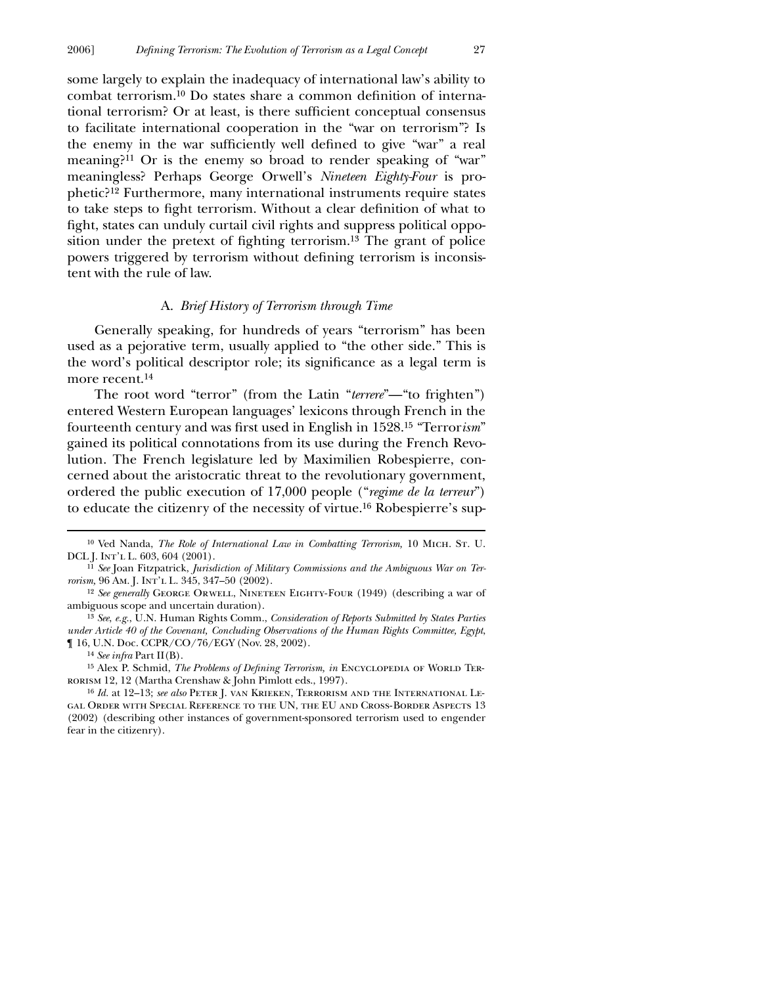some largely to explain the inadequacy of international law's ability to combat terrorism.<sup>10</sup> Do states share a common definition of international terrorism? Or at least, is there sufficient conceptual consensus to facilitate international cooperation in the "war on terrorism"? Is the enemy in the war sufficiently well defined to give "war" a real meaning?<sup>11</sup> Or is the enemy so broad to render speaking of "war" meaningless? Perhaps George Orwell's *Nineteen Eighty-Four* is prophetic?12 Furthermore, many international instruments require states to take steps to fight terrorism. Without a clear definition of what to fight, states can unduly curtail civil rights and suppress political opposition under the pretext of fighting terrorism.<sup>13</sup> The grant of police powers triggered by terrorism without defining terrorism is inconsistent with the rule of law.

#### A. *Brief History of Terrorism through Time*

Generally speaking, for hundreds of years "terrorism" has been used as a pejorative term, usually applied to "the other side." This is the word's political descriptor role; its significance as a legal term is more recent.14

The root word "terror" (from the Latin "*terrere*"—"to frighten") entered Western European languages' lexicons through French in the fourteenth century and was first used in English in 1528.<sup>15</sup> "Terror*ism*" gained its political connotations from its use during the French Revolution. The French legislature led by Maximilien Robespierre, concerned about the aristocratic threat to the revolutionary government, ordered the public execution of 17,000 people ("*regime de la terreur*") to educate the citizenry of the necessity of virtue.16 Robespierre's sup-

<sup>&</sup>lt;sup>10</sup> Ved Nanda, *The Role of International Law in Combatting Terrorism*, 10 MICH. ST. U. DCL J. Int'l L. 603, 604 (2001).

<sup>11</sup> *See* Joan Fitzpatrick, *Jurisdiction of Military Commissions and the Ambiguous War on Terrorism,* 96 Am. J. Int'l L. 345, 347–50 (2002).

<sup>&</sup>lt;sup>12</sup> See generally GEORGE ORWELL, NINETEEN EIGHTY-FOUR (1949) (describing a war of ambiguous scope and uncertain duration).

<sup>13</sup> *See*, *e.g.*, U.N. Human Rights Comm., *Consideration of Reports Submitted by States Parties under Article 40 of the Covenant, Concluding Observations of the Human Rights Committee, Egypt*, ¶ 16, U.N. Doc. CCPR/CO/76/EGY (Nov. 28, 2002).

<sup>14</sup> *See infra* Part II(B).

<sup>&</sup>lt;sup>15</sup> Alex P. Schmid, *The Problems of Defining Terrorism, in* ENCYCLOPEDIA OF WORLD TERrorism 12, 12 (Martha Crenshaw & John Pimlott eds., 1997).

<sup>16</sup> *Id.* at 12–13; *see also* Peter J. van Krieken, Terrorism and the International Legal Order with Special Reference to the UN, the EU and Cross-Border Aspects 13 (2002) (describing other instances of government-sponsored terrorism used to engender fear in the citizenry).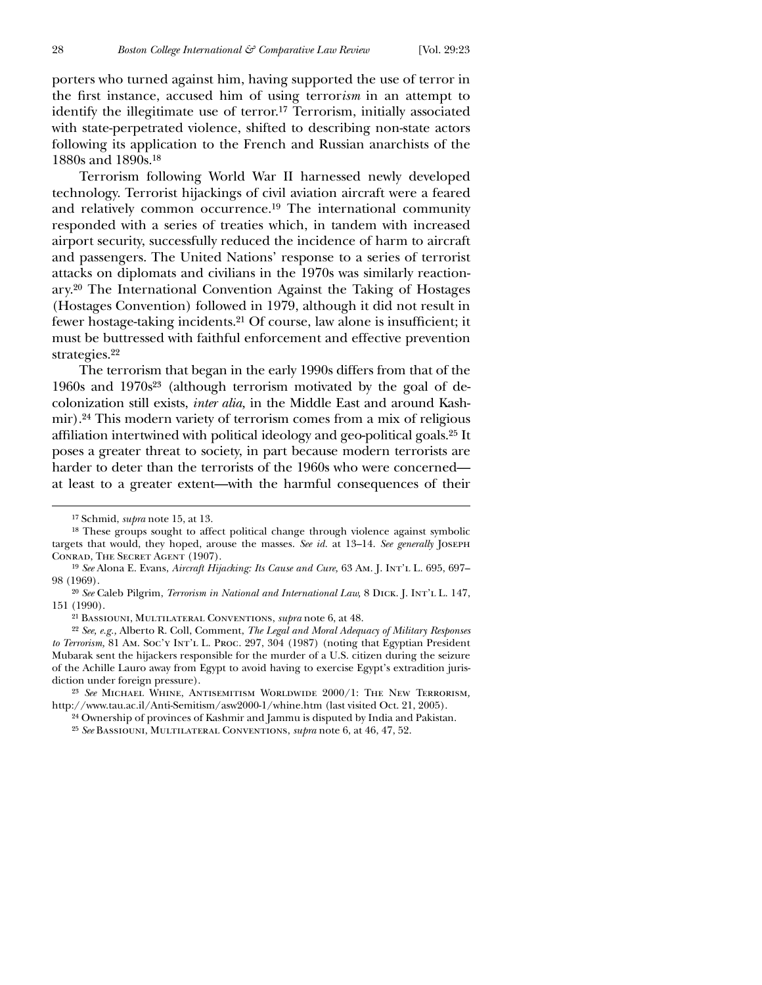porters who turned against him, having supported the use of terror in the first instance, accused him of using terrorism in an attempt to identify the illegitimate use of terror.17 Terrorism, initially associated with state-perpetrated violence, shifted to describing non-state actors following its application to the French and Russian anarchists of the 1880s and 1890s.18

Terrorism following World War II harnessed newly developed technology. Terrorist hijackings of civil aviation aircraft were a feared and relatively common occurrence.19 The international community responded with a series of treaties which, in tandem with increased airport security, successfully reduced the incidence of harm to aircraft and passengers. The United Nations' response to a series of terrorist attacks on diplomats and civilians in the 1970s was similarly reactionary.20 The International Convention Against the Taking of Hostages (Hostages Convention) followed in 1979, although it did not result in fewer hostage-taking incidents.<sup>21</sup> Of course, law alone is insufficient; it must be buttressed with faithful enforcement and effective prevention strategies.22

The terrorism that began in the early 1990s differs from that of the 1960s and 1970s23 (although terrorism motivated by the goal of decolonization still exists, *inter alia,* in the Middle East and around Kashmir).24 This modern variety of terrorism comes from a mix of religious affiliation intertwined with political ideology and geo-political goals.<sup>25</sup> It poses a greater threat to society, in part because modern terrorists are harder to deter than the terrorists of the 1960s who were concerned at least to a greater extent—with the harmful consequences of their

 $\overline{a}$ 

21 Bassiouni, Multilateral Conventions, *supra* note 6, at 48.

22 *See, e.g.,* Alberto R. Coll, Comment, *The Legal and Moral Adequacy of Military Responses to Terrorism,* 81 Am. Soc'y Int'l L. Proc. 297, 304 (1987) (noting that Egyptian President Mubarak sent the hijackers responsible for the murder of a U.S. citizen during the seizure of the Achille Lauro away from Egypt to avoid having to exercise Egypt's extradition jurisdiction under foreign pressure).

24 Ownership of provinces of Kashmir and Jammu is disputed by India and Pakistan.

25 *See* Bassiouni, Multilateral Conventions, *supra* note 6, at 46, 47, 52.

<sup>17</sup> Schmid, *supra* note 15, at 13.

<sup>18</sup> These groups sought to affect political change through violence against symbolic targets that would, they hoped, arouse the masses. *See id.* at 13–14. *See generally* Joseph CONRAD, THE SECRET AGENT (1907).

<sup>19</sup> *See* Alona E. Evans, *Aircraft Hijacking: Its Cause and Cure,* 63 Am. J. Int'l L. 695, 697– 98 (1969).

<sup>20</sup> *See* Caleb Pilgrim, *Terrorism in National and International Law,* 8 Dick. J. Int'l L. 147, 151 (1990).

<sup>23</sup> *See* Michael Whine, Antisemitism Worldwide 2000/1: The New Terrorism*,* http://www.tau.ac.il/Anti-Semitism/asw2000-1/whine.htm (last visited Oct. 21, 2005).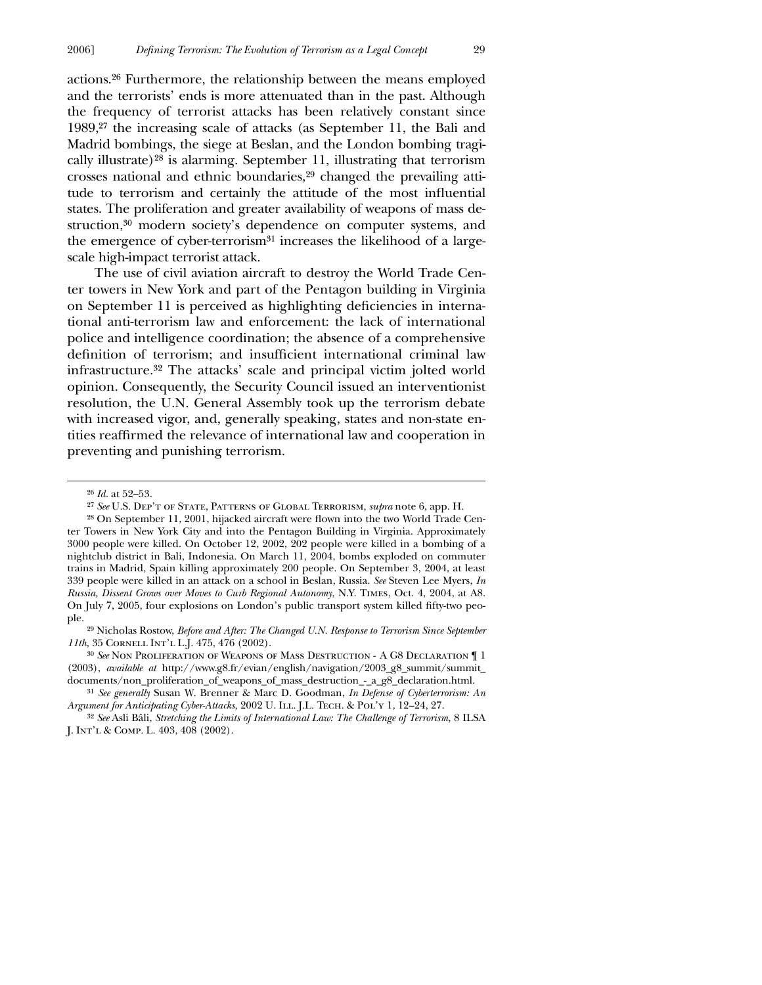actions.26 Furthermore, the relationship between the means employed and the terrorists' ends is more attenuated than in the past. Although the frequency of terrorist attacks has been relatively constant since 1989,27 the increasing scale of attacks (as September 11, the Bali and Madrid bombings, the siege at Beslan, and the London bombing tragically illustrate)28 is alarming. September 11, illustrating that terrorism crosses national and ethnic boundaries,29 changed the prevailing attitude to terrorism and certainly the attitude of the most influential states. The proliferation and greater availability of weapons of mass destruction,30 modern society's dependence on computer systems, and the emergence of cyber-terrorism<sup>31</sup> increases the likelihood of a largescale high-impact terrorist attack.

The use of civil aviation aircraft to destroy the World Trade Center towers in New York and part of the Pentagon building in Virginia on September 11 is perceived as highlighting deficiencies in international anti-terrorism law and enforcement: the lack of international police and intelligence coordination; the absence of a comprehensive definition of terrorism; and insufficient international criminal law infrastructure.32 The attacks' scale and principal victim jolted world opinion. Consequently, the Security Council issued an interventionist resolution, the U.N. General Assembly took up the terrorism debate with increased vigor, and, generally speaking, states and non-state entities reaffirmed the relevance of international law and cooperation in preventing and punishing terrorism.

 $\overline{a}$ 

29 Nicholas Rostow, *Before and After: The Changed U.N. Response to Terrorism Since September 11th,* 35 Cornell Int'l L.J. 475, 476 (2002).

30 *See* Non Proliferation of Weapons of Mass Destruction - A G8 Declaration ¶ 1 (2003), *available at* http://www.g8.fr/evian/english/navigation/2003\_g8\_summit/summit\_ documents/non\_proliferation\_of\_weapons\_of\_mass\_destruction\_-\_a\_g8\_declaration.html.

<sup>26</sup> *Id.* at 52–53.

<sup>27</sup> *See* U.S. Dep't of State, Patterns of Global Terrorism, *supra* note 6, app. H.

 $28$  On September 11, 2001, hijacked aircraft were flown into the two World Trade Center Towers in New York City and into the Pentagon Building in Virginia. Approximately 3000 people were killed. On October 12, 2002, 202 people were killed in a bombing of a nightclub district in Bali, Indonesia. On March 11, 2004, bombs exploded on commuter trains in Madrid, Spain killing approximately 200 people. On September 3, 2004, at least 339 people were killed in an attack on a school in Beslan, Russia. *See* Steven Lee Myers, *In Russia, Dissent Grows over Moves to Curb Regional Autonomy*, N.Y. Times, Oct. 4, 2004, at A8. On July 7, 2005, four explosions on London's public transport system killed fifty-two people.

<sup>31</sup> *See generally* Susan W. Brenner & Marc D. Goodman, *In Defense of Cyberterrorism: An Argument for Anticipating Cyber-Attacks,* 2002 U. ILL. J.L. TECH. & POL'Y 1, 12-24, 27.

<sup>32</sup> *See* Asli Bâli, *Stretching the Limits of International Law: The Challenge of Terrorism,* 8 ILSA J. Int'l & Comp. L. 403, 408 (2002).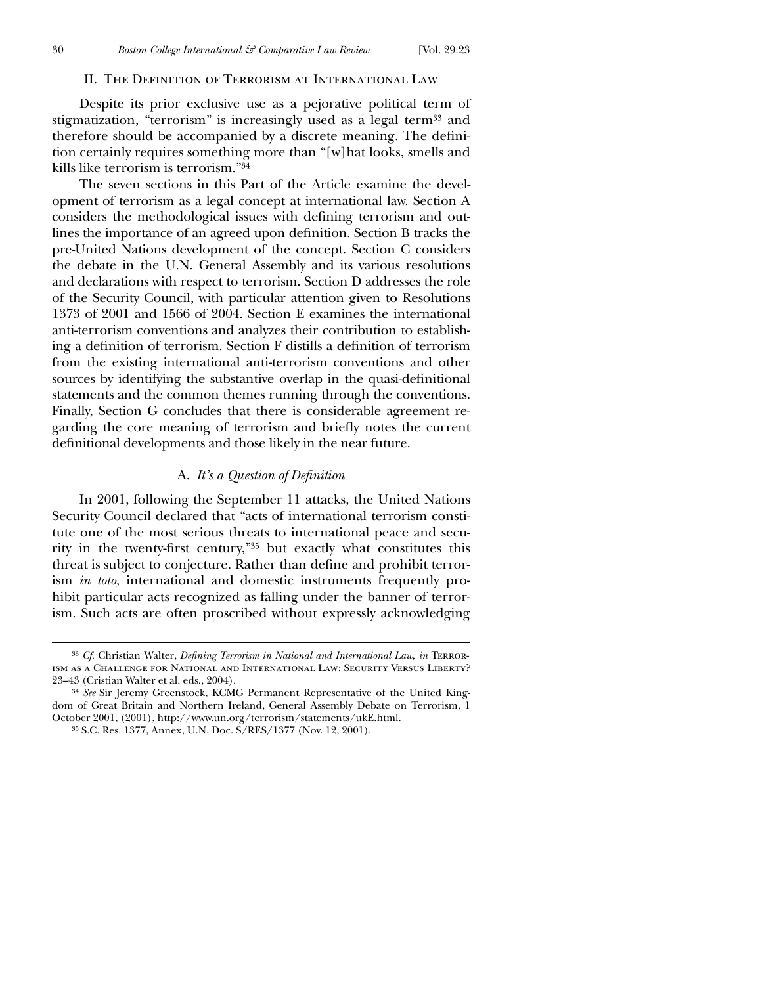$\overline{a}$ 

#### II. THE DEFINITION OF TERRORISM AT INTERNATIONAL LAW

Despite its prior exclusive use as a pejorative political term of stigmatization, "terrorism" is increasingly used as a legal term<sup>33</sup> and therefore should be accompanied by a discrete meaning. The definition certainly requires something more than "[w]hat looks, smells and kills like terrorism is terrorism."34

The seven sections in this Part of the Article examine the development of terrorism as a legal concept at international law. Section A considers the methodological issues with defining terrorism and outlines the importance of an agreed upon definition. Section B tracks the pre-United Nations development of the concept. Section C considers the debate in the U.N. General Assembly and its various resolutions and declarations with respect to terrorism. Section D addresses the role of the Security Council, with particular attention given to Resolutions 1373 of 2001 and 1566 of 2004. Section E examines the international anti-terrorism conventions and analyzes their contribution to establishing a definition of terrorism. Section F distills a definition of terrorism from the existing international anti-terrorism conventions and other sources by identifying the substantive overlap in the quasi-definitional statements and the common themes running through the conventions. Finally, Section G concludes that there is considerable agreement regarding the core meaning of terrorism and briefly notes the current definitional developments and those likely in the near future.

#### A. *It's a Question of Definition*

In 2001, following the September 11 attacks, the United Nations Security Council declared that "acts of international terrorism constitute one of the most serious threats to international peace and security in the twenty-first century," $35$  but exactly what constitutes this threat is subject to conjecture. Rather than define and prohibit terrorism *in toto,* international and domestic instruments frequently prohibit particular acts recognized as falling under the banner of terrorism. Such acts are often proscribed without expressly acknowledging

<sup>&</sup>lt;sup>33</sup> *Cf.* Christian Walter, *Defining Terrorism in National and International Law, in* TERRORism as a Challenge for National and International Law: Security Versus Liberty? 23–43 (Cristian Walter et al. eds., 2004).

<sup>34</sup> *See* Sir Jeremy Greenstock, KCMG Permanent Representative of the United Kingdom of Great Britain and Northern Ireland, General Assembly Debate on Terrorism, 1 October 2001, (2001), http://www.un.org/terrorism/statements/ukE.html.

<sup>35</sup> S.C. Res. 1377, Annex, U.N. Doc. S/RES/1377 (Nov. 12, 2001).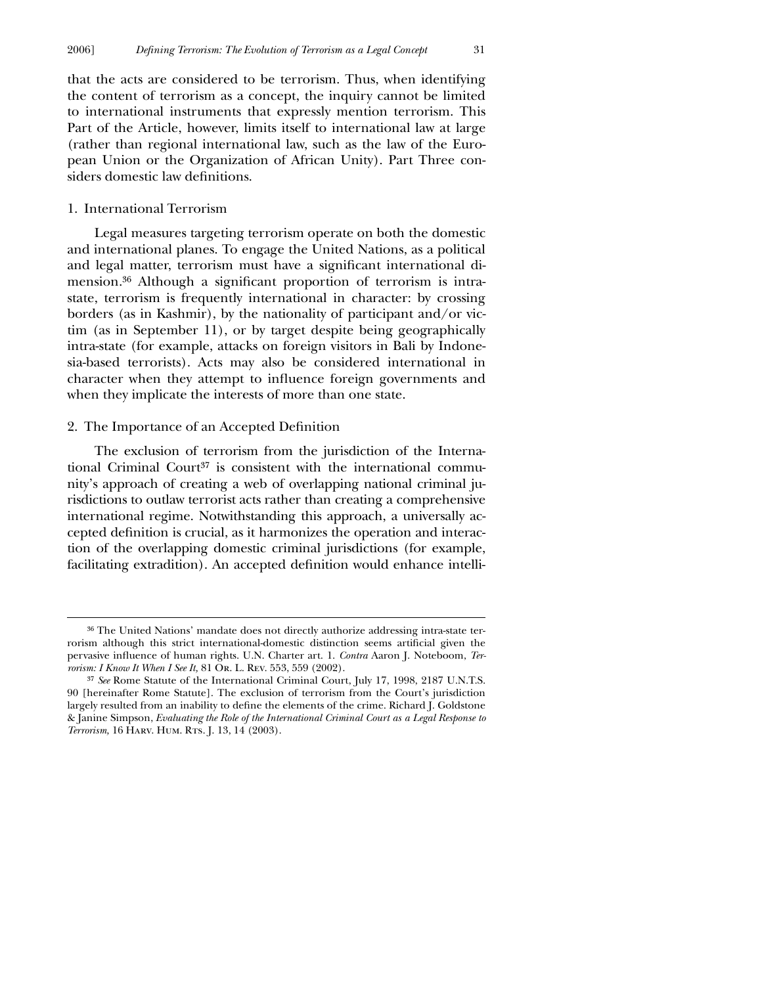that the acts are considered to be terrorism. Thus, when identifying the content of terrorism as a concept, the inquiry cannot be limited to international instruments that expressly mention terrorism. This Part of the Article, however, limits itself to international law at large (rather than regional international law, such as the law of the European Union or the Organization of African Unity). Part Three considers domestic law definitions.

#### 1. International Terrorism

 $\overline{a}$ 

Legal measures targeting terrorism operate on both the domestic and international planes. To engage the United Nations, as a political and legal matter, terrorism must have a significant international dimension.<sup>36</sup> Although a significant proportion of terrorism is intrastate, terrorism is frequently international in character: by crossing borders (as in Kashmir), by the nationality of participant and/or victim (as in September 11), or by target despite being geographically intra-state (for example, attacks on foreign visitors in Bali by Indonesia-based terrorists). Acts may also be considered international in character when they attempt to influence foreign governments and when they implicate the interests of more than one state.

#### 2. The Importance of an Accepted Definition

The exclusion of terrorism from the jurisdiction of the International Criminal Court<sup>37</sup> is consistent with the international community's approach of creating a web of overlapping national criminal jurisdictions to outlaw terrorist acts rather than creating a comprehensive international regime. Notwithstanding this approach, a universally accepted definition is crucial, as it harmonizes the operation and interaction of the overlapping domestic criminal jurisdictions (for example, facilitating extradition). An accepted definition would enhance intelli-

<sup>36</sup> The United Nations' mandate does not directly authorize addressing intra-state terrorism although this strict international-domestic distinction seems artificial given the pervasive influence of human rights. U.N. Charter art. 1. *Contra* Aaron J. Noteboom, *Terrorism: I Know It When I See It,* 81 Or. L. Rev. 553, 559 (2002).

<sup>37</sup> *See* Rome Statute of the International Criminal Court, July 17, 1998, 2187 U.N.T.S. 90 [hereinafter Rome Statute]. The exclusion of terrorism from the Court's jurisdiction largely resulted from an inability to define the elements of the crime. Richard J. Goldstone & Janine Simpson, *Evaluating the Role of the International Criminal Court as a Legal Response to Terrorism,* 16 HARV. HUM. RTS. J. 13, 14 (2003).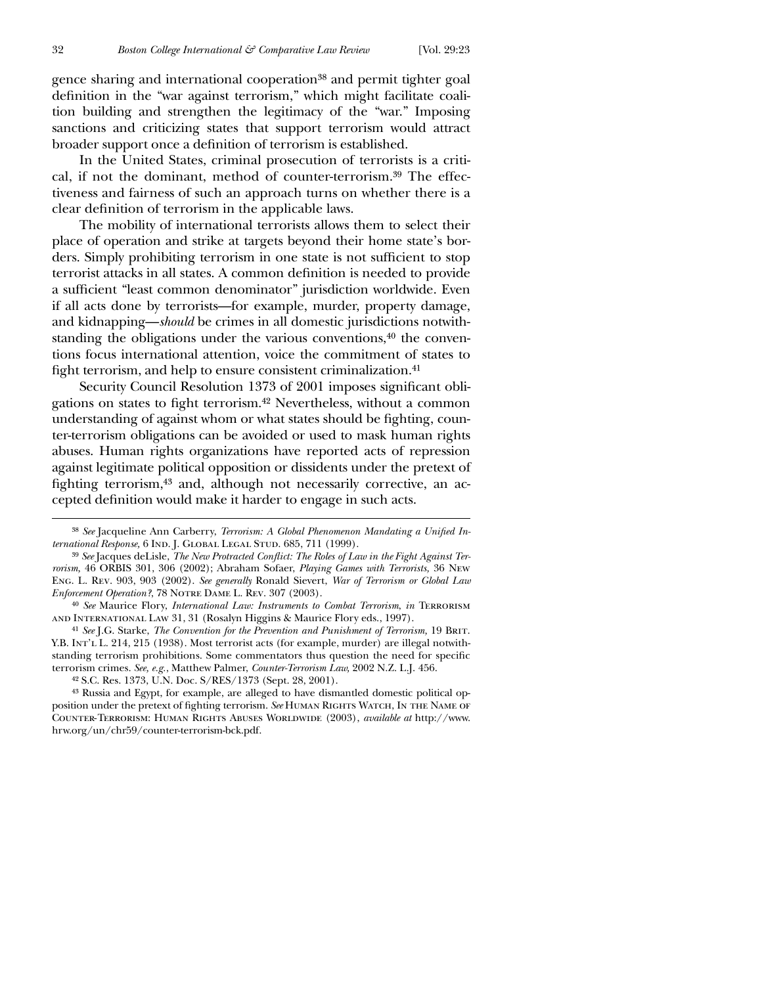gence sharing and international cooperation38 and permit tighter goal definition in the "war against terrorism," which might facilitate coalition building and strengthen the legitimacy of the "war." Imposing sanctions and criticizing states that support terrorism would attract broader support once a definition of terrorism is established.

In the United States, criminal prosecution of terrorists is a critical, if not the dominant, method of counter-terrorism.39 The effectiveness and fairness of such an approach turns on whether there is a clear definition of terrorism in the applicable laws.

The mobility of international terrorists allows them to select their place of operation and strike at targets beyond their home state's borders. Simply prohibiting terrorism in one state is not sufficient to stop terrorist attacks in all states. A common definition is needed to provide a sufficient "least common denominator" jurisdiction worldwide. Even if all acts done by terrorists—for example, murder, property damage, and kidnapping—*should* be crimes in all domestic jurisdictions notwithstanding the obligations under the various conventions,<sup>40</sup> the conventions focus international attention, voice the commitment of states to fight terrorism, and help to ensure consistent criminalization.<sup>41</sup>

Security Council Resolution 1373 of 2001 imposes significant obligations on states to fight terrorism.<sup>42</sup> Nevertheless, without a common understanding of against whom or what states should be fighting, counter-terrorism obligations can be avoided or used to mask human rights abuses. Human rights organizations have reported acts of repression against legitimate political opposition or dissidents under the pretext of fighting terrorism,<sup>43</sup> and, although not necessarily corrective, an accepted definition would make it harder to engage in such acts.

41 *See* J.G. Starke, *The Convention for the Prevention and Punishment of Terrorism,* 19 Brit. Y.B. INT'L L. 214, 215 (1938). Most terrorist acts (for example, murder) are illegal notwithstanding terrorism prohibitions. Some commentators thus question the need for specific terrorism crimes. *See, e.g.*, Matthew Palmer, *Counter-Terrorism Law,* 2002 N.Z. L.J. 456.

42 S.C. Res. 1373, U.N. Doc. S/RES/1373 (Sept. 28, 2001).

43 Russia and Egypt, for example, are alleged to have dismantled domestic political opposition under the pretext of fighting terrorism. See HUMAN RIGHTS WATCH, IN THE NAME OF Counter-Terrorism: Human Rights Abuses Worldwide (2003), *available at* http://www. hrw.org/un/chr59/counter-terrorism-bck.pdf.

<sup>&</sup>lt;sup>38</sup> See Jacqueline Ann Carberry, *Terrorism: A Global Phenomenon Mandating a Unified International Response*, 6 IND. J. GLOBAL LEGAL STUD. 685, 711 (1999).

<sup>&</sup>lt;sup>39</sup> See Jacques deLisle, The New Protracted Conflict: The Roles of Law in the Fight Against Ter*rorism,* 46 ORBIS 301, 306 (2002); Abraham Sofaer, *Playing Games with Terrorists,* 36 New Eng. L. Rev. 903, 903 (2002). *See generally* Ronald Sievert, *War of Terrorism or Global Law Enforcement Operation?*, 78 NOTRE DAME L. REV. 307 (2003).

<sup>40</sup> *See* Maurice Flory, *International Law: Instruments to Combat Terrorism*, *in* Terrorism and International Law 31, 31 (Rosalyn Higgins & Maurice Flory eds., 1997).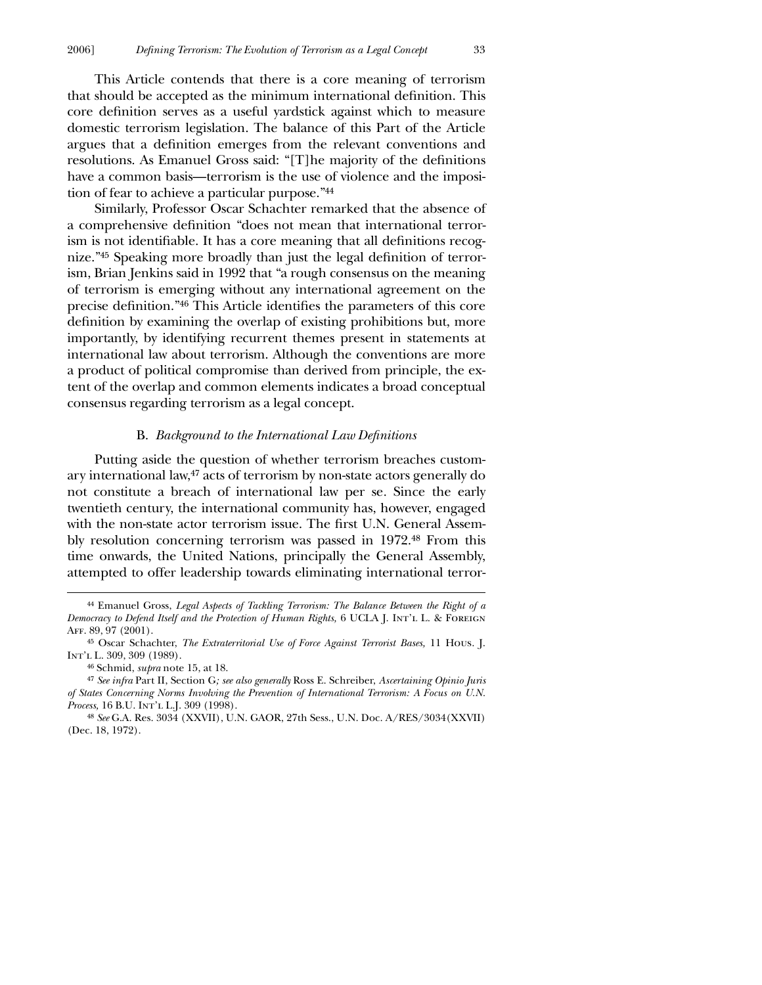This Article contends that there is a core meaning of terrorism that should be accepted as the minimum international definition. This core definition serves as a useful yardstick against which to measure domestic terrorism legislation. The balance of this Part of the Article argues that a definition emerges from the relevant conventions and resolutions. As Emanuel Gross said: "[T]he majority of the definitions have a common basis—terrorism is the use of violence and the imposition of fear to achieve a particular purpose."44

Similarly, Professor Oscar Schachter remarked that the absence of a comprehensive definition "does not mean that international terrorism is not identifiable. It has a core meaning that all definitions recognize."<sup>45</sup> Speaking more broadly than just the legal definition of terrorism, Brian Jenkins said in 1992 that "a rough consensus on the meaning of terrorism is emerging without any international agreement on the precise definition."<sup>46</sup> This Article identifies the parameters of this core definition by examining the overlap of existing prohibitions but, more importantly, by identifying recurrent themes present in statements at international law about terrorism. Although the conventions are more a product of political compromise than derived from principle, the extent of the overlap and common elements indicates a broad conceptual consensus regarding terrorism as a legal concept.

#### **B.** *Background to the International Law Definitions*

Putting aside the question of whether terrorism breaches customary international law,47 acts of terrorism by non-state actors generally do not constitute a breach of international law per se*.* Since the early twentieth century, the international community has, however, engaged with the non-state actor terrorism issue. The first U.N. General Assembly resolution concerning terrorism was passed in 1972.48 From this time onwards, the United Nations, principally the General Assembly, attempted to offer leadership towards eliminating international terror-

<sup>44</sup> Emanuel Gross, *Legal Aspects of Tackling Terrorism: The Balance Between the Right of a Democracy to Defend Itself and the Protection of Human Rights,* 6 UCLA J. Int'l. L. & FOREIGN Aff. 89, 97 (2001).

<sup>45</sup> Oscar Schachter, *The Extraterritorial Use of Force Against Terrorist Bases,* 11 Hous. J. Int'l L. 309, 309 (1989).

<sup>46</sup> Schmid, *supra* note 15, at 18.

<sup>47</sup> *See infra* Part II, Section G*; see also generally* Ross E. Schreiber, *Ascertaining Opinio Juris of States Concerning Norms Involving the Prevention of International Terrorism: A Focus on U.N. Process,* 16 B.U. INT'L L.J. 309 (1998).

<sup>48</sup> *See* G.A. Res. 3034 (XXVII), U.N. GAOR, 27th Sess., U.N. Doc. A/RES/3034(XXVII) (Dec. 18, 1972).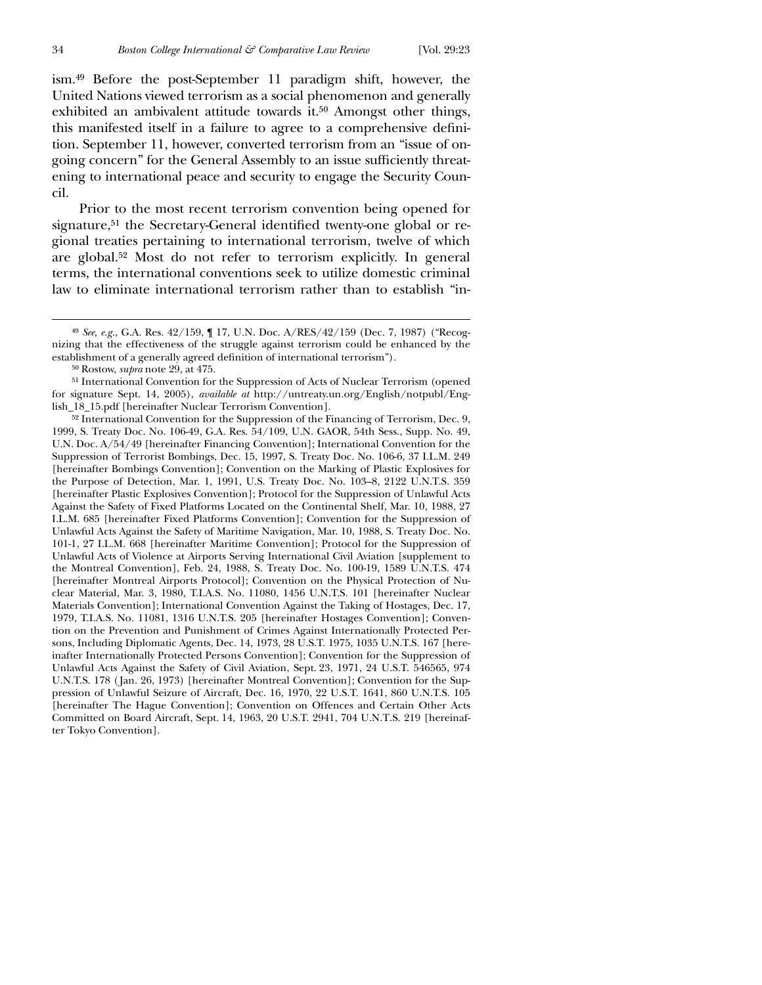$\overline{a}$ 

ism.49 Before the post-September 11 paradigm shift, however, the United Nations viewed terrorism as a social phenomenon and generally exhibited an ambivalent attitude towards it.50 Amongst other things, this manifested itself in a failure to agree to a comprehensive definition. September 11, however, converted terrorism from an "issue of ongoing concern" for the General Assembly to an issue sufficiently threatening to international peace and security to engage the Security Council.

Prior to the most recent terrorism convention being opened for signature,<sup>51</sup> the Secretary-General identified twenty-one global or regional treaties pertaining to international terrorism, twelve of which are global.52 Most do not refer to terrorism explicitly. In general terms, the international conventions seek to utilize domestic criminal law to eliminate international terrorism rather than to establish "in-

<sup>49</sup> *See, e.g.*, G.A. Res. 42/159, ¶ 17, U.N. Doc. A/RES/42/159 (Dec. 7, 1987) ("Recognizing that the effectiveness of the struggle against terrorism could be enhanced by the establishment of a generally agreed definition of international terrorism").

<sup>50</sup> Rostow, *supra* note 29, at 475.

<sup>51</sup> International Convention for the Suppression of Acts of Nuclear Terrorism (opened for signature Sept. 14, 2005), *available at* http://untreaty.un.org/English/notpubl/English\_18\_15.pdf [hereinafter Nuclear Terrorism Convention].

<sup>52</sup> International Convention for the Suppression of the Financing of Terrorism, Dec. 9, 1999, S. Treaty Doc. No. 106-49, G.A. Res. 54/109, U.N. GAOR, 54th Sess., Supp. No. 49, U.N. Doc. A/54/49 [hereinafter Financing Convention]; International Convention for the Suppression of Terrorist Bombings, Dec. 15, 1997, S. Treaty Doc. No. 106-6, 37 I.L.M. 249 [hereinafter Bombings Convention]; Convention on the Marking of Plastic Explosives for the Purpose of Detection, Mar. 1, 1991, U.S. Treaty Doc. No. 103–8, 2122 U.N.T.S. 359 [hereinafter Plastic Explosives Convention]; Protocol for the Suppression of Unlawful Acts Against the Safety of Fixed Platforms Located on the Continental Shelf, Mar. 10, 1988, 27 I.L.M. 685 [hereinafter Fixed Platforms Convention]; Convention for the Suppression of Unlawful Acts Against the Safety of Maritime Navigation, Mar. 10, 1988, S. Treaty Doc. No. 101-1, 27 I.L.M. 668 [hereinafter Maritime Convention]; Protocol for the Suppression of Unlawful Acts of Violence at Airports Serving International Civil Aviation [supplement to the Montreal Convention], Feb. 24, 1988, S. Treaty Doc. No. 100-19, 1589 U.N.T.S. 474 [hereinafter Montreal Airports Protocol]; Convention on the Physical Protection of Nuclear Material, Mar. 3, 1980, T.I.A.S. No. 11080, 1456 U.N.T.S. 101 [hereinafter Nuclear Materials Convention]; International Convention Against the Taking of Hostages, Dec. 17, 1979, T.I.A.S. No. 11081, 1316 U.N.T.S. 205 [hereinafter Hostages Convention]; Convention on the Prevention and Punishment of Crimes Against Internationally Protected Persons, Including Diplomatic Agents, Dec. 14, 1973, 28 U.S.T. 1975, 1035 U.N.T.S. 167 [hereinafter Internationally Protected Persons Convention]; Convention for the Suppression of Unlawful Acts Against the Safety of Civil Aviation, Sept. 23, 1971, 24 U.S.T. 546565, 974 U.N.T.S. 178 ( Jan. 26, 1973) [hereinafter Montreal Convention]; Convention for the Suppression of Unlawful Seizure of Aircraft, Dec. 16, 1970, 22 U.S.T. 1641, 860 U.N.T.S. 105 [hereinafter The Hague Convention]; Convention on Offences and Certain Other Acts Committed on Board Aircraft, Sept. 14, 1963, 20 U.S.T. 2941, 704 U.N.T.S. 219 [hereinafter Tokyo Convention].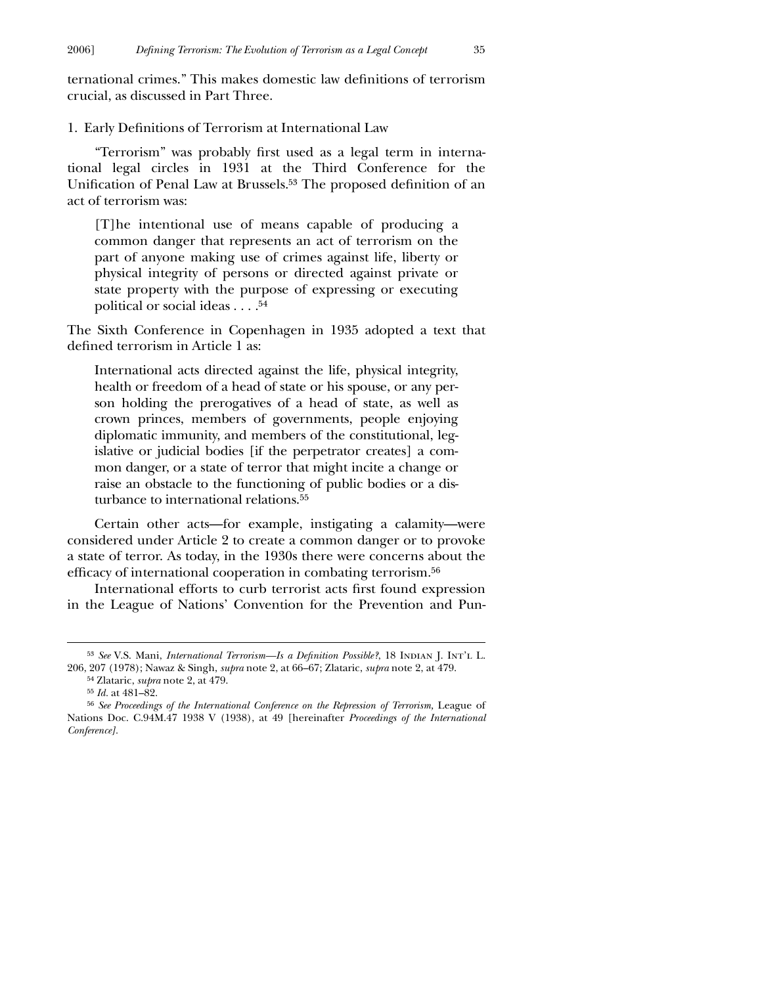ternational crimes." This makes domestic law definitions of terrorism crucial, as discussed in Part Three.

1. Early Definitions of Terrorism at International Law

"Terrorism" was probably first used as a legal term in international legal circles in 1931 at the Third Conference for the Unification of Penal Law at Brussels.<sup>53</sup> The proposed definition of an act of terrorism was:

[T]he intentional use of means capable of producing a common danger that represents an act of terrorism on the part of anyone making use of crimes against life, liberty or physical integrity of persons or directed against private or state property with the purpose of expressing or executing political or social ideas . . . .54

The Sixth Conference in Copenhagen in 1935 adopted a text that defined terrorism in Article 1 as:

International acts directed against the life, physical integrity, health or freedom of a head of state or his spouse, or any person holding the prerogatives of a head of state, as well as crown princes, members of governments, people enjoying diplomatic immunity, and members of the constitutional, legislative or judicial bodies [if the perpetrator creates] a common danger, or a state of terror that might incite a change or raise an obstacle to the functioning of public bodies or a disturbance to international relations.<sup>55</sup>

Certain other acts—for example, instigating a calamity—were considered under Article 2 to create a common danger or to provoke a state of terror. As today, in the 1930s there were concerns about the efficacy of international cooperation in combating terrorism.<sup>56</sup>

International efforts to curb terrorist acts first found expression in the League of Nations' Convention for the Prevention and Pun-

<sup>&</sup>lt;sup>53</sup> See V.S. Mani, *International Terrorism—Is a Definition Possible?*, 18 INDIAN J. INT'L L. 206, 207 (1978); Nawaz & Singh, *supra* note 2, at 66–67; Zlataric, *supra* note 2, at 479. 54 Zlataric, *supra* note 2, at 479.

<sup>55</sup> *Id.* at 481–82.

<sup>56</sup> *See Proceedings of the International Conference on the Repression of Terrorism,* League of Nations Doc. C.94M.47 1938 V (1938), at 49 [hereinafter *Proceedings of the International Conference].*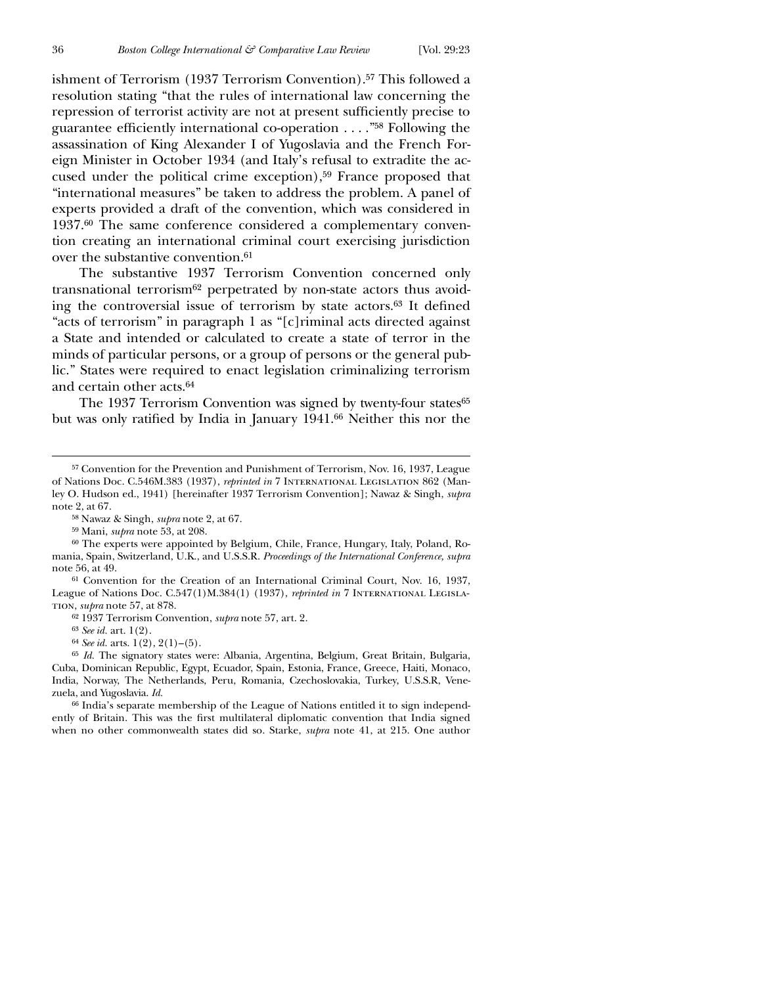ishment of Terrorism (1937 Terrorism Convention).<sup>57</sup> This followed a resolution stating "that the rules of international law concerning the repression of terrorist activity are not at present sufficiently precise to guarantee efficiently international co-operation  $\dots$ ."<sup>58</sup> Following the assassination of King Alexander I of Yugoslavia and the French Foreign Minister in October 1934 (and Italy's refusal to extradite the accused under the political crime exception),<sup>59</sup> France proposed that "international measures" be taken to address the problem. A panel of experts provided a draft of the convention, which was considered in 1937.60 The same conference considered a complementary convention creating an international criminal court exercising jurisdiction over the substantive convention.<sup>61</sup>

The substantive 1937 Terrorism Convention concerned only transnational terrorism<sup>62</sup> perpetrated by non-state actors thus avoiding the controversial issue of terrorism by state actors. $63$  It defined "acts of terrorism" in paragraph 1 as "[c]riminal acts directed against a State and intended or calculated to create a state of terror in the minds of particular persons, or a group of persons or the general public." States were required to enact legislation criminalizing terrorism and certain other acts.64

The 1937 Terrorism Convention was signed by twenty-four states<sup>65</sup> but was only ratified by India in January 1941.<sup>66</sup> Neither this nor the

58 Nawaz & Singh, *supra* note 2, at 67.

59 Mani, *supra* note 53, at 208.

60 The experts were appointed by Belgium, Chile, France, Hungary, Italy, Poland, Romania, Spain, Switzerland, U.K., and U.S.S.R. *Proceedings of the International Conference, supra* note 56, at 49.

61 Convention for the Creation of an International Criminal Court, Nov. 16, 1937, League of Nations Doc. C.547(1)M.384(1) (1937), *reprinted in* 7 International Legislation, *supra* note 57, at 878.

62 1937 Terrorism Convention, *supra* note 57, art. 2.

63 *See id.* art. 1(2).

64 *See id.* arts. 1(2), 2(1)–(5).

65 *Id.* The signatory states were: Albania, Argentina, Belgium, Great Britain, Bulgaria, Cuba, Dominican Republic, Egypt, Ecuador, Spain, Estonia, France, Greece, Haiti, Monaco, India, Norway, The Netherlands, Peru, Romania, Czechoslovakia, Turkey, U.S.S.R, Venezuela, and Yugoslavia. *Id.*

66 India's separate membership of the League of Nations entitled it to sign independently of Britain. This was the first multilateral diplomatic convention that India signed when no other commonwealth states did so. Starke, *supra* note 41, at 215. One author

<sup>57</sup> Convention for the Prevention and Punishment of Terrorism, Nov. 16, 1937, League of Nations Doc. C.546M.383 (1937), *reprinted in* 7 International Legislation 862 (Manley O. Hudson ed., 1941) [hereinafter 1937 Terrorism Convention]; Nawaz & Singh, *supra* note 2, at 67.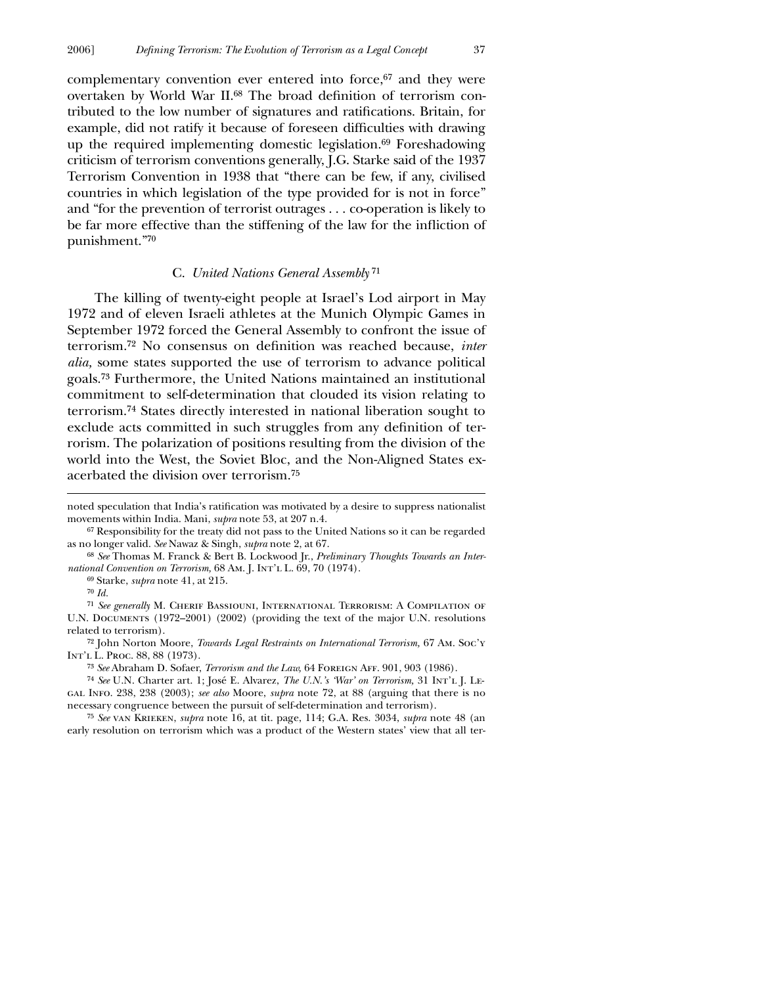complementary convention ever entered into force,<sup>67</sup> and they were overtaken by World War II.<sup>68</sup> The broad definition of terrorism contributed to the low number of signatures and ratifications. Britain, for example, did not ratify it because of foreseen difficulties with drawing up the required implementing domestic legislation.<sup>69</sup> Foreshadowing criticism of terrorism conventions generally, J.G. Starke said of the 1937 Terrorism Convention in 1938 that "there can be few, if any, civilised countries in which legislation of the type provided for is not in force" and "for the prevention of terrorist outrages . . . co-operation is likely to

#### C. *United Nations General Assembly*71

be far more effective than the stiffening of the law for the infliction of

The killing of twenty-eight people at Israel's Lod airport in May 1972 and of eleven Israeli athletes at the Munich Olympic Games in September 1972 forced the General Assembly to confront the issue of terrorism.<sup>72</sup> No consensus on definition was reached because, *inter alia,* some states supported the use of terrorism to advance political goals.73 Furthermore, the United Nations maintained an institutional commitment to self-determination that clouded its vision relating to terrorism.74 States directly interested in national liberation sought to exclude acts committed in such struggles from any definition of terrorism. The polarization of positions resulting from the division of the world into the West, the Soviet Bloc, and the Non-Aligned States exacerbated the division over terrorism.75

70 *Id.*

 $\overline{a}$ 

punishment."70

71 *See generally* M. Cherif Bassiouni, International Terrorism: A Compilation of U.N. Documents (1972–2001) (2002) (providing the text of the major U.N. resolutions related to terrorism).

72 John Norton Moore, *Towards Legal Restraints on International Terrorism,* 67 Am. Soc'y Int'l L. Proc. 88, 88 (1973).

73 *See* Abraham D. Sofaer, *Terrorism and the Law,* 64 Foreign Aff. 901, 903 (1986).

74 *See* U.N. Charter art. 1; José E. Alvarez, *The U.N.'s 'War' on Terrorism,* 31 Int'l J. Legal Info. 238, 238 (2003); *see also* Moore, *supra* note 72, at 88 (arguing that there is no necessary congruence between the pursuit of self-determination and terrorism).

75 *See* van Krieken, *supra* note 16, at tit. page, 114; G.A. Res. 3034, *supra* note 48 (an early resolution on terrorism which was a product of the Western states' view that all ter-

noted speculation that India's ratification was motivated by a desire to suppress nationalist movements within India. Mani, *supra* note 53, at 207 n.4.

<sup>67</sup> Responsibility for the treaty did not pass to the United Nations so it can be regarded as no longer valid. *See* Nawaz & Singh, *supra* note 2, at 67.

<sup>68</sup> *See* Thomas M. Franck & Bert B. Lockwood Jr., *Preliminary Thoughts Towards an International Convention on Terrorism,* 68 Am. J. Int'l L. 69, 70 (1974).

<sup>69</sup> Starke, *supra* note 41, at 215.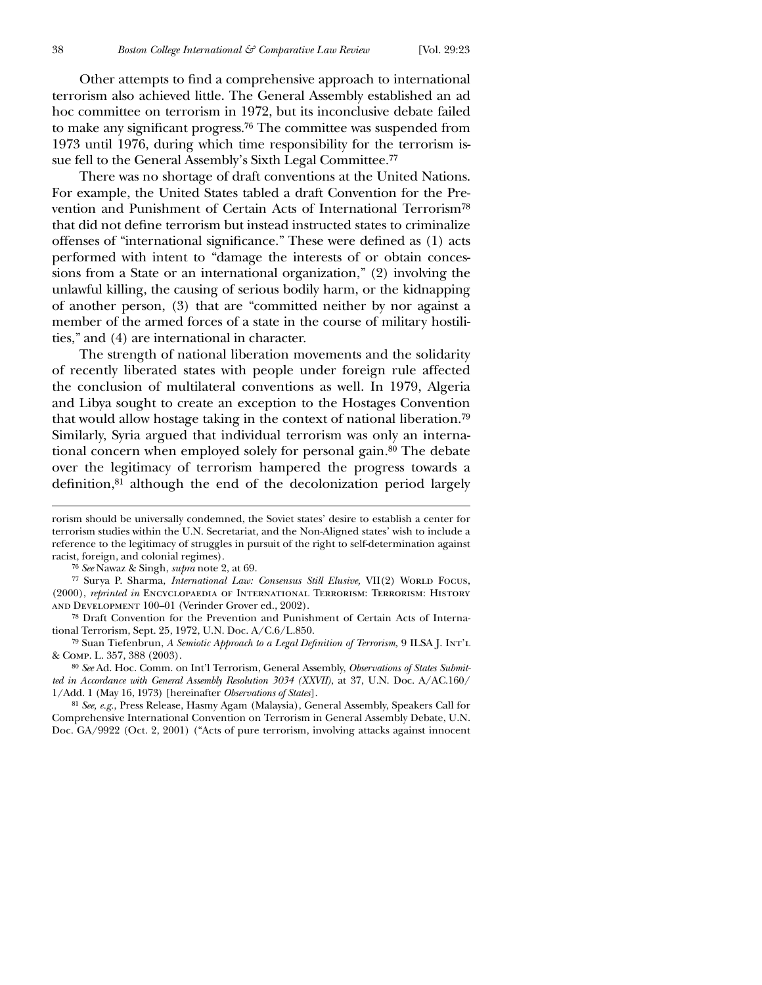Other attempts to find a comprehensive approach to international terrorism also achieved little. The General Assembly established an ad hoc committee on terrorism in 1972, but its inconclusive debate failed to make any significant progress.<sup>76</sup> The committee was suspended from 1973 until 1976, during which time responsibility for the terrorism issue fell to the General Assembly's Sixth Legal Committee.77

There was no shortage of draft conventions at the United Nations. For example, the United States tabled a draft Convention for the Prevention and Punishment of Certain Acts of International Terrorism78 that did not define terrorism but instead instructed states to criminalize offenses of "international significance." These were defined as (1) acts performed with intent to "damage the interests of or obtain concessions from a State or an international organization," (2) involving the unlawful killing, the causing of serious bodily harm, or the kidnapping of another person, (3) that are "committed neither by nor against a member of the armed forces of a state in the course of military hostilities," and (4) are international in character.

The strength of national liberation movements and the solidarity of recently liberated states with people under foreign rule affected the conclusion of multilateral conventions as well. In 1979, Algeria and Libya sought to create an exception to the Hostages Convention that would allow hostage taking in the context of national liberation.79 Similarly, Syria argued that individual terrorism was only an international concern when employed solely for personal gain.80 The debate over the legitimacy of terrorism hampered the progress towards a definition,<sup>81</sup> although the end of the decolonization period largely

 $\overline{a}$ 

81 *See, e.g.*, Press Release, Hasmy Agam (Malaysia), General Assembly, Speakers Call for Comprehensive International Convention on Terrorism in General Assembly Debate, U.N. Doc. GA/9922 (Oct. 2, 2001) ("Acts of pure terrorism, involving attacks against innocent

rorism should be universally condemned, the Soviet states' desire to establish a center for terrorism studies within the U.N. Secretariat, and the Non-Aligned states' wish to include a reference to the legitimacy of struggles in pursuit of the right to self-determination against racist, foreign, and colonial regimes).

<sup>76</sup> *See* Nawaz & Singh, *supra* note 2, at 69.

<sup>&</sup>lt;sup>77</sup> Surya P. Sharma, *International Law: Consensus Still Elusive*, VII(2) WORLD FOCUS, (2000), *reprinted in* Encyclopaedia of International Terrorism: Terrorism: History and Development 100–01 (Verinder Grover ed., 2002).

<sup>78</sup> Draft Convention for the Prevention and Punishment of Certain Acts of International Terrorism, Sept. 25, 1972, U.N. Doc. A/C.6/L.850.

<sup>&</sup>lt;sup>79</sup> Suan Tiefenbrun, *A Semiotic Approach to a Legal Definition of Terrorism*, 9 ILSA J. INT'L & Comp. L. 357, 388 (2003).

<sup>80</sup> *See* Ad. Hoc. Comm. on Int'l Terrorism, General Assembly, *Observations of States Submitted in Accordance with General Assembly Resolution 3034 (XXVII)*, at 37, U.N. Doc. A/AC.160/ 1/Add. 1 (May 16, 1973) [hereinafter *Observations of States*].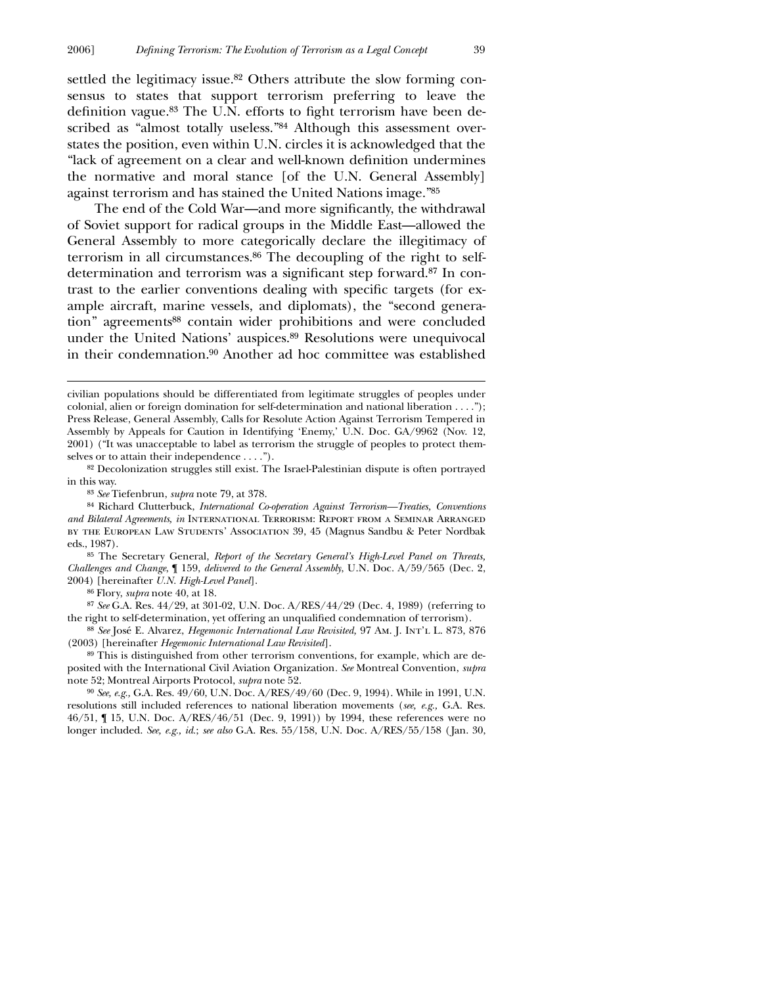settled the legitimacy issue.<sup>82</sup> Others attribute the slow forming consensus to states that support terrorism preferring to leave the definition vague.<sup>83</sup> The U.N. efforts to fight terrorism have been described as "almost totally useless."<sup>84</sup> Although this assessment overstates the position, even within U.N. circles it is acknowledged that the "lack of agreement on a clear and well-known definition undermines the normative and moral stance [of the U.N. General Assembly] against terrorism and has stained the United Nations image."85

The end of the Cold War—and more significantly, the withdrawal of Soviet support for radical groups in the Middle East—allowed the General Assembly to more categorically declare the illegitimacy of terrorism in all circumstances.86 The decoupling of the right to selfdetermination and terrorism was a significant step forward.<sup>87</sup> In contrast to the earlier conventions dealing with specific targets (for example aircraft, marine vessels, and diplomats), the "second generation" agreements<sup>88</sup> contain wider prohibitions and were concluded under the United Nations' auspices.89 Resolutions were unequivocal in their condemnation.90 Another ad hoc committee was established

85 The Secretary General, *Report of the Secretary General's High-Level Panel on Threats, Challenges and Change*, ¶ 159, *delivered to the General Assembly*, U.N. Doc. A/59/565 (Dec. 2, 2004) [hereinafter *U.N. High-Level Panel*].

86 Flory, *supra* note 40, at 18.

 $\overline{a}$ 

87 *See* G.A. Res. 44/29, at 301-02, U.N. Doc. A/RES/44/29 (Dec. 4, 1989) (referring to the right to self-determination, yet offering an unqualified condemnation of terrorism).

88 *See* José E. Alvarez, *Hegemonic International Law Revisited,* 97 Am. J. Int'l L. 873, 876 (2003) [hereinafter *Hegemonic International Law Revisited*].

89 This is distinguished from other terrorism conventions, for example, which are deposited with the International Civil Aviation Organization*. See* Montreal Convention, *supra* note 52; Montreal Airports Protocol, *supra* note 52.

90 *See, e.g.,* G.A. Res. 49/60, U.N. Doc. A/RES/49/60 (Dec. 9, 1994). While in 1991, U.N. resolutions still included references to national liberation movements (*see, e.g.,* G.A. Res. 46/51, ¶ 15, U.N. Doc. A/RES/46/51 (Dec. 9, 1991)) by 1994, these references were no longer included. *See, e.g., id.*; *see also* G.A. Res. 55/158, U.N. Doc. A/RES/55/158 (Jan. 30,

civilian populations should be differentiated from legitimate struggles of peoples under colonial, alien or foreign domination for self-determination and national liberation . . . ."); Press Release, General Assembly, Calls for Resolute Action Against Terrorism Tempered in Assembly by Appeals for Caution in Identifying 'Enemy,' U.N. Doc. GA/9962 (Nov. 12, 2001) ("It was unacceptable to label as terrorism the struggle of peoples to protect themselves or to attain their independence . . . .").

<sup>82</sup> Decolonization struggles still exist. The Israel-Palestinian dispute is often portrayed in this way.

<sup>83</sup> *See* Tiefenbrun, *supra* note 79, at 378.

<sup>84</sup> Richard Clutterbuck, *International Co-operation Against Terrorism—Treaties, Conventions and Bilateral Agreements, in* International Terrorism: Report from a Seminar Arranged by the European Law Students' Association 39, 45 (Magnus Sandbu & Peter Nordbak eds., 1987).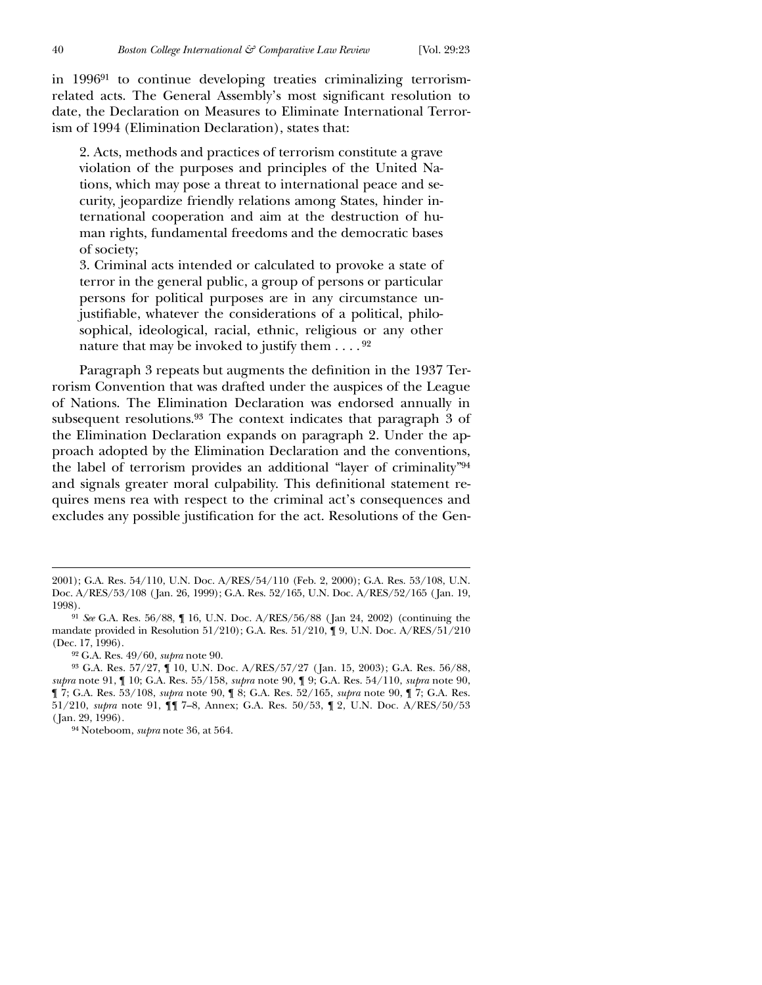$\overline{a}$ 

in 199691 to continue developing treaties criminalizing terrorismrelated acts. The General Assembly's most significant resolution to date, the Declaration on Measures to Eliminate International Terrorism of 1994 (Elimination Declaration), states that:

2. Acts, methods and practices of terrorism constitute a grave violation of the purposes and principles of the United Nations, which may pose a threat to international peace and security, jeopardize friendly relations among States, hinder international cooperation and aim at the destruction of human rights, fundamental freedoms and the democratic bases of society;

3. Criminal acts intended or calculated to provoke a state of terror in the general public, a group of persons or particular persons for political purposes are in any circumstance unjustifiable, whatever the considerations of a political, philosophical, ideological, racial, ethnic, religious or any other nature that may be invoked to justify them  $\dots$ . 92

Paragraph 3 repeats but augments the definition in the 1937 Terrorism Convention that was drafted under the auspices of the League of Nations. The Elimination Declaration was endorsed annually in subsequent resolutions.93 The context indicates that paragraph 3 of the Elimination Declaration expands on paragraph 2. Under the approach adopted by the Elimination Declaration and the conventions, the label of terrorism provides an additional "layer of criminality"94 and signals greater moral culpability. This definitional statement requires mens rea with respect to the criminal act's consequences and excludes any possible justification for the act. Resolutions of the Gen-

92 G.A. Res. 49/60, *supra* note 90.

94 Noteboom, *supra* note 36, at 564.

<sup>2001);</sup> G.A. Res. 54/110, U.N. Doc. A/RES/54/110 (Feb. 2, 2000); G.A. Res. 53/108, U.N. Doc. A/RES/53/108 ( Jan. 26, 1999); G.A. Res. 52/165, U.N. Doc. A/RES/52/165 ( Jan. 19, 1998).

<sup>91</sup> *See* G.A. Res. 56/88, ¶ 16, U.N. Doc. A/RES/56/88 (Jan 24, 2002) (continuing the mandate provided in Resolution 51/210); G.A. Res. 51/210, ¶ 9, U.N. Doc. A/RES/51/210 (Dec. 17, 1996).

<sup>93</sup> G.A. Res. 57/27, ¶ 10, U.N. Doc. A/RES/57/27 ( Jan. 15, 2003); G.A. Res. 56/88, *supra* note 91, ¶ 10; G.A. Res. 55/158, *supra* note 90, ¶ 9; G.A. Res. 54/110, *supra* note 90, ¶ 7; G.A. Res. 53/108, *supra* note 90, ¶ 8; G.A. Res. 52/165, *supra* note 90, ¶ 7; G.A. Res. 51/210, *supra* note 91, ¶¶ 7–8, Annex; G.A. Res. 50/53, ¶ 2, U.N. Doc. A/RES/50/53 ( Jan. 29, 1996).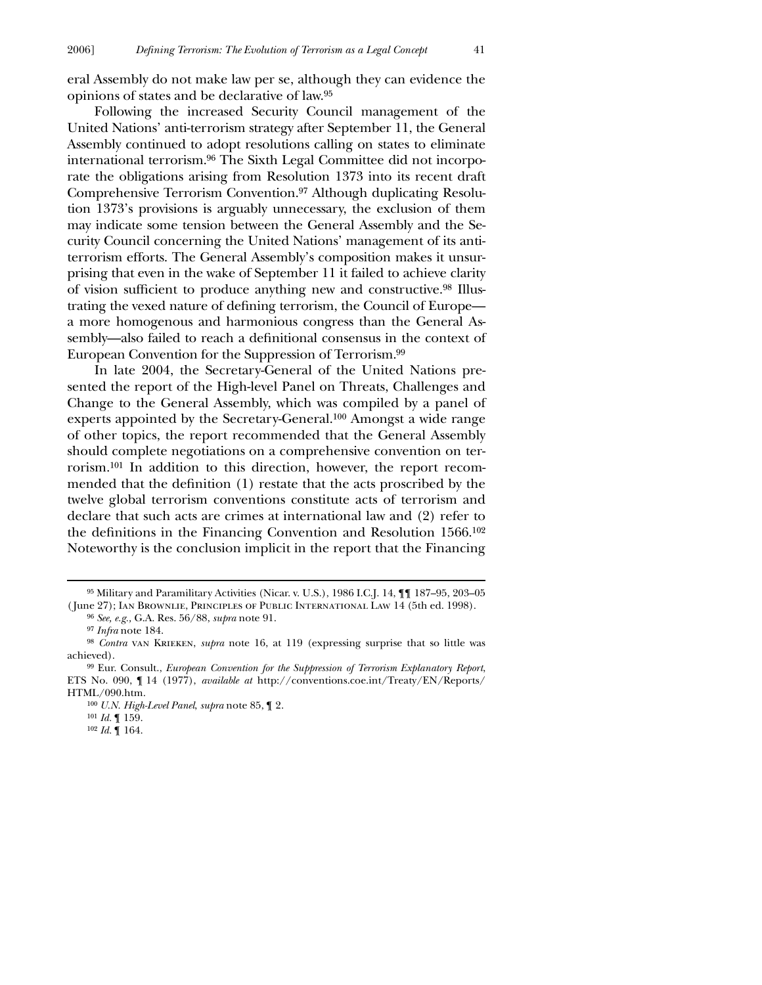eral Assembly do not make law per se, although they can evidence the opinions of states and be declarative of law.95

Following the increased Security Council management of the United Nations' anti-terrorism strategy after September 11, the General Assembly continued to adopt resolutions calling on states to eliminate international terrorism.96 The Sixth Legal Committee did not incorporate the obligations arising from Resolution 1373 into its recent draft Comprehensive Terrorism Convention.97 Although duplicating Resolution 1373's provisions is arguably unnecessary, the exclusion of them may indicate some tension between the General Assembly and the Security Council concerning the United Nations' management of its antiterrorism efforts. The General Assembly's composition makes it unsurprising that even in the wake of September 11 it failed to achieve clarity of vision sufficient to produce anything new and constructive.<sup>98</sup> Illustrating the vexed nature of defining terrorism, the Council of Europe a more homogenous and harmonious congress than the General Assembly—also failed to reach a definitional consensus in the context of European Convention for the Suppression of Terrorism.99

In late 2004, the Secretary-General of the United Nations presented the report of the High-level Panel on Threats, Challenges and Change to the General Assembly, which was compiled by a panel of experts appointed by the Secretary-General.100 Amongst a wide range of other topics, the report recommended that the General Assembly should complete negotiations on a comprehensive convention on terrorism.101 In addition to this direction, however, the report recommended that the definition (1) restate that the acts proscribed by the twelve global terrorism conventions constitute acts of terrorism and declare that such acts are crimes at international law and (2) refer to the definitions in the Financing Convention and Resolution 1566.<sup>102</sup> Noteworthy is the conclusion implicit in the report that the Financing

<sup>95</sup> Military and Paramilitary Activities (Nicar. v. U.S.), 1986 I.C.J. 14, ¶¶ 187–95, 203–05 ( June 27); Ian Brownlie, Principles of Public International Law 14 (5th ed. 1998).

<sup>96</sup> *See, e.g.,* G.A. Res. 56/88, *supra* note 91.

<sup>97</sup> *Infra* note 184.

<sup>&</sup>lt;sup>98</sup> *Contra* van KRIEKEN, *supra* note 16, at 119 (expressing surprise that so little was achieved).

<sup>99</sup> Eur. Consult., *European Convention for the Suppression of Terrorism Explanatory Report*, ETS No. 090, ¶ 14 (1977), *available at* http://conventions.coe.int/Treaty/EN/Reports/ HTML/090.htm.

<sup>100</sup> *U.N. High-Level Panel*, *supra* note 85, ¶ 2.

<sup>101</sup> *Id.* ¶ 159.

<sup>102</sup> *Id.* ¶ 164.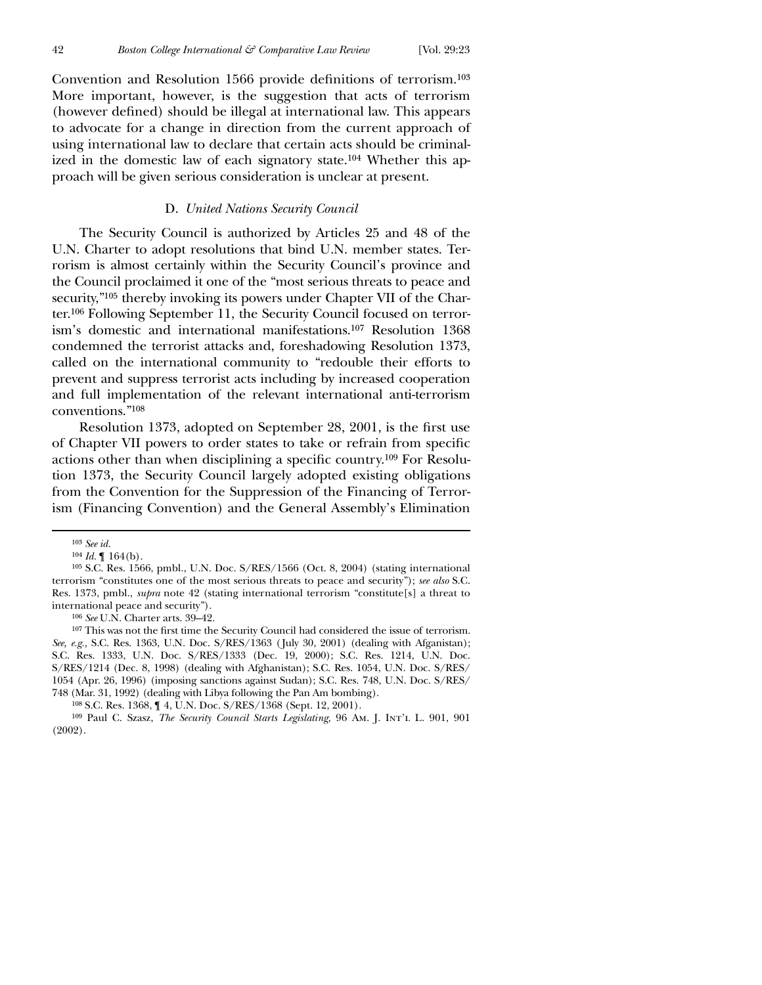Convention and Resolution 1566 provide definitions of terrorism.<sup>103</sup> More important, however, is the suggestion that acts of terrorism (however defined) should be illegal at international law. This appears to advocate for a change in direction from the current approach of using international law to declare that certain acts should be criminalized in the domestic law of each signatory state.104 Whether this approach will be given serious consideration is unclear at present.

#### D. *United Nations Security Council*

The Security Council is authorized by Articles 25 and 48 of the U.N. Charter to adopt resolutions that bind U.N. member states. Terrorism is almost certainly within the Security Council's province and the Council proclaimed it one of the "most serious threats to peace and security,"<sup>105</sup> thereby invoking its powers under Chapter VII of the Charter.106 Following September 11, the Security Council focused on terrorism's domestic and international manifestations.107 Resolution 1368 condemned the terrorist attacks and, foreshadowing Resolution 1373, called on the international community to "redouble their efforts to prevent and suppress terrorist acts including by increased cooperation and full implementation of the relevant international anti-terrorism conventions."108

Resolution 1373, adopted on September 28, 2001, is the first use of Chapter VII powers to order states to take or refrain from specific actions other than when disciplining a specific country.<sup>109</sup> For Resolution 1373, the Security Council largely adopted existing obligations from the Convention for the Suppression of the Financing of Terrorism (Financing Convention) and the General Assembly's Elimination

 $\overline{a}$ 

106 *See* U.N. Charter arts. 39–42.

107 This was not the first time the Security Council had considered the issue of terrorism. *See, e.g.,* S.C. Res. 1363, U.N. Doc. S/RES/1363 ( July 30, 2001) (dealing with Afganistan); S.C. Res. 1333, U.N. Doc. S/RES/1333 (Dec. 19, 2000); S.C. Res. 1214, U.N. Doc. S/RES/1214 (Dec. 8, 1998) (dealing with Afghanistan); S.C. Res. 1054, U.N. Doc. S/RES/ 1054 (Apr. 26, 1996) (imposing sanctions against Sudan); S.C. Res. 748, U.N. Doc. S/RES/ 748 (Mar. 31, 1992) (dealing with Libya following the Pan Am bombing).

<sup>103</sup> *See id.*

 $104$  *Id.*  $\llbracket 164(b) \rrbracket$ .

<sup>105</sup> S.C. Res. 1566, pmbl., U.N. Doc. S/RES/1566 (Oct. 8, 2004) (stating international terrorism "constitutes one of the most serious threats to peace and security"); *see also* S.C. Res. 1373, pmbl., *supra* note 42 (stating international terrorism "constitute[s] a threat to international peace and security").

<sup>108</sup> S.C. Res. 1368, ¶ 4, U.N. Doc. S/RES/1368 (Sept. 12, 2001).

<sup>109</sup> Paul C. Szasz, *The Security Council Starts Legislating,* 96 Am. J. Int'l L. 901, 901 (2002).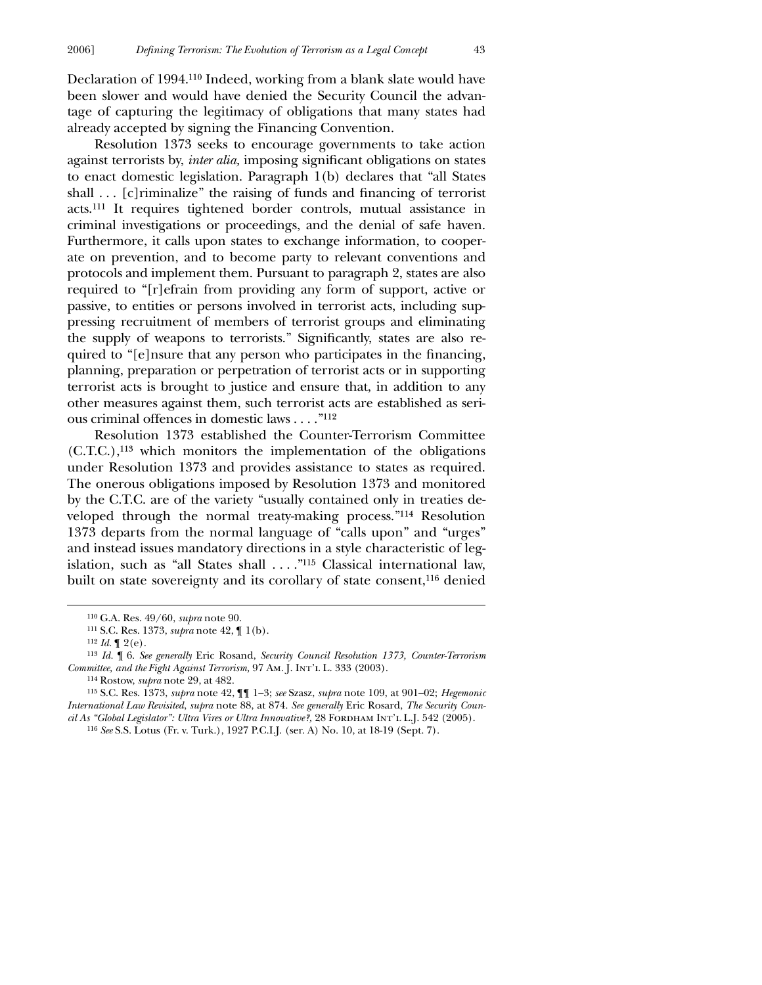Declaration of 1994.110 Indeed, working from a blank slate would have been slower and would have denied the Security Council the advantage of capturing the legitimacy of obligations that many states had already accepted by signing the Financing Convention.

Resolution 1373 seeks to encourage governments to take action against terrorists by, *inter alia*, imposing significant obligations on states to enact domestic legislation. Paragraph 1(b) declares that "all States shall  $\ldots$  [c] riminalize" the raising of funds and financing of terrorist acts.111 It requires tightened border controls, mutual assistance in criminal investigations or proceedings, and the denial of safe haven. Furthermore, it calls upon states to exchange information, to cooperate on prevention, and to become party to relevant conventions and protocols and implement them. Pursuant to paragraph 2, states are also required to "[r]efrain from providing any form of support, active or passive, to entities or persons involved in terrorist acts, including suppressing recruitment of members of terrorist groups and eliminating the supply of weapons to terrorists." Significantly, states are also required to "[e]nsure that any person who participates in the financing, planning, preparation or perpetration of terrorist acts or in supporting terrorist acts is brought to justice and ensure that, in addition to any other measures against them, such terrorist acts are established as serious criminal offences in domestic laws . . . ."112

Resolution 1373 established the Counter-Terrorism Committee (C.T.C.),113 which monitors the implementation of the obligations under Resolution 1373 and provides assistance to states as required. The onerous obligations imposed by Resolution 1373 and monitored by the C.T.C. are of the variety "usually contained only in treaties developed through the normal treaty-making process."114 Resolution 1373 departs from the normal language of "calls upon" and "urges" and instead issues mandatory directions in a style characteristic of legislation, such as "all States shall . . . ."115 Classical international law, built on state sovereignty and its corollary of state consent,116 denied

 $\overline{a}$ 

115 S.C. Res. 1373, *supra* note 42, ¶¶ 1–3; *see* Szasz, *supra* note 109, at 901–02; *Hegemonic International Law Revisited*, *supra* note 88, at 874. *See generally* Eric Rosard, *The Security Council As "Global Legislator": Ultra Vires or Ultra Innovative?,* 28 Fordham Int'l L.J. 542 (2005). 116 *See* S.S. Lotus (Fr. v. Turk.), 1927 P.C.I.J. (ser. A) No. 10, at 18-19 (Sept. 7).

<sup>110</sup> G.A. Res. 49/60, *supra* note 90.

<sup>111</sup> S.C. Res. 1373, *supra* note 42, ¶ 1(b).

 $112$  *Id.*  $\llbracket 2(e)$ .

<sup>113</sup> *Id.* ¶ 6. *See generally* Eric Rosand, *Security Council Resolution 1373, Counter-Terrorism Committee, and the Fight Against Terrorism,* 97 Am. J. Int'l L. 333 (2003).

<sup>114</sup> Rostow, *supra* note 29, at 482.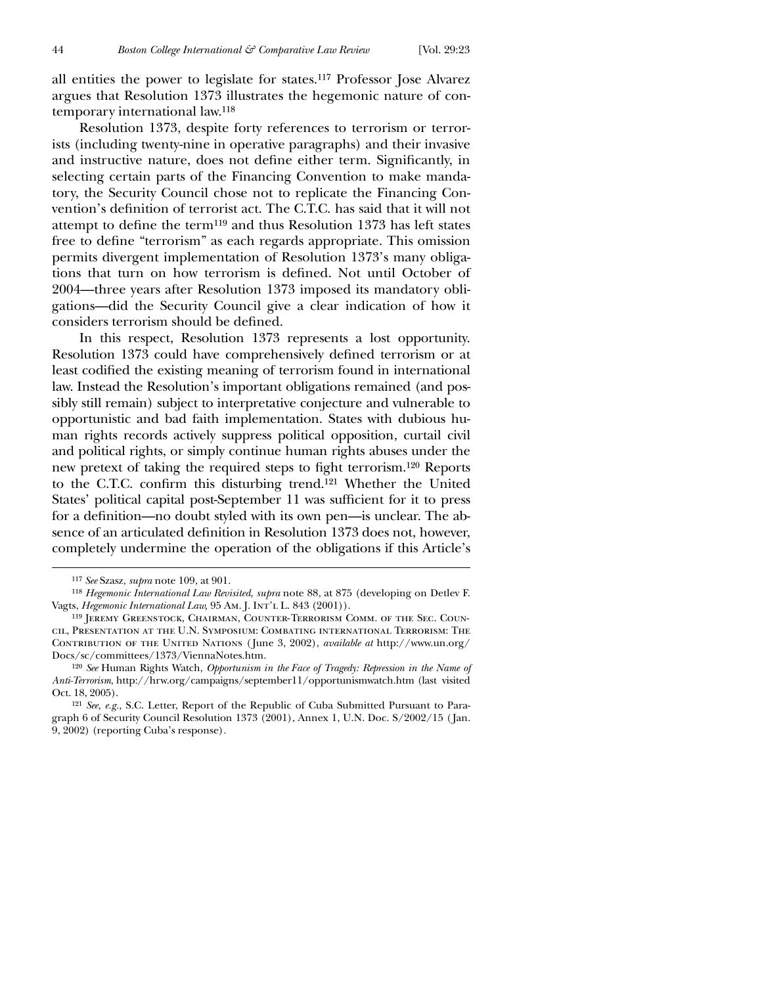all entities the power to legislate for states.117 Professor Jose Alvarez argues that Resolution 1373 illustrates the hegemonic nature of contemporary international law.118

Resolution 1373, despite forty references to terrorism or terrorists (including twenty-nine in operative paragraphs) and their invasive and instructive nature, does not define either term. Significantly, in selecting certain parts of the Financing Convention to make mandatory, the Security Council chose not to replicate the Financing Convention's definition of terrorist act. The C.T.C. has said that it will not attempt to define the term<sup>119</sup> and thus Resolution 1373 has left states free to define "terrorism" as each regards appropriate. This omission permits divergent implementation of Resolution 1373's many obligations that turn on how terrorism is defined. Not until October of 2004—three years after Resolution 1373 imposed its mandatory obligations—did the Security Council give a clear indication of how it considers terrorism should be defined.

In this respect, Resolution 1373 represents a lost opportunity. Resolution 1373 could have comprehensively defined terrorism or at least codified the existing meaning of terrorism found in international law. Instead the Resolution's important obligations remained (and possibly still remain) subject to interpretative conjecture and vulnerable to opportunistic and bad faith implementation. States with dubious human rights records actively suppress political opposition, curtail civil and political rights, or simply continue human rights abuses under the new pretext of taking the required steps to fight terrorism.<sup>120</sup> Reports to the C.T.C. confirm this disturbing trend.<sup>121</sup> Whether the United States' political capital post-September 11 was sufficient for it to press for a definition—no doubt styled with its own pen—is unclear. The absence of an articulated definition in Resolution 1373 does not, however, completely undermine the operation of the obligations if this Article's

<sup>117</sup> *See* Szasz, *supra* note 109, at 901.

<sup>118</sup> *Hegemonic International Law Revisited*, *supra* note 88, at 875 (developing on Detlev F. Vagts, *Hegemonic International Law*, 95 Am. J. INT'L L. 843 (2001)).

<sup>119</sup> Jeremy Greenstock, Chairman, Counter-Terrorism Comm. of the Sec. Council, Presentation at the U.N. Symposium: Combating international Terrorism: The Contribution of the United Nations ( June 3, 2002), *available at* http://www.un.org/ Docs/sc/committees/1373/ViennaNotes.htm.

<sup>120</sup> *See* Human Rights Watch, *Opportunism in the Face of Tragedy: Repression in the Name of Anti-Terrorism*, http://hrw.org/campaigns/september11/opportunismwatch.htm (last visited Oct. 18, 2005).

<sup>121</sup> *See, e.g.,* S.C. Letter, Report of the Republic of Cuba Submitted Pursuant to Paragraph 6 of Security Council Resolution 1373 (2001), Annex 1, U.N. Doc. S/2002/15 ( Jan. 9, 2002) (reporting Cuba's response)*.*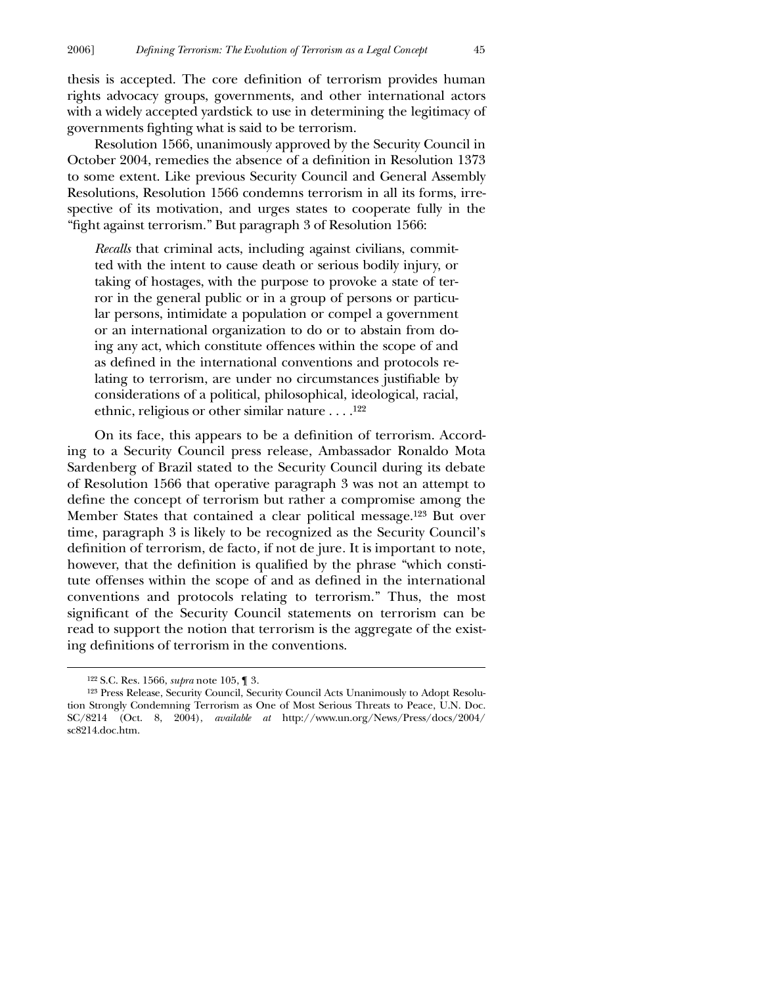thesis is accepted. The core definition of terrorism provides human rights advocacy groups, governments, and other international actors with a widely accepted yardstick to use in determining the legitimacy of governments fighting what is said to be terrorism.

Resolution 1566, unanimously approved by the Security Council in October 2004, remedies the absence of a definition in Resolution 1373 to some extent. Like previous Security Council and General Assembly Resolutions, Resolution 1566 condemns terrorism in all its forms, irrespective of its motivation, and urges states to cooperate fully in the "fight against terrorism." But paragraph 3 of Resolution 1566:

*Recalls* that criminal acts, including against civilians, committed with the intent to cause death or serious bodily injury, or taking of hostages, with the purpose to provoke a state of terror in the general public or in a group of persons or particular persons, intimidate a population or compel a government or an international organization to do or to abstain from doing any act, which constitute offences within the scope of and as defined in the international conventions and protocols relating to terrorism, are under no circumstances justifiable by considerations of a political, philosophical, ideological, racial, ethnic, religious or other similar nature . . . .122

On its face, this appears to be a definition of terrorism. According to a Security Council press release, Ambassador Ronaldo Mota Sardenberg of Brazil stated to the Security Council during its debate of Resolution 1566 that operative paragraph 3 was not an attempt to define the concept of terrorism but rather a compromise among the Member States that contained a clear political message.123 But over time, paragraph 3 is likely to be recognized as the Security Council's definition of terrorism, de facto, if not de jure. It is important to note, however, that the definition is qualified by the phrase "which constitute offenses within the scope of and as defined in the international conventions and protocols relating to terrorism." Thus, the most significant of the Security Council statements on terrorism can be read to support the notion that terrorism is the aggregate of the existing definitions of terrorism in the conventions.

<sup>122</sup> S.C. Res. 1566, *supra* note 105, ¶ 3.

<sup>123</sup> Press Release, Security Council, Security Council Acts Unanimously to Adopt Resolution Strongly Condemning Terrorism as One of Most Serious Threats to Peace, U.N. Doc. SC/8214 (Oct. 8, 2004), *available at* http://www.un.org/News/Press/docs/2004/ sc8214.doc.htm.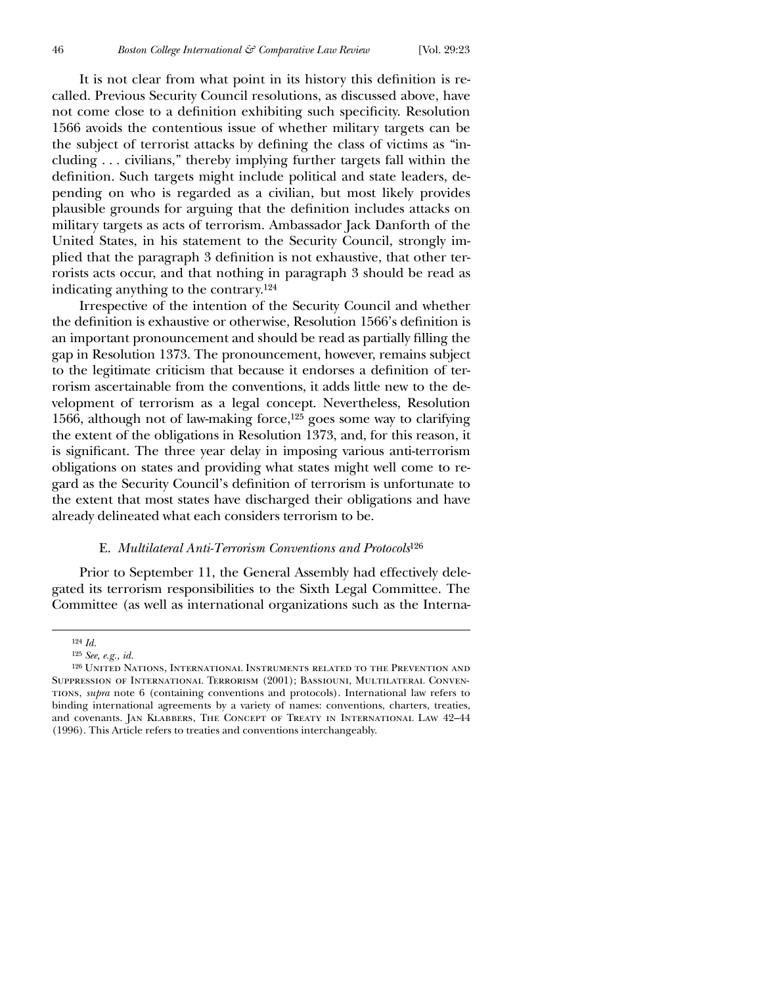It is not clear from what point in its history this definition is recalled. Previous Security Council resolutions, as discussed above, have not come close to a definition exhibiting such specificity. Resolution 1566 avoids the contentious issue of whether military targets can be the subject of terrorist attacks by defining the class of victims as "including . . . civilians," thereby implying further targets fall within the definition. Such targets might include political and state leaders, depending on who is regarded as a civilian, but most likely provides plausible grounds for arguing that the definition includes attacks on military targets as acts of terrorism. Ambassador Jack Danforth of the United States, in his statement to the Security Council, strongly implied that the paragraph 3 definition is not exhaustive, that other terrorists acts occur, and that nothing in paragraph 3 should be read as indicating anything to the contrary.124

Irrespective of the intention of the Security Council and whether the definition is exhaustive or otherwise, Resolution 1566's definition is an important pronouncement and should be read as partially filling the gap in Resolution 1373. The pronouncement, however, remains subject to the legitimate criticism that because it endorses a definition of terrorism ascertainable from the conventions, it adds little new to the development of terrorism as a legal concept. Nevertheless, Resolution 1566, although not of law-making force,125 goes some way to clarifying the extent of the obligations in Resolution 1373, and, for this reason, it is significant. The three year delay in imposing various anti-terrorism obligations on states and providing what states might well come to regard as the Security Council's definition of terrorism is unfortunate to the extent that most states have discharged their obligations and have already delineated what each considers terrorism to be.

#### E. *Multilateral Anti-Terrorism Conventions and Protocols*126

Prior to September 11, the General Assembly had effectively delegated its terrorism responsibilities to the Sixth Legal Committee. The Committee (as well as international organizations such as the Interna-

<sup>124</sup> *Id.*

<sup>125</sup> *See, e.g., id.*

<sup>126</sup> United Nations, International Instruments related to the Prevention and Suppression of International Terrorism (2001); Bassiouni, Multilateral Conventions, *supra* note 6 (containing conventions and protocols). International law refers to binding international agreements by a variety of names: conventions, charters, treaties, and covenants. Jan Klabbers, The Concept of Treaty in International Law 42–44 (1996). This Article refers to treaties and conventions interchangeably.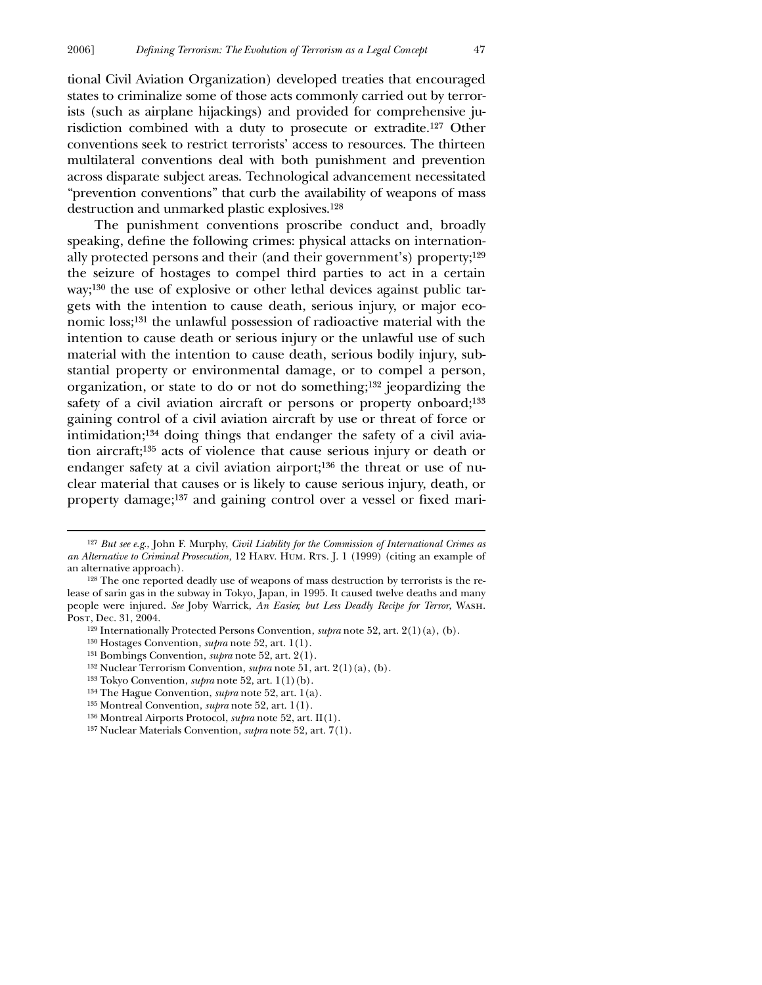tional Civil Aviation Organization) developed treaties that encouraged states to criminalize some of those acts commonly carried out by terrorists (such as airplane hijackings) and provided for comprehensive jurisdiction combined with a duty to prosecute or extradite.127 Other conventions seek to restrict terrorists' access to resources. The thirteen multilateral conventions deal with both punishment and prevention across disparate subject areas. Technological advancement necessitated "prevention conventions" that curb the availability of weapons of mass destruction and unmarked plastic explosives.128

The punishment conventions proscribe conduct and, broadly speaking, define the following crimes: physical attacks on internationally protected persons and their (and their government's) property;129 the seizure of hostages to compel third parties to act in a certain way;130 the use of explosive or other lethal devices against public targets with the intention to cause death, serious injury, or major economic loss;131 the unlawful possession of radioactive material with the intention to cause death or serious injury or the unlawful use of such material with the intention to cause death, serious bodily injury, substantial property or environmental damage, or to compel a person, organization, or state to do or not do something;132 jeopardizing the safety of a civil aviation aircraft or persons or property onboard;<sup>133</sup> gaining control of a civil aviation aircraft by use or threat of force or intimidation;134 doing things that endanger the safety of a civil aviation aircraft;135 acts of violence that cause serious injury or death or endanger safety at a civil aviation airport;<sup>136</sup> the threat or use of nuclear material that causes or is likely to cause serious injury, death, or property damage;<sup>137</sup> and gaining control over a vessel or fixed mari-

<sup>127</sup> *But see e.g*., John F. Murphy, *Civil Liability for the Commission of International Crimes as an Alternative to Criminal Prosecution,* 12 Harv. Hum. Rts. J. 1 (1999) (citing an example of an alternative approach).

<sup>128</sup> The one reported deadly use of weapons of mass destruction by terrorists is the release of sarin gas in the subway in Tokyo, Japan, in 1995. It caused twelve deaths and many people were injured. *See* Joby Warrick, *An Easier, but Less Deadly Recipe for Terror*, Wash. Post, Dec. 31, 2004.

<sup>129</sup> Internationally Protected Persons Convention, *supra* note 52, art. 2(1)(a), (b).

<sup>130</sup> Hostages Convention, *supra* note 52, art. 1(1).

<sup>131</sup> Bombings Convention, *supra* note 52, art. 2(1).

<sup>132</sup> Nuclear Terrorism Convention, *supra* note 51, art. 2(1)(a), (b).

<sup>133</sup> Tokyo Convention, *supra* note 52, art. 1(1)(b).

<sup>134</sup> The Hague Convention, *supra* note 52, art. 1(a).

<sup>135</sup> Montreal Convention, *supra* note 52, art. 1(1).

<sup>136</sup> Montreal Airports Protocol, *supra* note 52, art. II(1).

<sup>137</sup> Nuclear Materials Convention, *supra* note 52, art. 7(1).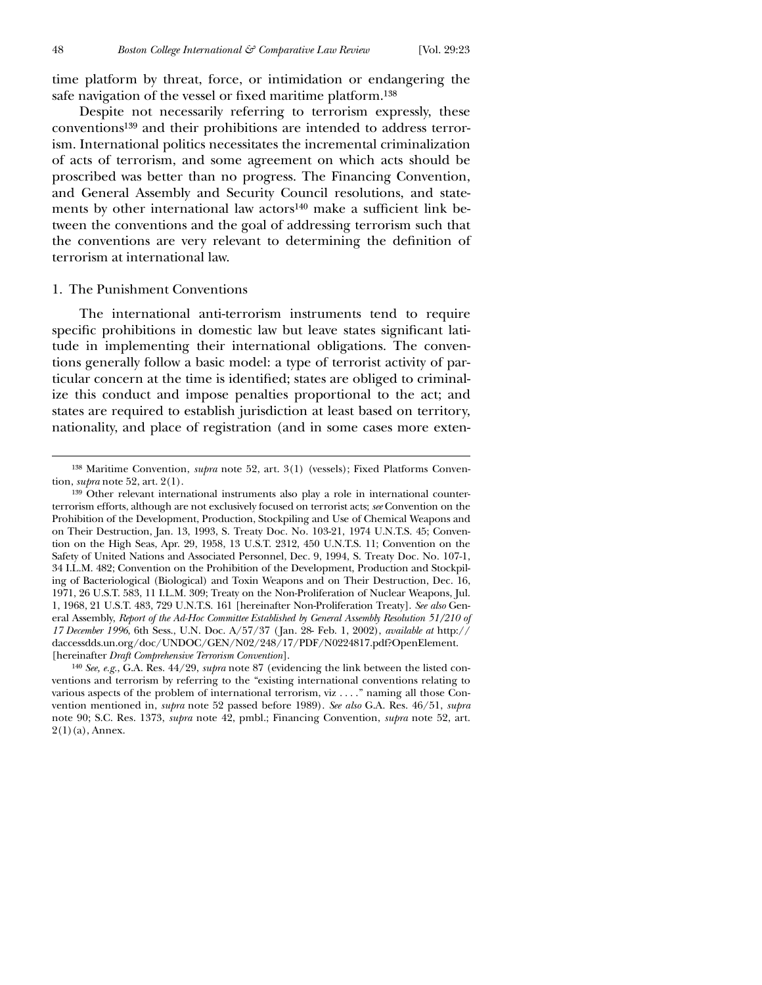$\overline{a}$ 

time platform by threat, force, or intimidation or endangering the safe navigation of the vessel or fixed maritime platform.<sup>138</sup>

Despite not necessarily referring to terrorism expressly, these conventions139 and their prohibitions are intended to address terrorism. International politics necessitates the incremental criminalization of acts of terrorism, and some agreement on which acts should be proscribed was better than no progress. The Financing Convention, and General Assembly and Security Council resolutions, and statements by other international law actors<sup>140</sup> make a sufficient link between the conventions and the goal of addressing terrorism such that the conventions are very relevant to determining the definition of terrorism at international law.

#### 1. The Punishment Conventions

The international anti-terrorism instruments tend to require specific prohibitions in domestic law but leave states significant latitude in implementing their international obligations. The conventions generally follow a basic model: a type of terrorist activity of particular concern at the time is identified; states are obliged to criminalize this conduct and impose penalties proportional to the act; and states are required to establish jurisdiction at least based on territory, nationality, and place of registration (and in some cases more exten-

<sup>138</sup> Maritime Convention, *supra* note 52, art. 3(1) (vessels); Fixed Platforms Convention, *supra* note 52, art. 2(1).

<sup>139</sup> Other relevant international instruments also play a role in international counterterrorism efforts, although are not exclusively focused on terrorist acts; *see* Convention on the Prohibition of the Development, Production, Stockpiling and Use of Chemical Weapons and on Their Destruction, Jan. 13, 1993, S. Treaty Doc. No. 103-21, 1974 U.N.T.S. 45; Convention on the High Seas, Apr. 29, 1958, 13 U.S.T. 2312, 450 U.N.T.S. 11; Convention on the Safety of United Nations and Associated Personnel, Dec. 9, 1994, S. Treaty Doc. No. 107-1, 34 I.L.M. 482; Convention on the Prohibition of the Development, Production and Stockpiling of Bacteriological (Biological) and Toxin Weapons and on Their Destruction, Dec. 16, 1971, 26 U.S.T. 583, 11 I.L.M. 309; Treaty on the Non-Proliferation of Nuclear Weapons, Jul. 1, 1968, 21 U.S.T. 483, 729 U.N.T.S. 161 [hereinafter Non-Proliferation Treaty]. *See also* General Assembly, *Report of the Ad-Hoc Committee Established by General Assembly Resolution 51/210 of 17 December 1996*, 6th Sess., U.N. Doc. A/57/37 (Jan. 28- Feb. 1, 2002), *available at* http:// daccessdds.un.org/doc/UNDOC/GEN/N02/248/17/PDF/N0224817.pdf?OpenElement. [hereinafter *Draft Comprehensive Terrorism Convention*].

<sup>140</sup> *See, e.g.*, G.A. Res. 44/29, *supra* note 87 (evidencing the link between the listed conventions and terrorism by referring to the "existing international conventions relating to various aspects of the problem of international terrorism, viz . . . ." naming all those Convention mentioned in, *supra* note 52 passed before 1989). *See also* G.A. Res. 46/51, *supra* note 90; S.C. Res. 1373, *supra* note 42, pmbl.; Financing Convention, *supra* note 52, art.  $2(1)(a)$ , Annex.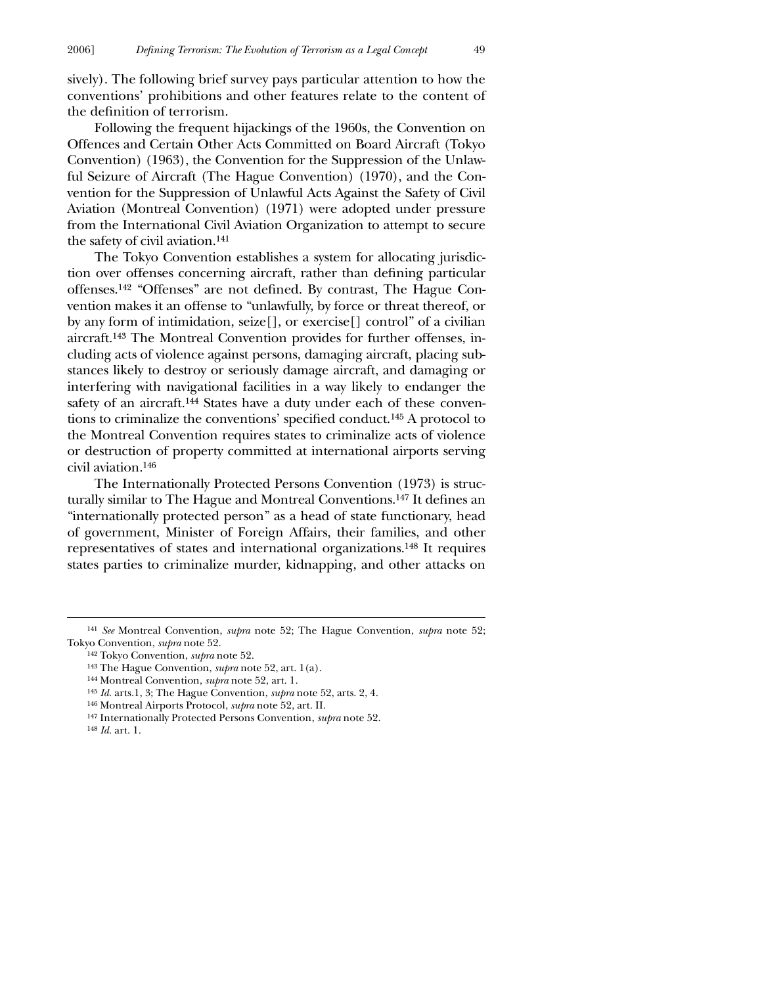sively). The following brief survey pays particular attention to how the conventions' prohibitions and other features relate to the content of the definition of terrorism.

Following the frequent hijackings of the 1960s, the Convention on Offences and Certain Other Acts Committed on Board Aircraft (Tokyo Convention) (1963), the Convention for the Suppression of the Unlawful Seizure of Aircraft (The Hague Convention) (1970), and the Convention for the Suppression of Unlawful Acts Against the Safety of Civil Aviation (Montreal Convention) (1971) were adopted under pressure from the International Civil Aviation Organization to attempt to secure the safety of civil aviation.141

The Tokyo Convention establishes a system for allocating jurisdiction over offenses concerning aircraft, rather than defining particular offenses.<sup>142</sup> "Offenses" are not defined. By contrast, The Hague Convention makes it an offense to "unlawfully, by force or threat thereof, or by any form of intimidation, seize[], or exercise[] control" of a civilian aircraft.143 The Montreal Convention provides for further offenses, including acts of violence against persons, damaging aircraft, placing substances likely to destroy or seriously damage aircraft, and damaging or interfering with navigational facilities in a way likely to endanger the safety of an aircraft.144 States have a duty under each of these conventions to criminalize the conventions' specified conduct.<sup>145</sup> A protocol to the Montreal Convention requires states to criminalize acts of violence or destruction of property committed at international airports serving civil aviation.146

The Internationally Protected Persons Convention (1973) is structurally similar to The Hague and Montreal Conventions.<sup>147</sup> It defines an "internationally protected person" as a head of state functionary, head of government, Minister of Foreign Affairs, their families, and other representatives of states and international organizations.148 It requires states parties to criminalize murder, kidnapping, and other attacks on

- 146 Montreal Airports Protocol, *supra* note 52, art. II.
- 147 Internationally Protected Persons Convention, *supra* note 52.

<sup>141</sup> *See* Montreal Convention, *supra* note 52; The Hague Convention, *supra* note 52; Tokyo Convention, *supra* note 52.

<sup>142</sup> Tokyo Convention, *supra* note 52.

<sup>143</sup> The Hague Convention, *supra* note 52, art. 1(a).

<sup>144</sup> Montreal Convention, *supra* note 52, art. 1.

<sup>145</sup> *Id.* arts.1, 3; The Hague Convention, *supra* note 52, arts. 2, 4.

<sup>148</sup> *Id.* art. 1.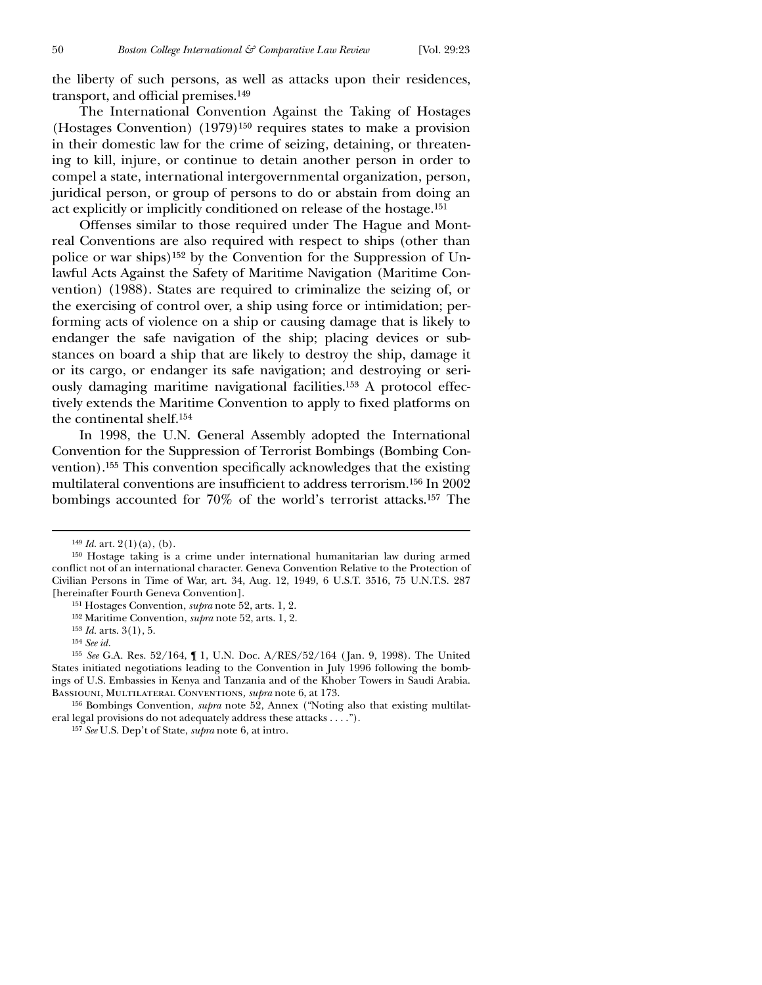the liberty of such persons, as well as attacks upon their residences, transport, and official premises.<sup>149</sup>

The International Convention Against the Taking of Hostages (Hostages Convention) (1979)150 requires states to make a provision in their domestic law for the crime of seizing, detaining, or threatening to kill, injure, or continue to detain another person in order to compel a state, international intergovernmental organization, person, juridical person, or group of persons to do or abstain from doing an act explicitly or implicitly conditioned on release of the hostage.151

Offenses similar to those required under The Hague and Montreal Conventions are also required with respect to ships (other than police or war ships)152 by the Convention for the Suppression of Unlawful Acts Against the Safety of Maritime Navigation (Maritime Convention) (1988). States are required to criminalize the seizing of, or the exercising of control over, a ship using force or intimidation; performing acts of violence on a ship or causing damage that is likely to endanger the safe navigation of the ship; placing devices or substances on board a ship that are likely to destroy the ship, damage it or its cargo, or endanger its safe navigation; and destroying or seriously damaging maritime navigational facilities.153 A protocol effectively extends the Maritime Convention to apply to fixed platforms on the continental shelf.154

In 1998, the U.N. General Assembly adopted the International Convention for the Suppression of Terrorist Bombings (Bombing Convention).<sup>155</sup> This convention specifically acknowledges that the existing multilateral conventions are insufficient to address terrorism.<sup>156</sup> In 2002 bombings accounted for 70% of the world's terrorist attacks.157 The

 $149$  *Id.* art.  $2(1)(a)$ , (b).

<sup>150</sup> Hostage taking is a crime under international humanitarian law during armed conflict not of an international character. Geneva Convention Relative to the Protection of Civilian Persons in Time of War, art. 34, Aug. 12, 1949, 6 U.S.T. 3516, 75 U.N.T.S. 287 [hereinafter Fourth Geneva Convention].

<sup>151</sup> Hostages Convention, *supra* note 52, arts. 1, 2.

<sup>152</sup> Maritime Convention, *supra* note 52, arts. 1, 2.

<sup>153</sup> *Id.* arts. 3(1), 5.

<sup>154</sup> *See id.*

<sup>155</sup> *See* G.A. Res. 52/164, ¶ 1, U.N. Doc. A/RES/52/164 ( Jan. 9, 1998). The United States initiated negotiations leading to the Convention in July 1996 following the bombings of U.S. Embassies in Kenya and Tanzania and of the Khober Towers in Saudi Arabia. Bassiouni, Multilateral Conventions*, supra* note 6, at 173.

<sup>156</sup> Bombings Convention, *supra* note 52, Annex ("Noting also that existing multilateral legal provisions do not adequately address these attacks . . . .").

<sup>157</sup> *See* U.S. Dep't of State, *supra* note 6, at intro.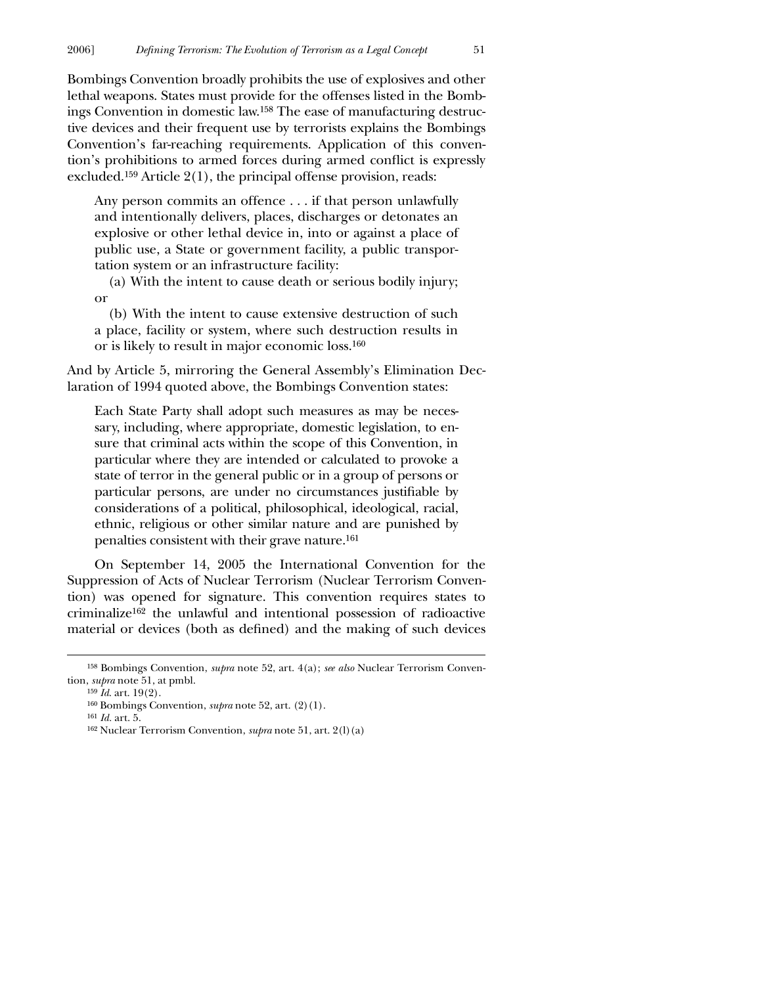Bombings Convention broadly prohibits the use of explosives and other lethal weapons. States must provide for the offenses listed in the Bombings Convention in domestic law.158 The ease of manufacturing destructive devices and their frequent use by terrorists explains the Bombings Convention's far-reaching requirements. Application of this convention's prohibitions to armed forces during armed conflict is expressly excluded.159 Article 2(1), the principal offense provision, reads:

Any person commits an offence . . . if that person unlawfully and intentionally delivers, places, discharges or detonates an explosive or other lethal device in, into or against a place of public use, a State or government facility, a public transportation system or an infrastructure facility:

(a) With the intent to cause death or serious bodily injury; or

(b) With the intent to cause extensive destruction of such a place, facility or system, where such destruction results in or is likely to result in major economic loss.160

And by Article 5, mirroring the General Assembly's Elimination Declaration of 1994 quoted above, the Bombings Convention states:

Each State Party shall adopt such measures as may be necessary, including, where appropriate, domestic legislation, to ensure that criminal acts within the scope of this Convention, in particular where they are intended or calculated to provoke a state of terror in the general public or in a group of persons or particular persons, are under no circumstances justifiable by considerations of a political, philosophical, ideological, racial, ethnic, religious or other similar nature and are punished by penalties consistent with their grave nature.161

On September 14, 2005 the International Convention for the Suppression of Acts of Nuclear Terrorism (Nuclear Terrorism Convention) was opened for signature. This convention requires states to criminalize162 the unlawful and intentional possession of radioactive material or devices (both as defined) and the making of such devices

<sup>158</sup> Bombings Convention, *supra* note 52, art. 4(a); *see also* Nuclear Terrorism Convention, *supra* note 51, at pmbl.

<sup>159</sup> *Id*. art. 19(2).

<sup>160</sup> Bombings Convention, *supra* note 52, art. (2)(1).

<sup>161</sup> *Id.* art. 5.

<sup>162</sup> Nuclear Terrorism Convention, *supra* note 51, art. 2(l)(a)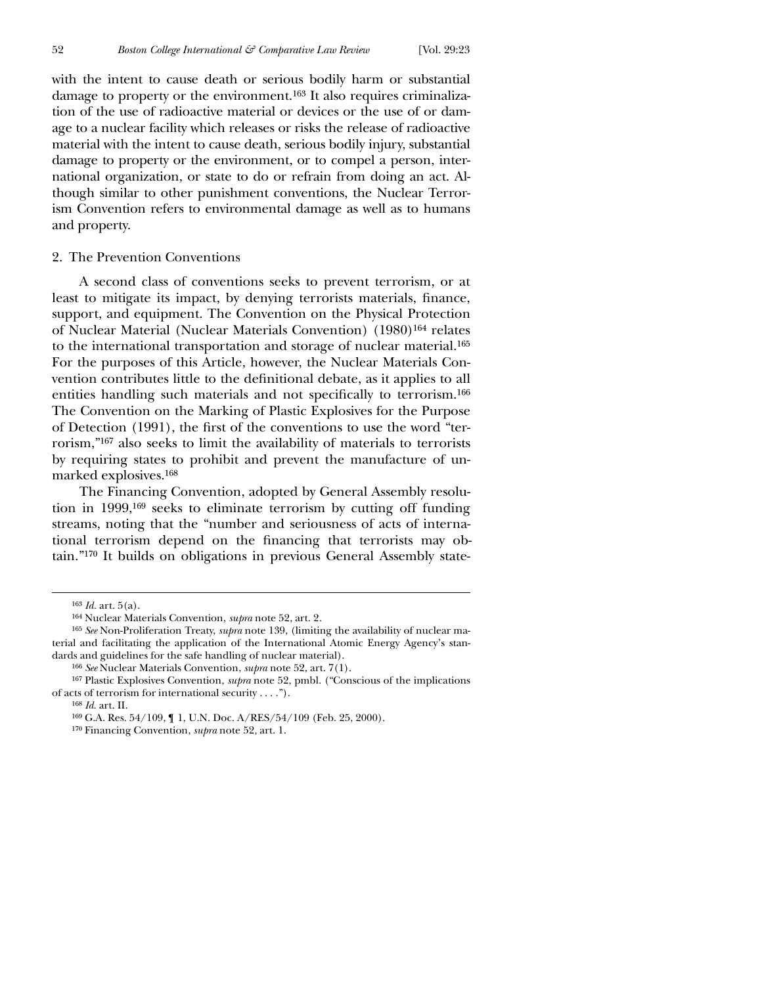with the intent to cause death or serious bodily harm or substantial damage to property or the environment.163 It also requires criminalization of the use of radioactive material or devices or the use of or damage to a nuclear facility which releases or risks the release of radioactive material with the intent to cause death, serious bodily injury, substantial damage to property or the environment, or to compel a person, international organization, or state to do or refrain from doing an act. Although similar to other punishment conventions, the Nuclear Terrorism Convention refers to environmental damage as well as to humans and property.

### 2. The Prevention Conventions

A second class of conventions seeks to prevent terrorism, or at least to mitigate its impact, by denying terrorists materials, finance, support, and equipment. The Convention on the Physical Protection of Nuclear Material (Nuclear Materials Convention) (1980)164 relates to the international transportation and storage of nuclear material.165 For the purposes of this Article, however, the Nuclear Materials Convention contributes little to the definitional debate, as it applies to all entities handling such materials and not specifically to terrorism.<sup>166</sup> The Convention on the Marking of Plastic Explosives for the Purpose of Detection (1991), the first of the conventions to use the word "terrorism,"167 also seeks to limit the availability of materials to terrorists by requiring states to prohibit and prevent the manufacture of unmarked explosives.168

The Financing Convention, adopted by General Assembly resolution in 1999,169 seeks to eliminate terrorism by cutting off funding streams, noting that the "number and seriousness of acts of international terrorism depend on the financing that terrorists may obtain."170 It builds on obligations in previous General Assembly state-

<sup>163</sup> *Id.* art. 5(a).

<sup>164</sup> Nuclear Materials Convention, *supra* note 52, art. 2.

<sup>165</sup> *See* Non-Proliferation Treaty, *supra* note 139, (limiting the availability of nuclear material and facilitating the application of the International Atomic Energy Agency's standards and guidelines for the safe handling of nuclear material).

<sup>166</sup> *See* Nuclear Materials Convention, *supra* note 52, art. 7(1).

<sup>167</sup> Plastic Explosives Convention, *supra* note 52, pmbl. ("Conscious of the implications of acts of terrorism for international security . . . .").

<sup>168</sup> *Id*. art. II.

<sup>169</sup> G.A. Res. 54/109, ¶ 1, U.N. Doc. A/RES/54/109 (Feb. 25, 2000).

<sup>170</sup> Financing Convention, *supra* note 52, art. 1.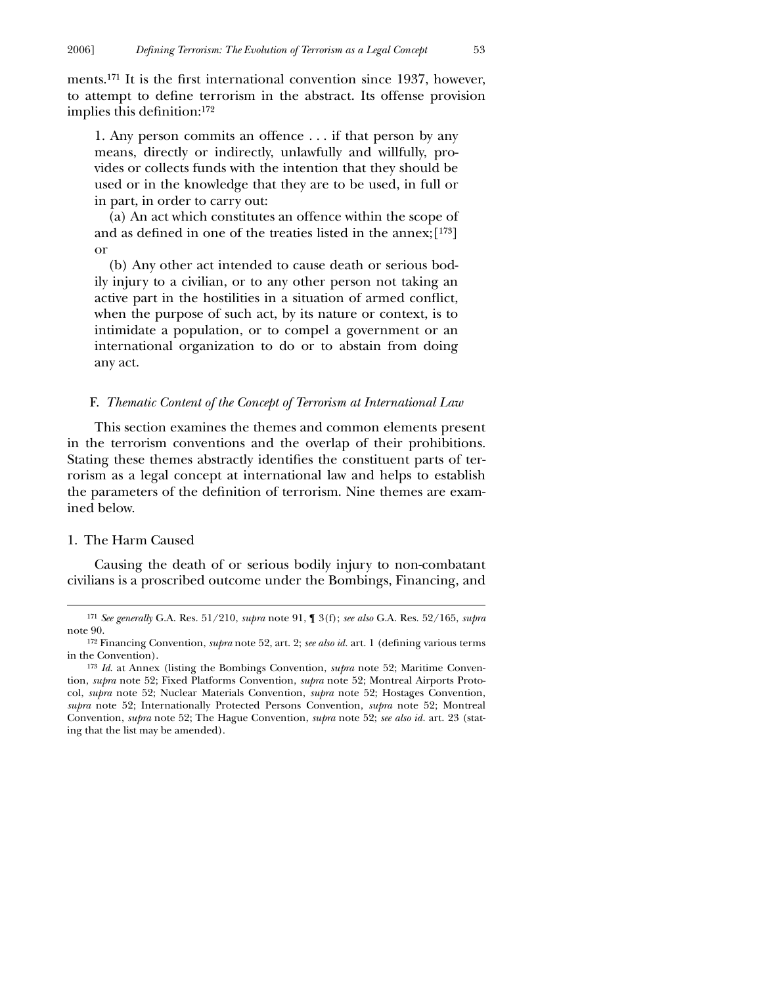ments.<sup>171</sup> It is the first international convention since 1937, however, to attempt to define terrorism in the abstract. Its offense provision implies this definition: $172$ 

1. Any person commits an offence . . . if that person by any means, directly or indirectly, unlawfully and willfully, provides or collects funds with the intention that they should be used or in the knowledge that they are to be used, in full or in part, in order to carry out:

(a) An act which constitutes an offence within the scope of and as defined in one of the treaties listed in the annex;[173] or

(b) Any other act intended to cause death or serious bodily injury to a civilian, or to any other person not taking an active part in the hostilities in a situation of armed conflict, when the purpose of such act, by its nature or context, is to intimidate a population, or to compel a government or an international organization to do or to abstain from doing any act.

#### F. *Thematic Content of the Concept of Terrorism at International Law*

This section examines the themes and common elements present in the terrorism conventions and the overlap of their prohibitions. Stating these themes abstractly identifies the constituent parts of terrorism as a legal concept at international law and helps to establish the parameters of the definition of terrorism. Nine themes are examined below.

#### 1. The Harm Caused

 $\overline{a}$ 

Causing the death of or serious bodily injury to non-combatant civilians is a proscribed outcome under the Bombings, Financing, and

<sup>171</sup> *See generally* G.A. Res. 51/210, *supra* note 91, ¶ 3(f); *see also* G.A. Res. 52/165, *supra* note 90.

<sup>&</sup>lt;sup>172</sup> Financing Convention, *supra* note 52, art. 2; *see also id.* art. 1 (defining various terms in the Convention).

<sup>173</sup> *Id*. at Annex (listing the Bombings Convention, *supra* note 52; Maritime Convention, *supra* note 52; Fixed Platforms Convention, *supra* note 52; Montreal Airports Protocol, *supra* note 52; Nuclear Materials Convention, *supra* note 52; Hostages Convention, *supra* note 52; Internationally Protected Persons Convention, *supra* note 52; Montreal Convention, *supra* note 52; The Hague Convention, *supra* note 52; *see also id.* art. 23 (stating that the list may be amended).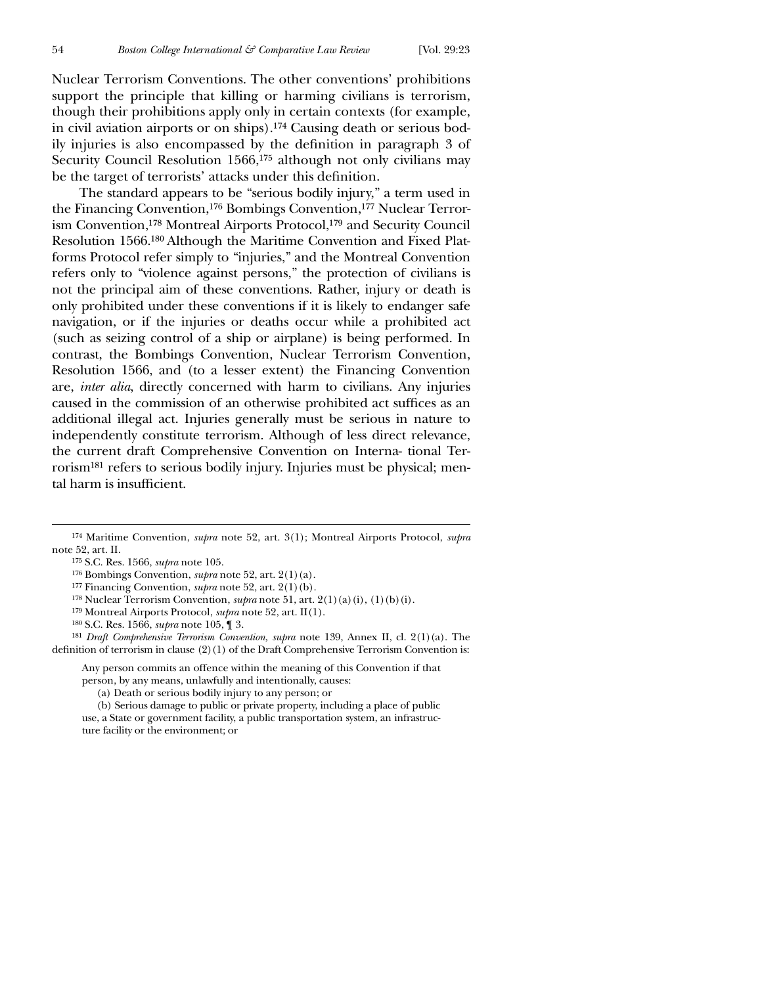$\overline{a}$ 

Nuclear Terrorism Conventions. The other conventions' prohibitions support the principle that killing or harming civilians is terrorism, though their prohibitions apply only in certain contexts (for example, in civil aviation airports or on ships).174 Causing death or serious bodily injuries is also encompassed by the definition in paragraph 3 of Security Council Resolution 1566,<sup>175</sup> although not only civilians may be the target of terrorists' attacks under this definition.

The standard appears to be "serious bodily injury," a term used in the Financing Convention,176 Bombings Convention,177 Nuclear Terrorism Convention,178 Montreal Airports Protocol,179 and Security Council Resolution 1566.180 Although the Maritime Convention and Fixed Platforms Protocol refer simply to "injuries," and the Montreal Convention refers only to "violence against persons," the protection of civilians is not the principal aim of these conventions. Rather, injury or death is only prohibited under these conventions if it is likely to endanger safe navigation, or if the injuries or deaths occur while a prohibited act (such as seizing control of a ship or airplane) is being performed. In contrast, the Bombings Convention, Nuclear Terrorism Convention, Resolution 1566, and (to a lesser extent) the Financing Convention are, *inter alia*, directly concerned with harm to civilians. Any injuries caused in the commission of an otherwise prohibited act suffices as an additional illegal act. Injuries generally must be serious in nature to independently constitute terrorism. Although of less direct relevance, the current draft Comprehensive Convention on Interna- tional Terrorism181 refers to serious bodily injury. Injuries must be physical; mental harm is insufficient.

- 179 Montreal Airports Protocol, *supra* note 52, art. II(1).
- 180 S.C. Res. 1566, *supra* note 105, ¶ 3.

181 *Draft Comprehensive Terrorism Convention, supra* note 139, Annex II, cl. 2(1)(a). The definition of terrorism in clause  $(2)(1)$  of the Draft Comprehensive Terrorism Convention is:

Any person commits an offence within the meaning of this Convention if that person, by any means, unlawfully and intentionally, causes:

(a) Death or serious bodily injury to any person; or

(b) Serious damage to public or private property, including a place of public use, a State or government facility, a public transportation system, an infrastructure facility or the environment; or

<sup>174</sup> Maritime Convention, *supra* note 52, art. 3(1); Montreal Airports Protocol, *supra* note 52, art. II.

<sup>175</sup> S.C. Res. 1566, *supra* note 105.

<sup>176</sup> Bombings Convention, *supra* note 52, art. 2(1)(a).

<sup>177</sup> Financing Convention, *supra* note 52, art. 2(1)(b).

<sup>178</sup> Nuclear Terrorism Convention, *supra* note 51, art. 2(1)(a)(i), (1)(b)(i).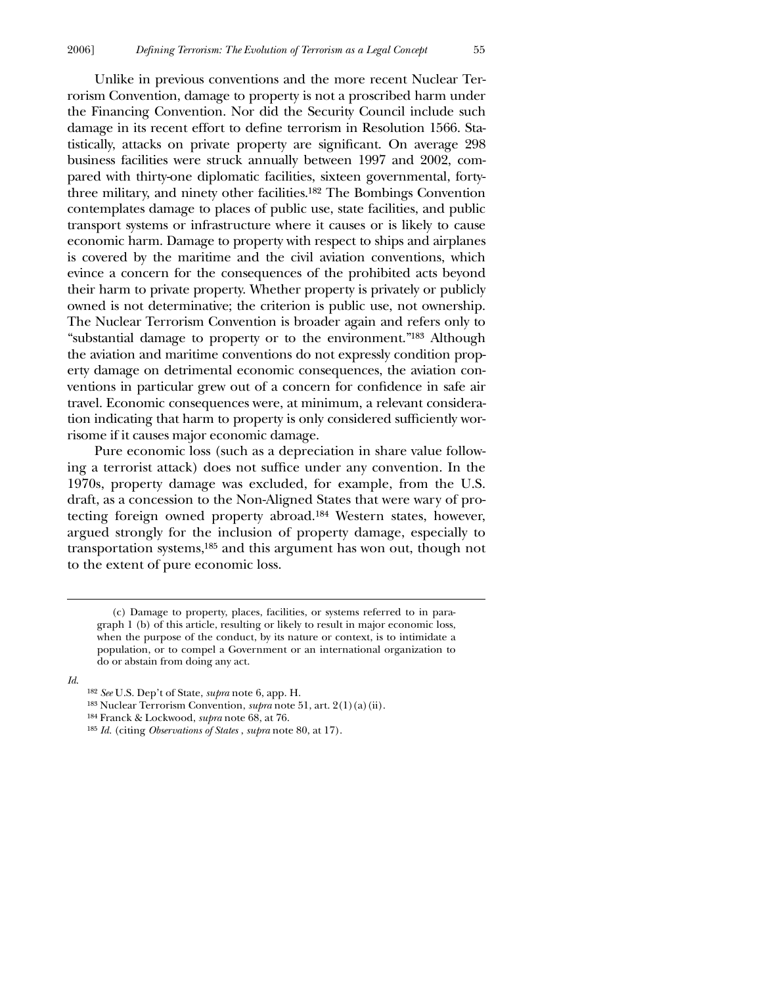Unlike in previous conventions and the more recent Nuclear Terrorism Convention, damage to property is not a proscribed harm under the Financing Convention. Nor did the Security Council include such damage in its recent effort to define terrorism in Resolution 1566. Statistically, attacks on private property are significant. On average 298 business facilities were struck annually between 1997 and 2002, compared with thirty-one diplomatic facilities, sixteen governmental, fortythree military, and ninety other facilities.182 The Bombings Convention contemplates damage to places of public use, state facilities, and public transport systems or infrastructure where it causes or is likely to cause economic harm. Damage to property with respect to ships and airplanes is covered by the maritime and the civil aviation conventions, which evince a concern for the consequences of the prohibited acts beyond their harm to private property. Whether property is privately or publicly owned is not determinative; the criterion is public use, not ownership. The Nuclear Terrorism Convention is broader again and refers only to "substantial damage to property or to the environment."183 Although the aviation and maritime conventions do not expressly condition property damage on detrimental economic consequences, the aviation conventions in particular grew out of a concern for confidence in safe air travel. Economic consequences were, at minimum, a relevant consideration indicating that harm to property is only considered sufficiently worrisome if it causes major economic damage.

Pure economic loss (such as a depreciation in share value following a terrorist attack) does not suffice under any convention. In the 1970s, property damage was excluded, for example, from the U.S. draft, as a concession to the Non-Aligned States that were wary of protecting foreign owned property abroad.184 Western states, however, argued strongly for the inclusion of property damage, especially to transportation systems,185 and this argument has won out, though not to the extent of pure economic loss.

*Id*.

 <sup>(</sup>c) Damage to property, places, facilities, or systems referred to in paragraph 1 (b) of this article, resulting or likely to result in major economic loss, when the purpose of the conduct, by its nature or context, is to intimidate a population, or to compel a Government or an international organization to do or abstain from doing any act.

<sup>182</sup> *See* U.S. Dep't of State, *supra* note 6, app. H.

<sup>183</sup> Nuclear Terrorism Convention, *supra* note 51, art. 2(1)(a)(ii).

<sup>184</sup> Franck & Lockwood, *supra* note 68, at 76.

<sup>185</sup> *Id.* (citing *Observations of States* , *supra* note 80, at 17).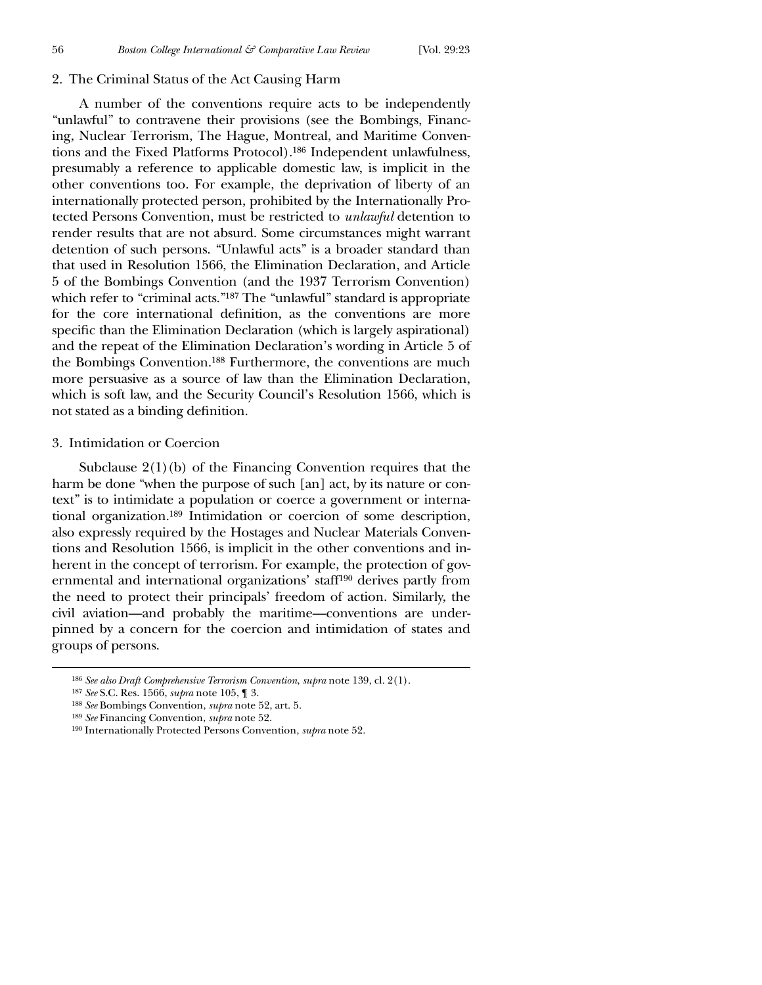#### 2. The Criminal Status of the Act Causing Harm

A number of the conventions require acts to be independently "unlawful" to contravene their provisions (see the Bombings, Financing, Nuclear Terrorism, The Hague, Montreal, and Maritime Conventions and the Fixed Platforms Protocol).186 Independent unlawfulness, presumably a reference to applicable domestic law, is implicit in the other conventions too. For example, the deprivation of liberty of an internationally protected person, prohibited by the Internationally Protected Persons Convention, must be restricted to *unlawful* detention to render results that are not absurd. Some circumstances might warrant detention of such persons. "Unlawful acts" is a broader standard than that used in Resolution 1566, the Elimination Declaration, and Article 5 of the Bombings Convention (and the 1937 Terrorism Convention) which refer to "criminal acts."<sup>187</sup> The "unlawful" standard is appropriate for the core international definition, as the conventions are more specific than the Elimination Declaration (which is largely aspirational) and the repeat of the Elimination Declaration's wording in Article 5 of the Bombings Convention.188 Furthermore, the conventions are much more persuasive as a source of law than the Elimination Declaration, which is soft law, and the Security Council's Resolution 1566, which is not stated as a binding definition.

#### 3. Intimidation or Coercion

Subclause  $2(1)(b)$  of the Financing Convention requires that the harm be done "when the purpose of such [an] act, by its nature or context" is to intimidate a population or coerce a government or international organization.189 Intimidation or coercion of some description, also expressly required by the Hostages and Nuclear Materials Conventions and Resolution 1566, is implicit in the other conventions and inherent in the concept of terrorism. For example, the protection of governmental and international organizations' staff190 derives partly from the need to protect their principals' freedom of action. Similarly, the civil aviation—and probably the maritime—conventions are underpinned by a concern for the coercion and intimidation of states and groups of persons.

<sup>186</sup> *See also Draft Comprehensive Terrorism Convention*, *supra* note 139, cl. 2(1).

<sup>187</sup> *See* S.C. Res. 1566, *supra* note 105, ¶ 3.

<sup>188</sup> *See* Bombings Convention, *supra* note 52, art. 5.

<sup>189</sup> *See* Financing Convention, *supra* note 52.

<sup>190</sup> Internationally Protected Persons Convention, *supra* note 52.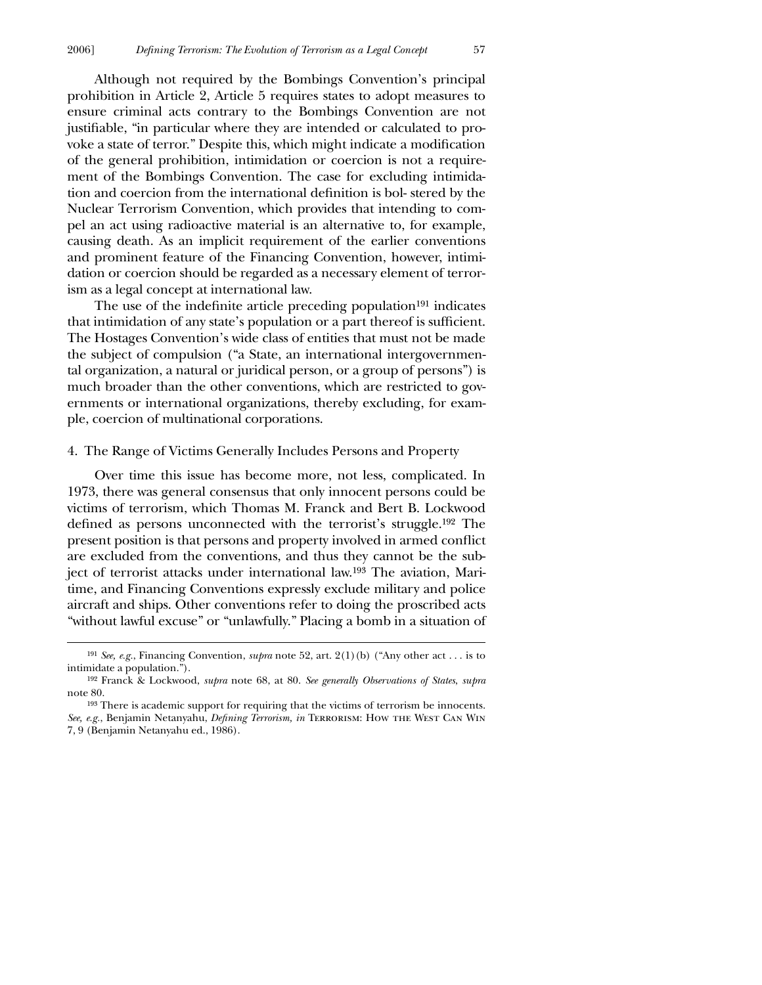Although not required by the Bombings Convention's principal prohibition in Article 2, Article 5 requires states to adopt measures to ensure criminal acts contrary to the Bombings Convention are not justifiable, "in particular where they are intended or calculated to provoke a state of terror." Despite this, which might indicate a modification of the general prohibition, intimidation or coercion is not a requirement of the Bombings Convention. The case for excluding intimidation and coercion from the international definition is bol-stered by the Nuclear Terrorism Convention, which provides that intending to compel an act using radioactive material is an alternative to, for example, causing death. As an implicit requirement of the earlier conventions and prominent feature of the Financing Convention, however, intimidation or coercion should be regarded as a necessary element of terrorism as a legal concept at international law.

The use of the indefinite article preceding population<sup>191</sup> indicates that intimidation of any state's population or a part thereof is sufficient. The Hostages Convention's wide class of entities that must not be made the subject of compulsion ("a State, an international intergovernmental organization, a natural or juridical person, or a group of persons") is much broader than the other conventions, which are restricted to governments or international organizations, thereby excluding, for example, coercion of multinational corporations.

#### 4. The Range of Victims Generally Includes Persons and Property

Over time this issue has become more, not less, complicated. In 1973, there was general consensus that only innocent persons could be victims of terrorism, which Thomas M. Franck and Bert B. Lockwood defined as persons unconnected with the terrorist's struggle.<sup>192</sup> The present position is that persons and property involved in armed conflict are excluded from the conventions, and thus they cannot be the subject of terrorist attacks under international law.193 The aviation, Maritime, and Financing Conventions expressly exclude military and police aircraft and ships. Other conventions refer to doing the proscribed acts "without lawful excuse" or "unlawfully." Placing a bomb in a situation of

<sup>191</sup> *See, e.g.*, Financing Convention, *supra* note 52, art. 2(1)(b) ("Any other act . . . is to intimidate a population.").

<sup>192</sup> Franck & Lockwood, *supra* note 68, at 80. *See generally Observations of States*, *supra* note 80.

<sup>193</sup> There is academic support for requiring that the victims of terrorism be innocents. See, e.g., Benjamin Netanyahu, *Defining Terrorism, in* TERRORISM: HOW THE WEST CAN WIN 7, 9 (Benjamin Netanyahu ed., 1986).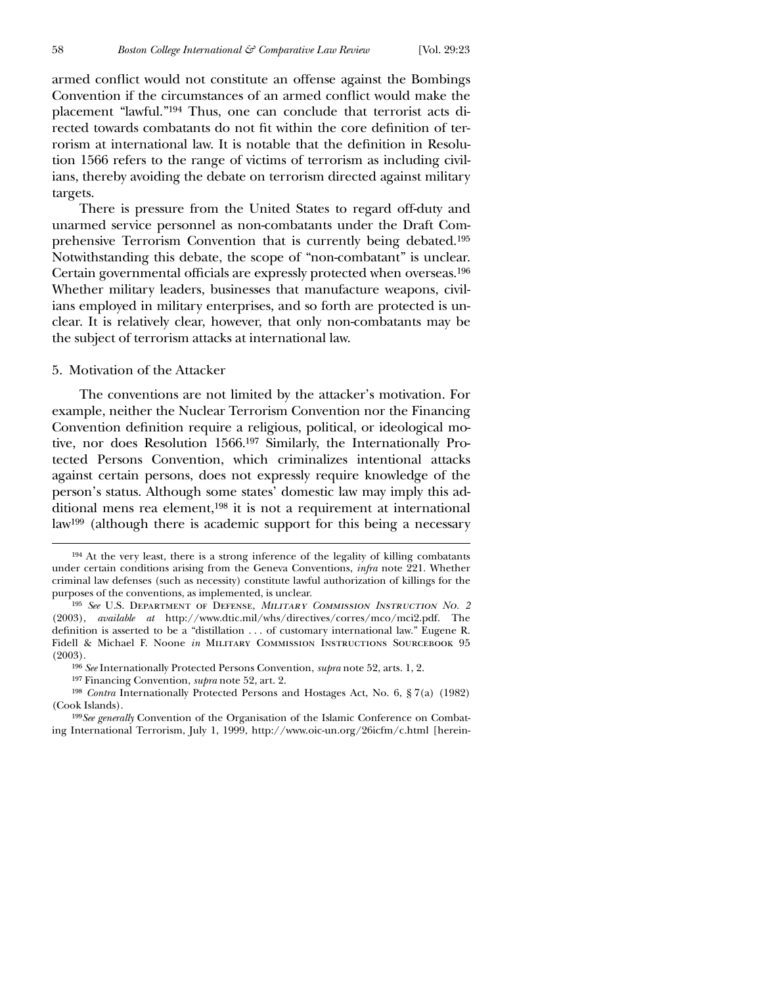armed conflict would not constitute an offense against the Bombings Convention if the circumstances of an armed conflict would make the placement "lawful."194 Thus, one can conclude that terrorist acts directed towards combatants do not fit within the core definition of terrorism at international law. It is notable that the definition in Resolution 1566 refers to the range of victims of terrorism as including civilians, thereby avoiding the debate on terrorism directed against military targets.

There is pressure from the United States to regard off-duty and unarmed service personnel as non-combatants under the Draft Comprehensive Terrorism Convention that is currently being debated.195 Notwithstanding this debate, the scope of "non-combatant" is unclear. Certain governmental officials are expressly protected when overseas.<sup>196</sup> Whether military leaders, businesses that manufacture weapons, civilians employed in military enterprises, and so forth are protected is unclear. It is relatively clear, however, that only non-combatants may be the subject of terrorism attacks at international law.

### 5. Motivation of the Attacker

The conventions are not limited by the attacker's motivation. For example, neither the Nuclear Terrorism Convention nor the Financing Convention definition require a religious, political, or ideological motive, nor does Resolution 1566.197 Similarly, the Internationally Protected Persons Convention, which criminalizes intentional attacks against certain persons, does not expressly require knowledge of the person's status. Although some states' domestic law may imply this additional mens rea element,198 it is not a requirement at international law199 (although there is academic support for this being a necessary

<sup>194</sup> At the very least, there is a strong inference of the legality of killing combatants under certain conditions arising from the Geneva Conventions, *infra* note 221. Whether criminal law defenses (such as necessity) constitute lawful authorization of killings for the purposes of the conventions, as implemented, is unclear.

<sup>195</sup> *See* U.S. Department of Defense, *Military Commission Instruction No. 2* (2003), *available at* http://www.dtic.mil/whs/directives/corres/mco/mci2.pdf. The definition is asserted to be a "distillation  $\ldots$  of customary international law." Eugene R. Fidell & Michael F. Noone *in* Military Commission Instructions Sourcebook 95 (2003).

<sup>196</sup> *See* Internationally Protected Persons Convention, *supra* note 52, arts. 1, 2.

<sup>197</sup> Financing Convention, *supra* note 52, art. 2.

<sup>198</sup> *Contra* Internationally Protected Persons and Hostages Act, No. 6, § 7(a) (1982) (Cook Islands).

<sup>199</sup>*See generally* Convention of the Organisation of the Islamic Conference on Combating International Terrorism, July 1, 1999, http://www.oic-un.org/26icfm/c.html [herein-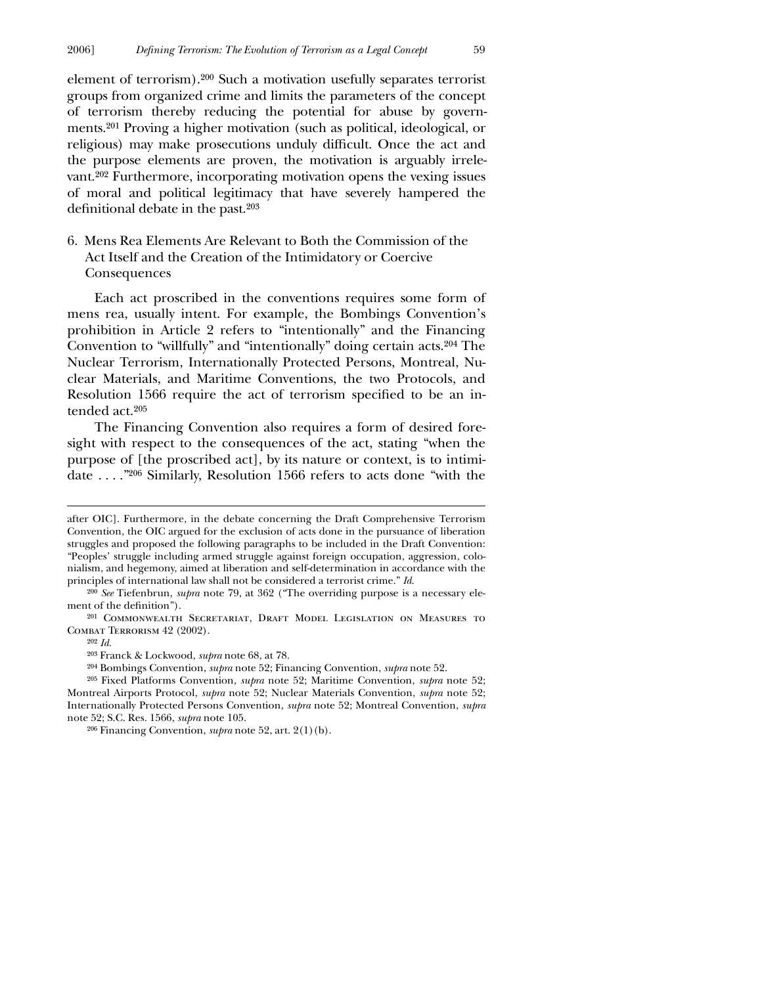element of terrorism).200 Such a motivation usefully separates terrorist groups from organized crime and limits the parameters of the concept of terrorism thereby reducing the potential for abuse by governments.201 Proving a higher motivation (such as political, ideological, or religious) may make prosecutions unduly difficult. Once the act and the purpose elements are proven, the motivation is arguably irrelevant.202 Furthermore, incorporating motivation opens the vexing issues of moral and political legitimacy that have severely hampered the definitional debate in the past. $203$ 

# 6. Mens Rea Elements Are Relevant to Both the Commission of the Act Itself and the Creation of the Intimidatory or Coercive Consequences

Each act proscribed in the conventions requires some form of mens rea, usually intent. For example, the Bombings Convention's prohibition in Article 2 refers to "intentionally" and the Financing Convention to "willfully" and "intentionally" doing certain acts.204 The Nuclear Terrorism, Internationally Protected Persons, Montreal, Nuclear Materials, and Maritime Conventions, the two Protocols, and Resolution 1566 require the act of terrorism specified to be an intended act.205

The Financing Convention also requires a form of desired foresight with respect to the consequences of the act, stating "when the purpose of [the proscribed act], by its nature or context, is to intimidate . . . ."206 Similarly, Resolution 1566 refers to acts done "with the

after OIC]. Furthermore, in the debate concerning the Draft Comprehensive Terrorism Convention, the OIC argued for the exclusion of acts done in the pursuance of liberation struggles and proposed the following paragraphs to be included in the Draft Convention: "Peoples' struggle including armed struggle against foreign occupation, aggression, colonialism, and hegemony, aimed at liberation and self-determination in accordance with the principles of international law shall not be considered a terrorist crime." *Id*.

<sup>200</sup> *See* Tiefenbrun, *supra* note 79, at 362 ("The overriding purpose is a necessary element of the definition").

<sup>201</sup> Commonwealth Secretariat, Draft Model Legislation on Measures to Combat Terrorism 42 (2002).

<sup>202</sup> *Id.*

<sup>203</sup> Franck & Lockwood, *supra* note 68, at 78.

<sup>204</sup> Bombings Convention, *supra* note 52; Financing Convention, *supra* note 52.

<sup>205</sup> Fixed Platforms Convention, *supra* note 52; Maritime Convention, *supra* note 52; Montreal Airports Protocol, *supra* note 52; Nuclear Materials Convention, *supra* note 52; Internationally Protected Persons Convention, *supra* note 52; Montreal Convention, *supra* note 52; S.C. Res. 1566, *supra* note 105.

<sup>206</sup> Financing Convention, *supra* note 52, art. 2(1)(b).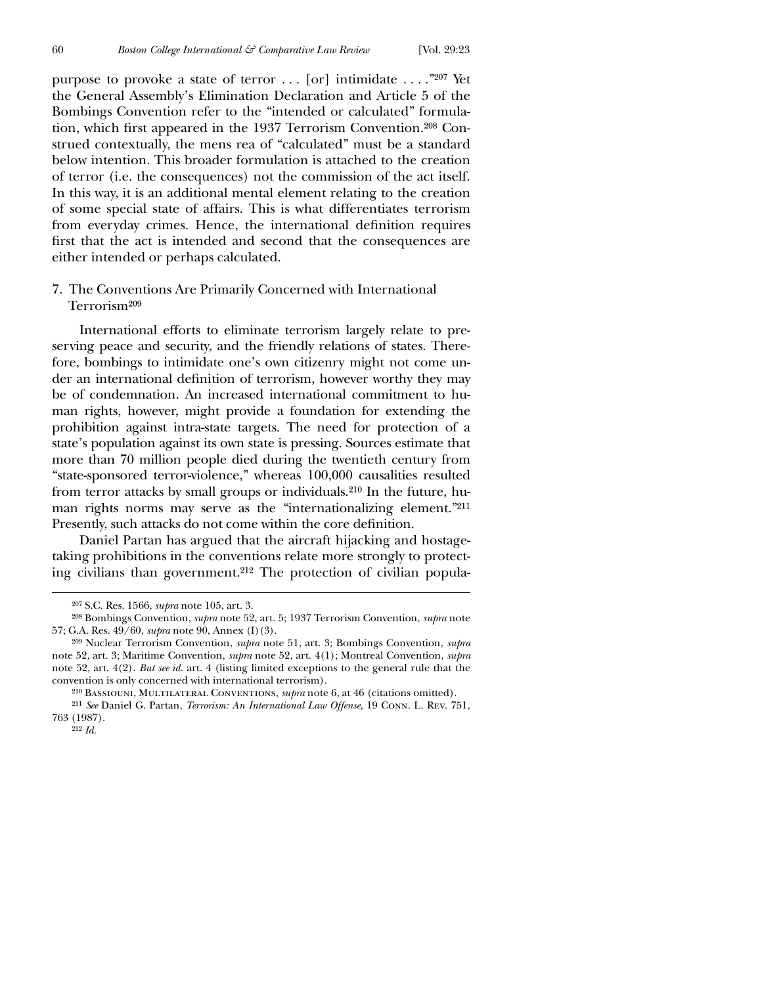purpose to provoke a state of terror . . . [or] intimidate . . . ."207 Yet the General Assembly's Elimination Declaration and Article 5 of the Bombings Convention refer to the "intended or calculated" formulation, which first appeared in the 1937 Terrorism Convention.<sup>208</sup> Construed contextually, the mens rea of "calculated" must be a standard below intention. This broader formulation is attached to the creation of terror (i.e. the consequences) not the commission of the act itself. In this way, it is an additional mental element relating to the creation of some special state of affairs. This is what differentiates terrorism from everyday crimes. Hence, the international definition requires first that the act is intended and second that the consequences are either intended or perhaps calculated.

# 7. The Conventions Are Primarily Concerned with International Terrorism209

International efforts to eliminate terrorism largely relate to preserving peace and security, and the friendly relations of states. Therefore, bombings to intimidate one's own citizenry might not come under an international definition of terrorism, however worthy they may be of condemnation. An increased international commitment to human rights, however, might provide a foundation for extending the prohibition against intra-state targets. The need for protection of a state's population against its own state is pressing. Sources estimate that more than 70 million people died during the twentieth century from "state-sponsored terror-violence," whereas 100,000 causalities resulted from terror attacks by small groups or individuals.210 In the future, human rights norms may serve as the "internationalizing element."211 Presently, such attacks do not come within the core definition.

Daniel Partan has argued that the aircraft hijacking and hostagetaking prohibitions in the conventions relate more strongly to protecting civilians than government.212 The protection of civilian popula-

<sup>207</sup> S.C. Res. 1566, *supra* note 105, art. 3.

<sup>208</sup> Bombings Convention, *supra* note 52, art. 5; 1937 Terrorism Convention, *supra* note 57; G.A. Res. 49/60, *supra* note 90, Annex (I)(3).

<sup>209</sup> Nuclear Terrorism Convention, *supra* note 51, art. 3; Bombings Convention, *supra* note 52, art. 3; Maritime Convention, *supra* note 52, art. 4(1); Montreal Convention, *supra* note 52, art. 4(2). *But see id.* art. 4 (listing limited exceptions to the general rule that the convention is only concerned with international terrorism).

<sup>210</sup> Bassiouni, Multilateral Conventions, *supra* note 6, at 46 (citations omitted). 211 *See* Daniel G. Partan, *Terrorism: An International Law Offense,* 19 Conn. L. Rev. 751, 763 (1987).

<sup>212</sup> *Id.*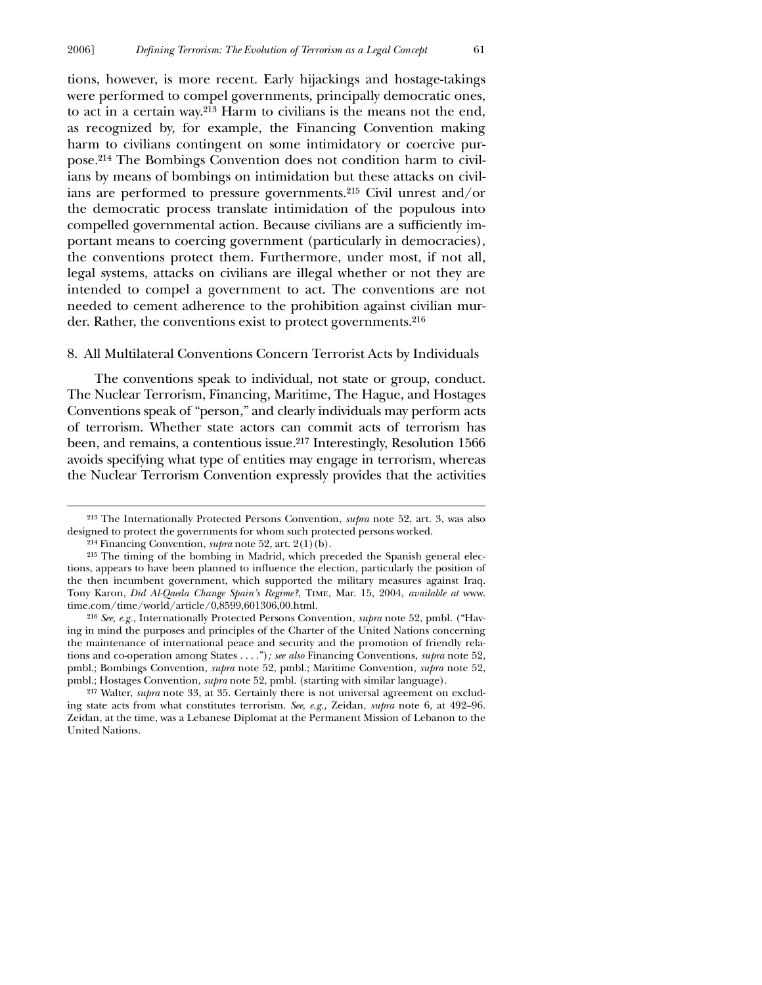tions, however, is more recent. Early hijackings and hostage-takings were performed to compel governments, principally democratic ones, to act in a certain way.213 Harm to civilians is the means not the end, as recognized by, for example, the Financing Convention making harm to civilians contingent on some intimidatory or coercive purpose.214 The Bombings Convention does not condition harm to civilians by means of bombings on intimidation but these attacks on civilians are performed to pressure governments.215 Civil unrest and/or the democratic process translate intimidation of the populous into compelled governmental action. Because civilians are a sufficiently important means to coercing government (particularly in democracies), the conventions protect them. Furthermore, under most, if not all, legal systems, attacks on civilians are illegal whether or not they are intended to compel a government to act. The conventions are not needed to cement adherence to the prohibition against civilian murder. Rather, the conventions exist to protect governments.216

#### 8. All Multilateral Conventions Concern Terrorist Acts by Individuals

The conventions speak to individual, not state or group, conduct. The Nuclear Terrorism, Financing, Maritime, The Hague, and Hostages Conventions speak of "person," and clearly individuals may perform acts of terrorism. Whether state actors can commit acts of terrorism has been, and remains, a contentious issue.217 Interestingly, Resolution 1566 avoids specifying what type of entities may engage in terrorism, whereas the Nuclear Terrorism Convention expressly provides that the activities

 $\overline{a}$ 

217 Walter, *supra* note 33, at 35. Certainly there is not universal agreement on excluding state acts from what constitutes terrorism. *See*, *e.g.,* Zeidan, *supra* note 6, at 492–96. Zeidan, at the time, was a Lebanese Diplomat at the Permanent Mission of Lebanon to the United Nations.

<sup>213</sup> The Internationally Protected Persons Convention, *supra* note 52, art. 3, was also designed to protect the governments for whom such protected persons worked.

<sup>214</sup> Financing Convention, *supra* note 52, art. 2(1)(b).

<sup>215</sup> The timing of the bombing in Madrid, which preceded the Spanish general elections, appears to have been planned to influence the election, particularly the position of the then incumbent government, which supported the military measures against Iraq. Tony Karon, *Did Al-Qaeda Change Spain's Regime?*, Time, Mar. 15, 2004, *available at* www. time.com/time/world/article/0,8599,601306,00.html.

<sup>216</sup> *See, e.g.,* Internationally Protected Persons Convention, *supra* note 52, pmbl. ("Having in mind the purposes and principles of the Charter of the United Nations concerning the maintenance of international peace and security and the promotion of friendly relations and co-operation among States . . . .")*; see also* Financing Conventions, *supra* note 52, pmbl.; Bombings Convention, *supra* note 52, pmbl.; Maritime Convention, *supra* note 52, pmbl.; Hostages Convention, *supra* note 52, pmbl. (starting with similar language).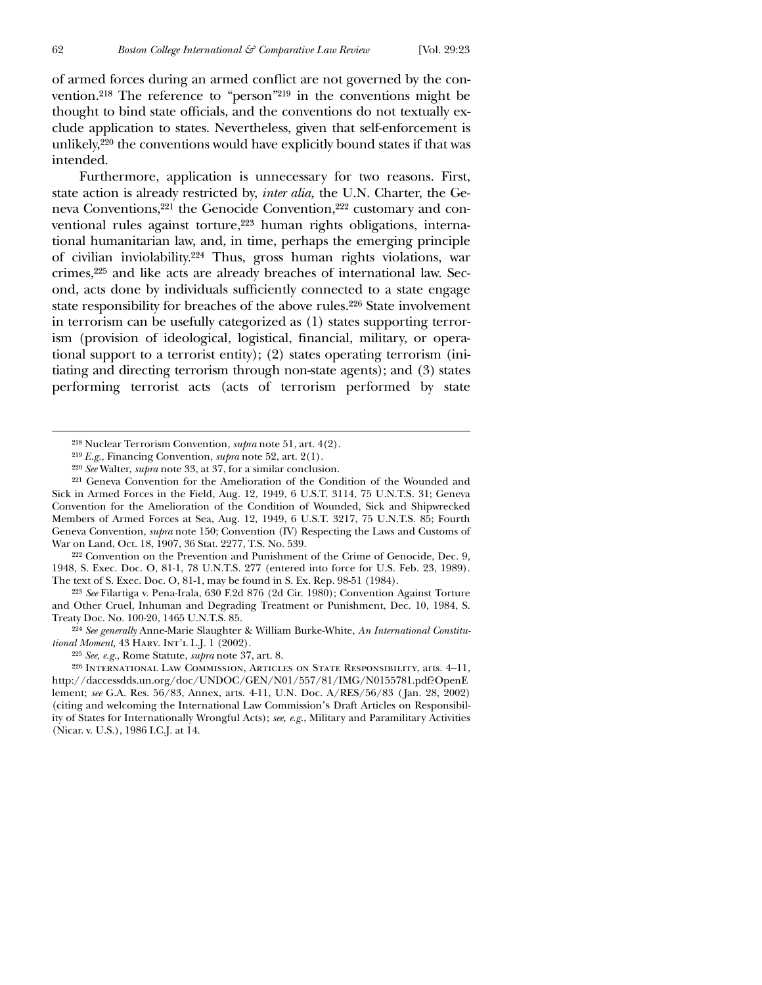of armed forces during an armed conflict are not governed by the convention.218 The reference to "person"219 in the conventions might be thought to bind state officials, and the conventions do not textually exclude application to states. Nevertheless, given that self-enforcement is unlikely,220 the conventions would have explicitly bound states if that was intended.

Furthermore, application is unnecessary for two reasons. First, state action is already restricted by, *inter alia,* the U.N. Charter, the Geneva Conventions,221 the Genocide Convention,222 customary and conventional rules against torture,<sup>223</sup> human rights obligations, international humanitarian law, and, in time, perhaps the emerging principle of civilian inviolability.224 Thus, gross human rights violations, war crimes,225 and like acts are already breaches of international law. Second, acts done by individuals sufficiently connected to a state engage state responsibility for breaches of the above rules.226 State involvement in terrorism can be usefully categorized as (1) states supporting terrorism (provision of ideological, logistical, financial, military, or operational support to a terrorist entity); (2) states operating terrorism (initiating and directing terrorism through non-state agents); and (3) states performing terrorist acts (acts of terrorism performed by state

222 Convention on the Prevention and Punishment of the Crime of Genocide, Dec. 9, 1948, S. Exec. Doc. O, 81-1, 78 U.N.T.S. 277 (entered into force for U.S. Feb. 23, 1989). The text of S. Exec. Doc. O, 81-1, may be found in S. Ex. Rep. 98-51 (1984).

223 *See* Filartiga v. Pena-Irala, 630 F.2d 876 (2d Cir. 1980); Convention Against Torture and Other Cruel, Inhuman and Degrading Treatment or Punishment, Dec. 10, 1984, S. Treaty Doc. No. 100-20, 1465 U.N.T.S. 85.

224 *See generally* Anne-Marie Slaughter & William Burke-White, *An International Constitutional Moment,* 43 Harv. Int'l L.J. 1 (2002).

226 International Law Commission, Articles on State Responsibility, arts. 4–11, http://daccessdds.un.org/doc/UNDOC/GEN/N01/557/81/IMG/N0155781.pdf?OpenE lement; *see* G.A. Res. 56/83, Annex, arts. 4-11, U.N. Doc. A/RES/56/83 ( Jan. 28, 2002) (citing and welcoming the International Law Commission's Draft Articles on Responsibility of States for Internationally Wrongful Acts); *see, e.g.*, Military and Paramilitary Activities (Nicar. v. U.S.), 1986 I.C.J. at 14.

<sup>218</sup> Nuclear Terrorism Convention, *supra* note 51, art. 4(2).

<sup>219</sup> *E.g.,* Financing Convention, *supra* note 52, art. 2(1).

<sup>220</sup> *See* Walter, *supra* note 33, at 37, for a similar conclusion.

<sup>221</sup> Geneva Convention for the Amelioration of the Condition of the Wounded and Sick in Armed Forces in the Field, Aug. 12, 1949, 6 U.S.T. 3114, 75 U.N.T.S. 31; Geneva Convention for the Amelioration of the Condition of Wounded, Sick and Shipwrecked Members of Armed Forces at Sea, Aug. 12, 1949, 6 U.S.T. 3217, 75 U.N.T.S. 85; Fourth Geneva Convention, *supra* note 150; Convention (IV) Respecting the Laws and Customs of War on Land, Oct. 18, 1907, 36 Stat. 2277, T.S. No. 539.

<sup>225</sup> *See, e.g.,* Rome Statute, *supra* note 37, art. 8.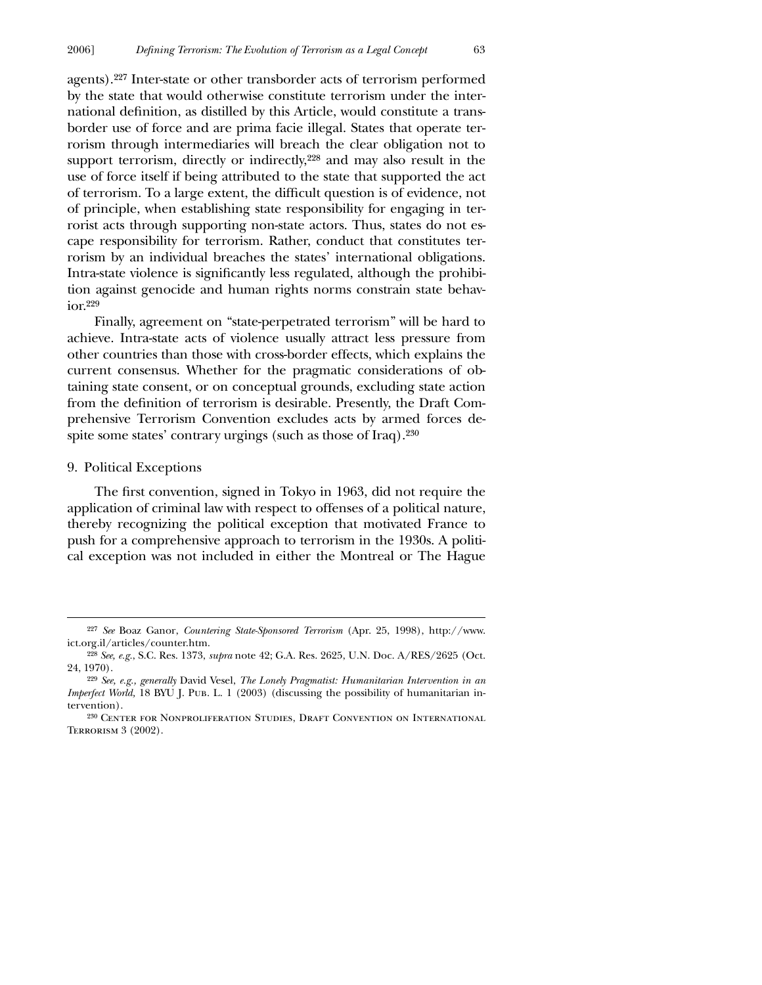agents).227 Inter-state or other transborder acts of terrorism performed by the state that would otherwise constitute terrorism under the international definition, as distilled by this Article, would constitute a transborder use of force and are prima facie illegal. States that operate terrorism through intermediaries will breach the clear obligation not to support terrorism, directly or indirectly,<sup>228</sup> and may also result in the use of force itself if being attributed to the state that supported the act of terrorism. To a large extent, the difficult question is of evidence, not of principle, when establishing state responsibility for engaging in terrorist acts through supporting non-state actors. Thus, states do not escape responsibility for terrorism. Rather, conduct that constitutes terrorism by an individual breaches the states' international obligations. Intra-state violence is significantly less regulated, although the prohibition against genocide and human rights norms constrain state behavior.229

Finally, agreement on "state-perpetrated terrorism" will be hard to achieve. Intra-state acts of violence usually attract less pressure from other countries than those with cross-border effects, which explains the current consensus. Whether for the pragmatic considerations of obtaining state consent, or on conceptual grounds, excluding state action from the definition of terrorism is desirable. Presently, the Draft Comprehensive Terrorism Convention excludes acts by armed forces despite some states' contrary urgings (such as those of Iraq).230

### 9. Political Exceptions

 $\overline{a}$ 

The first convention, signed in Tokyo in 1963, did not require the application of criminal law with respect to offenses of a political nature, thereby recognizing the political exception that motivated France to push for a comprehensive approach to terrorism in the 1930s. A political exception was not included in either the Montreal or The Hague

<sup>227</sup> *See* Boaz Ganor, *Countering State-Sponsored Terrorism* (Apr. 25, 1998), http://www. ict.org.il/articles/counter.htm.

<sup>228</sup> *See, e.g.*, S.C. Res. 1373, *supra* note 42; G.A. Res. 2625, U.N. Doc. A/RES/2625 (Oct. 24, 1970).

<sup>229</sup> *See, e.g., generally* David Vesel, *The Lonely Pragmatist: Humanitarian Intervention in an Imperfect World,* 18 BYU J. PUB. L. 1 (2003) (discussing the possibility of humanitarian intervention).

<sup>230</sup> Center for Nonproliferation Studies, Draft Convention on International Terrorism 3 (2002).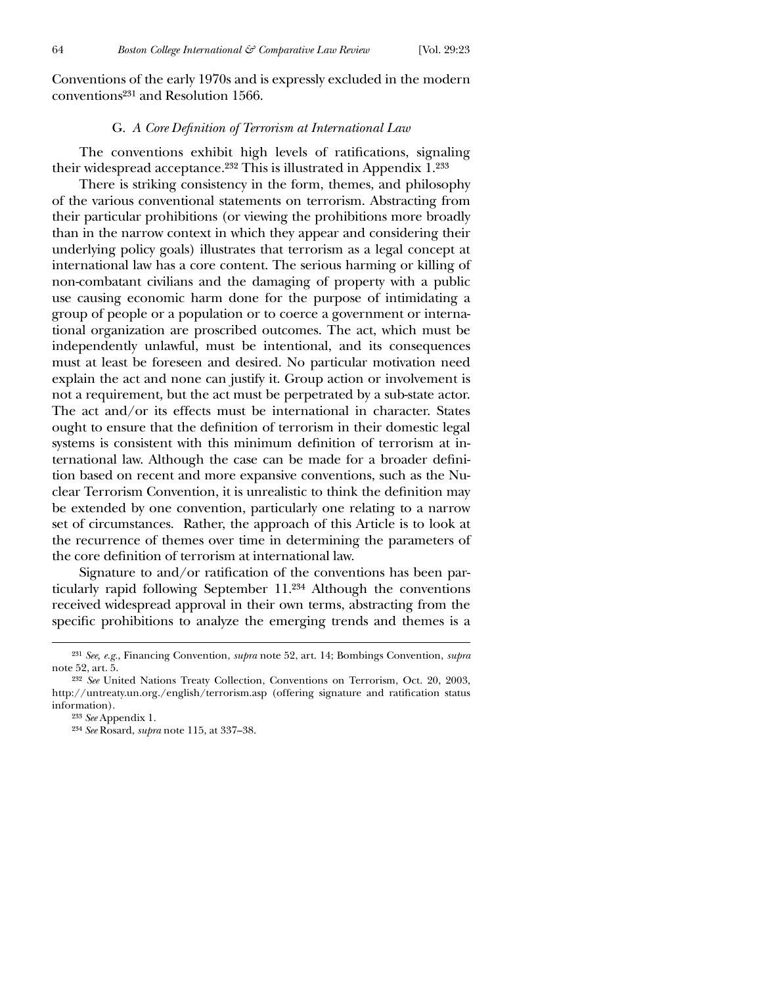Conventions of the early 1970s and is expressly excluded in the modern conventions231 and Resolution 1566.

#### G. *A Core Definition of Terrorism at International Law*

The conventions exhibit high levels of ratifications, signaling their widespread acceptance.232 This is illustrated in Appendix 1.233

There is striking consistency in the form, themes, and philosophy of the various conventional statements on terrorism. Abstracting from their particular prohibitions (or viewing the prohibitions more broadly than in the narrow context in which they appear and considering their underlying policy goals) illustrates that terrorism as a legal concept at international law has a core content. The serious harming or killing of non-combatant civilians and the damaging of property with a public use causing economic harm done for the purpose of intimidating a group of people or a population or to coerce a government or international organization are proscribed outcomes. The act, which must be independently unlawful, must be intentional, and its consequences must at least be foreseen and desired. No particular motivation need explain the act and none can justify it. Group action or involvement is not a requirement, but the act must be perpetrated by a sub-state actor. The act and/or its effects must be international in character. States ought to ensure that the definition of terrorism in their domestic legal systems is consistent with this minimum definition of terrorism at international law. Although the case can be made for a broader definition based on recent and more expansive conventions, such as the Nuclear Terrorism Convention, it is unrealistic to think the definition may be extended by one convention, particularly one relating to a narrow set of circumstances. Rather, the approach of this Article is to look at the recurrence of themes over time in determining the parameters of the core definition of terrorism at international law.

Signature to and/or ratification of the conventions has been particularly rapid following September 11.234 Although the conventions received widespread approval in their own terms, abstracting from the specific prohibitions to analyze the emerging trends and themes is a

<sup>231</sup> *See, e.g.*, Financing Convention, *supra* note 52, art. 14; Bombings Convention, *supra* note 52, art. 5.

<sup>232</sup> *See* United Nations Treaty Collection, Conventions on Terrorism, Oct. 20, 2003, http://untreaty.un.org./english/terrorism.asp (offering signature and ratification status information).

<sup>233</sup> *See* Appendix 1.

<sup>234</sup> *See* Rosard, *supra* note 115, at 337–38.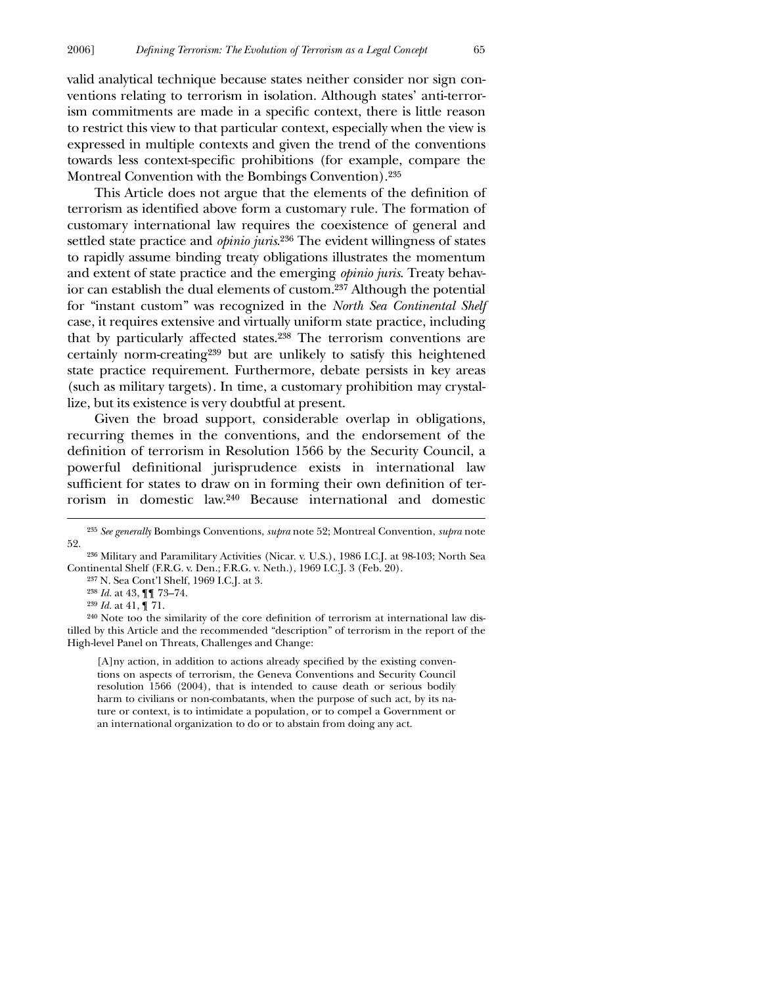valid analytical technique because states neither consider nor sign conventions relating to terrorism in isolation. Although states' anti-terrorism commitments are made in a specific context, there is little reason to restrict this view to that particular context, especially when the view is expressed in multiple contexts and given the trend of the conventions towards less context-specific prohibitions (for example, compare the Montreal Convention with the Bombings Convention).235

This Article does not argue that the elements of the definition of terrorism as identified above form a customary rule. The formation of customary international law requires the coexistence of general and settled state practice and *opinio juris*.236 The evident willingness of states to rapidly assume binding treaty obligations illustrates the momentum and extent of state practice and the emerging *opinio juris*. Treaty behavior can establish the dual elements of custom.237 Although the potential for "instant custom" was recognized in the *North Sea Continental Shelf* case, it requires extensive and virtually uniform state practice, including that by particularly affected states.238 The terrorism conventions are certainly norm-creating239 but are unlikely to satisfy this heightened state practice requirement. Furthermore, debate persists in key areas (such as military targets). In time, a customary prohibition may crystallize, but its existence is very doubtful at present.

Given the broad support, considerable overlap in obligations, recurring themes in the conventions, and the endorsement of the definition of terrorism in Resolution 1566 by the Security Council, a powerful definitional jurisprudence exists in international law sufficient for states to draw on in forming their own definition of terrorism in domestic law.240 Because international and domestic

 $\overline{a}$ 

 $[A]$ ny action, in addition to actions already specified by the existing conventions on aspects of terrorism, the Geneva Conventions and Security Council resolution 1566 (2004), that is intended to cause death or serious bodily harm to civilians or non-combatants, when the purpose of such act, by its nature or context, is to intimidate a population, or to compel a Government or an international organization to do or to abstain from doing any act.

<sup>235</sup> *See generally* Bombings Conventions, *supra* note 52; Montreal Convention, *supra* note 52.

<sup>236</sup> Military and Paramilitary Activities (Nicar. v. U.S.), 1986 I.C.J. at 98-103; North Sea Continental Shelf (F.R.G. v. Den.; F.R.G. v. Neth.), 1969 I.C.J. 3 (Feb. 20).

<sup>237</sup> N. Sea Cont'l Shelf, 1969 I.C.J. at 3.

<sup>238</sup> *Id.* at 43, ¶¶ 73–74.

<sup>239</sup> *Id.* at 41, ¶ 71.

 $240$  Note too the similarity of the core definition of terrorism at international law distilled by this Article and the recommended "description" of terrorism in the report of the High-level Panel on Threats, Challenges and Change: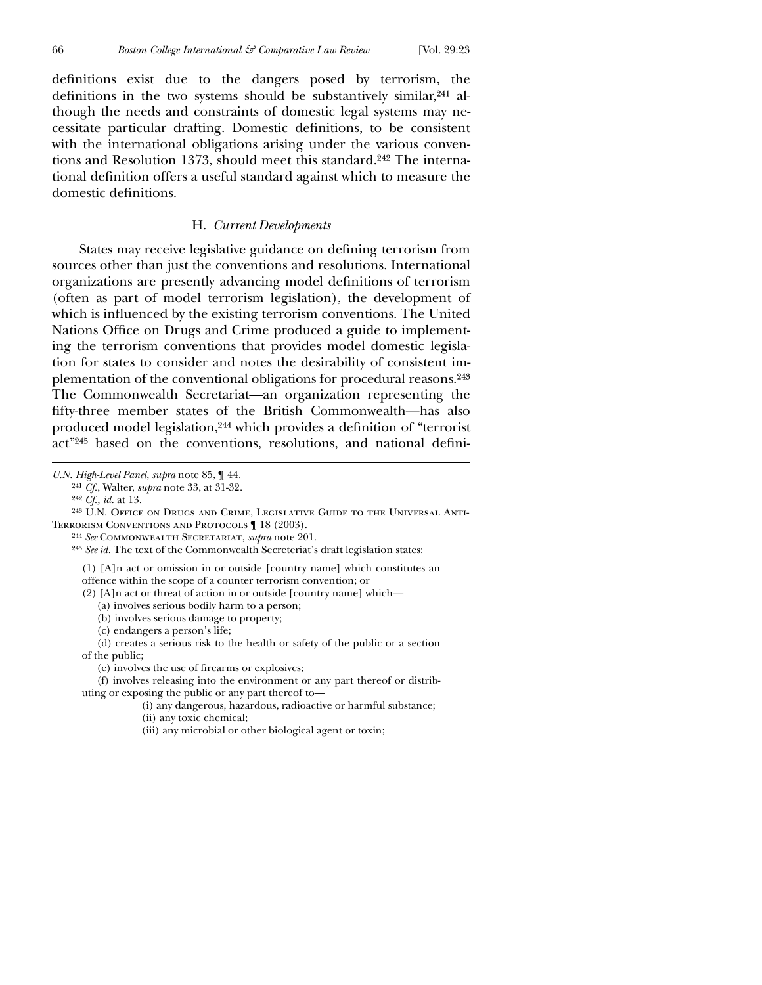definitions exist due to the dangers posed by terrorism, the definitions in the two systems should be substantively similar, $241$  although the needs and constraints of domestic legal systems may necessitate particular drafting. Domestic definitions, to be consistent with the international obligations arising under the various conventions and Resolution 1373, should meet this standard.<sup>242</sup> The international definition offers a useful standard against which to measure the domestic definitions.

# H. *Current Developments*

States may receive legislative guidance on defining terrorism from sources other than just the conventions and resolutions. International organizations are presently advancing model definitions of terrorism (often as part of model terrorism legislation), the development of which is influenced by the existing terrorism conventions. The United Nations Office on Drugs and Crime produced a guide to implementing the terrorism conventions that provides model domestic legislation for states to consider and notes the desirability of consistent implementation of the conventional obligations for procedural reasons.243 The Commonwealth Secretariat—an organization representing the fifty-three member states of the British Commonwealth—has also produced model legislation,<sup>244</sup> which provides a definition of "terrorist act"<sup>245</sup> based on the conventions, resolutions, and national defini-

 $\overline{a}$ 

<sup>243</sup> U.N. OFFICE ON DRUGS AND CRIME, LEGISLATIVE GUIDE TO THE UNIVERSAL ANTI-Terrorism Conventions and Protocols ¶ 18 (2003).

244 *See* Commonwealth Secretariat, *supra* note 201.

245 *See id.* The text of the Commonwealth Secreteriat's draft legislation states:

(1) [A]n act or omission in or outside [country name] which constitutes an

offence within the scope of a counter terrorism convention; or

(2) [A]n act or threat of action in or outside [country name] which—

(a) involves serious bodily harm to a person;

(b) involves serious damage to property;

(c) endangers a person's life;

(d) creates a serious risk to the health or safety of the public or a section of the public;

(e) involves the use of firearms or explosives;

(f) involves releasing into the environment or any part thereof or distributing or exposing the public or any part thereof to—

(i) any dangerous, hazardous, radioactive or harmful substance;

(ii) any toxic chemical;

*U.N. High-Level Panel*, *supra* note 85, ¶ 44.

<sup>241</sup> *Cf.*, Walter, *supra* note 33, at 31-32.

<sup>242</sup> *Cf., id.* at 13.

<sup>(</sup>iii) any microbial or other biological agent or toxin;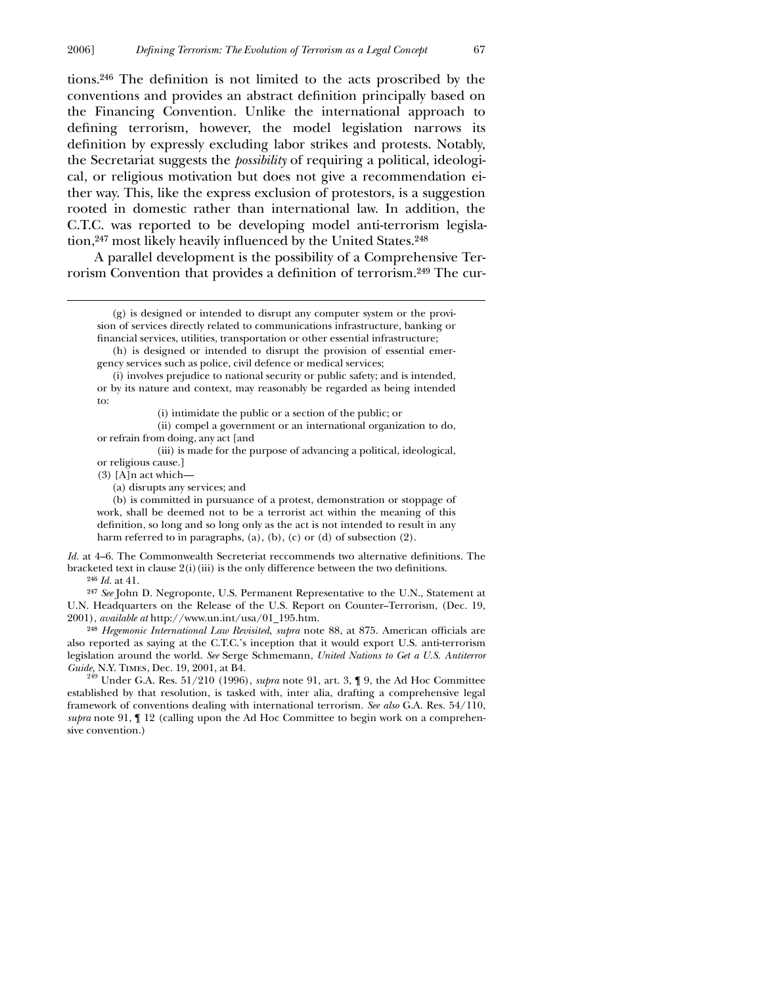tions. $246$  The definition is not limited to the acts proscribed by the conventions and provides an abstract definition principally based on the Financing Convention. Unlike the international approach to defining terrorism, however, the model legislation narrows its definition by expressly excluding labor strikes and protests. Notably, the Secretariat suggests the *possibility* of requiring a political, ideological, or religious motivation but does not give a recommendation either way. This, like the express exclusion of protestors, is a suggestion rooted in domestic rather than international law. In addition, the C.T.C. was reported to be developing model anti-terrorism legislation,<sup>247</sup> most likely heavily influenced by the United States.<sup>248</sup>

A parallel development is the possibility of a Comprehensive Terrorism Convention that provides a definition of terrorism.<sup>249</sup> The cur-

(h) is designed or intended to disrupt the provision of essential emergency services such as police, civil defence or medical services;

(i) involves prejudice to national security or public safety; and is intended, or by its nature and context, may reasonably be regarded as being intended to:

(i) intimidate the public or a section of the public; or

(ii) compel a government or an international organization to do, or refrain from doing, any act [and

(iii) is made for the purpose of advancing a political, ideological, or religious cause.]

(3) [A]n act which—

(a) disrupts any services; and

(b) is committed in pursuance of a protest, demonstration or stoppage of work, shall be deemed not to be a terrorist act within the meaning of this definition, so long and so long only as the act is not intended to result in any harm referred to in paragraphs, (a), (b), (c) or (d) of subsection (2).

*Id.* at 4–6. The Commonwealth Secreteriat reccommends two alternative definitions. The bracketed text in clause  $2(i)(iii)$  is the only difference between the two definitions. 246 *Id.* at 41.

247 *See* John D. Negroponte, U.S. Permanent Representative to the U.N., Statement at U.N. Headquarters on the Release of the U.S. Report on Counter--Terrorism, (Dec. 19, 2001), *available at* http://www.un.int/usa/01\_195.htm.

<sup>248</sup> *Hegemonic International Law Revisited, supra* note 88, at 875. American officials are also reported as saying at the C.T.C.'s inception that it would export U.S. anti-terrorism legislation around the world. *See* Serge Schmemann, *United Nations to Get a U.S. Antiterror*

*Guide, N.Y. TIMES, Dec.* 19, 2001, at B4.<br><sup>249</sup> Under G.A. Res. 51/210 (1996), *supra* note 91, art. 3, ¶ 9, the Ad Hoc Committee established by that resolution, is tasked with, inter alia, drafting a comprehensive legal framework of conventions dealing with international terrorism. *See also* G.A. Res. 54/110, *supra* note 91, ¶ 12 (calling upon the Ad Hoc Committee to begin work on a comprehensive convention.)

 <sup>(</sup>g) is designed or intended to disrupt any computer system or the provision of services directly related to communications infrastructure, banking or financial services, utilities, transportation or other essential infrastructure;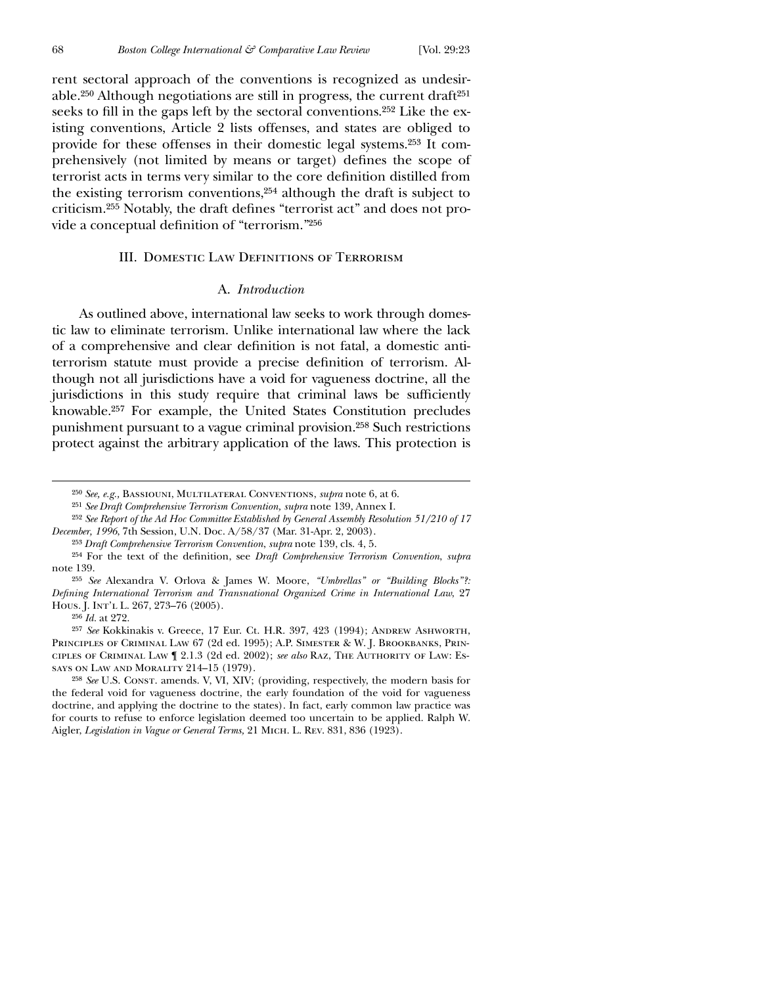rent sectoral approach of the conventions is recognized as undesirable.250 Although negotiations are still in progress, the current draft251 seeks to fill in the gaps left by the sectoral conventions.<sup>252</sup> Like the existing conventions, Article 2 lists offenses, and states are obliged to provide for these offenses in their domestic legal systems.253 It comprehensively (not limited by means or target) defines the scope of terrorist acts in terms very similar to the core definition distilled from the existing terrorism conventions,254 although the draft is subject to criticism.<sup>255</sup> Notably, the draft defines "terrorist act" and does not provide a conceptual definition of "terrorism."256

# **III. DOMESTIC LAW DEFINITIONS OF TERRORISM**

## A. *Introduction*

As outlined above, international law seeks to work through domestic law to eliminate terrorism. Unlike international law where the lack of a comprehensive and clear definition is not fatal, a domestic antiterrorism statute must provide a precise definition of terrorism. Although not all jurisdictions have a void for vagueness doctrine, all the jurisdictions in this study require that criminal laws be sufficiently knowable.257 For example, the United States Constitution precludes punishment pursuant to a vague criminal provision.258 Such restrictions protect against the arbitrary application of the laws. This protection is

256 *Id.* at 272.

<sup>250</sup> *See, e.g.,* Bassiouni, Multilateral Conventions, *supra* note 6, at 6.

<sup>251</sup> *See Draft Comprehensive Terrorism Convention, supra* note 139, Annex I.

<sup>252</sup> *See Report of the Ad Hoc Committee Established by General Assembly Resolution 51/210 of 17 December, 1996*, 7th Session, U.N. Doc. A/58/37 (Mar. 31-Apr. 2, 2003).

<sup>253</sup> *Draft Comprehensive Terrorism Convention*, *supra* note 139, cls. 4, 5.

<sup>&</sup>lt;sup>254</sup> For the text of the definition, see *Draft Comprehensive Terrorism Convention*, *supra* note 139.

<sup>255</sup> *See* Alexandra V. Orlova & James W. Moore, *"Umbrellas" or "Building Blocks"?: Defining International Terrorism and Transnational Organized Crime in International Law*, 27 Hous. J. Int'l L. 267, 273-76 (2005).

<sup>257</sup> *See* Kokkinakis v. Greece, 17 Eur. Ct. H.R. 397, 423 (1994); Andrew Ashworth, Principles of Criminal Law 67 (2d ed. 1995); A.P. Simester & W. J. Brookbanks, Principles of Criminal Law ¶ 2.1.3 (2d ed. 2002); *see also* Raz, The Authority of Law: Essays on Law and Morality 214–15 (1979).

<sup>258</sup> *See* U.S. Const. amends. V, VI, XIV; (providing, respectively, the modern basis for the federal void for vagueness doctrine, the early foundation of the void for vagueness doctrine, and applying the doctrine to the states). In fact, early common law practice was for courts to refuse to enforce legislation deemed too uncertain to be applied. Ralph W. Aigler, *Legislation in Vague or General Terms,* 21 Mich. L. Rev. 831, 836 (1923).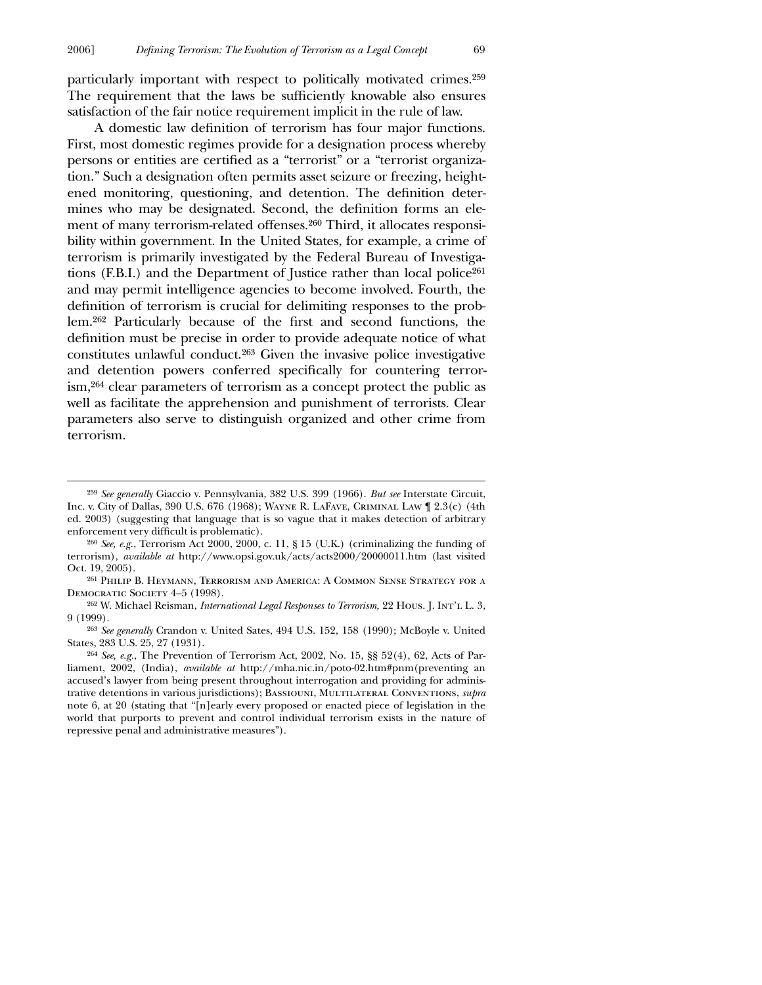particularly important with respect to politically motivated crimes.259 The requirement that the laws be sufficiently knowable also ensures satisfaction of the fair notice requirement implicit in the rule of law.

A domestic law definition of terrorism has four major functions. First, most domestic regimes provide for a designation process whereby persons or entities are certified as a "terrorist" or a "terrorist organization." Such a designation often permits asset seizure or freezing, heightened monitoring, questioning, and detention. The definition determines who may be designated. Second, the definition forms an element of many terrorism-related offenses.260 Third, it allocates responsibility within government. In the United States, for example, a crime of terrorism is primarily investigated by the Federal Bureau of Investigations (F.B.I.) and the Department of Justice rather than local police261 and may permit intelligence agencies to become involved. Fourth, the definition of terrorism is crucial for delimiting responses to the problem.<sup>262</sup> Particularly because of the first and second functions, the definition must be precise in order to provide adequate notice of what constitutes unlawful conduct.263 Given the invasive police investigative and detention powers conferred specifically for countering terrorism,264 clear parameters of terrorism as a concept protect the public as well as facilitate the apprehension and punishment of terrorists. Clear parameters also serve to distinguish organized and other crime from terrorism.

<sup>259</sup> *See generally* Giaccio v. Pennsylvania, 382 U.S. 399 (1966). *But see* Interstate Circuit, Inc. v. City of Dallas, 390 U.S. 676 (1968); Wayne R. LaFave, Criminal Law ¶ 2.3(c) (4th ed. 2003) (suggesting that language that is so vague that it makes detection of arbitrary enforcement very difficult is problematic).

<sup>260</sup> *See, e.g.*, Terrorism Act 2000, 2000, c. 11, § 15 (U.K.) (criminalizing the funding of terrorism), *available at* http://www.opsi.gov.uk/acts/acts2000/20000011.htm (last visited Oct. 19, 2005).

<sup>261</sup> Philip B. Heymann, Terrorism and America: A Common Sense Strategy for a DEMOCRATIC SOCIETY 4-5 (1998).

<sup>262</sup> W. Michael Reisman, *International Legal Responses to Terrorism,* 22 Hous. J. Int'l L. 3, 9 (1999).

<sup>263</sup> *See generally* Crandon v. United Sates, 494 U.S. 152, 158 (1990); McBoyle v. United States, 283 U.S. 25, 27 (1931).

<sup>264</sup> *See, e.g.*, The Prevention of Terrorism Act, 2002, No. 15, §§ 52(4), 62, Acts of Parliament, 2002, (India), *available at* http://mha.nic.in/poto-02.htm#pnm(preventing an accused's lawyer from being present throughout interrogation and providing for administrative detentions in various jurisdictions); Bassiouni, Multilateral Conventions, *supra* note 6, at 20 (stating that "[n]early every proposed or enacted piece of legislation in the world that purports to prevent and control individual terrorism exists in the nature of repressive penal and administrative measures").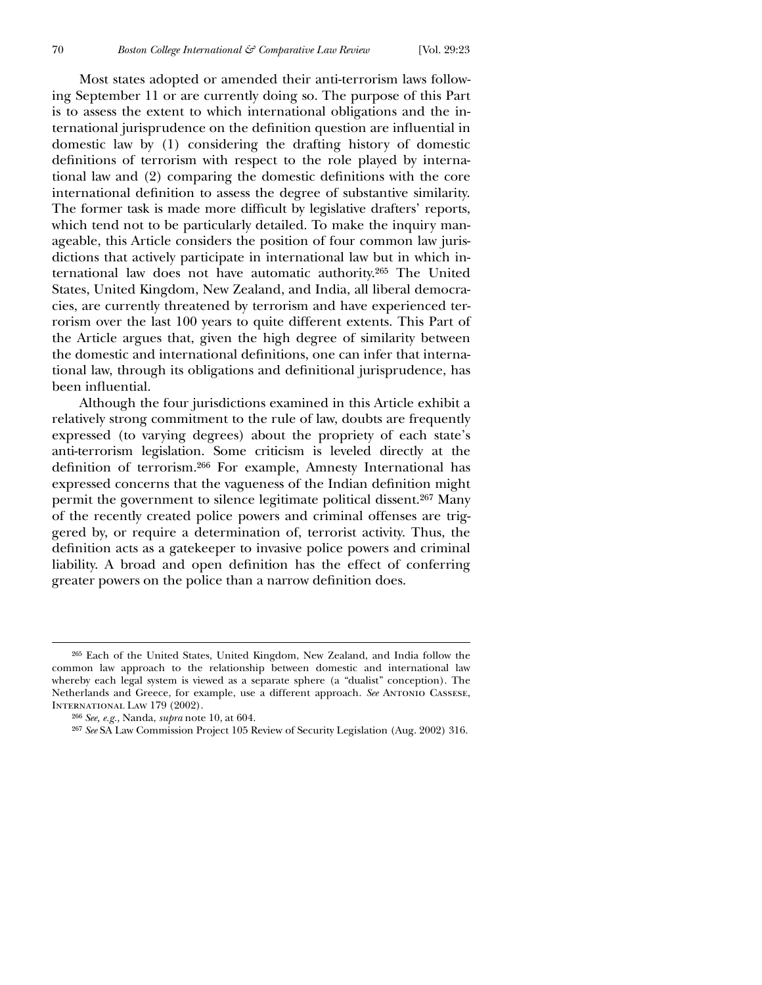Most states adopted or amended their anti-terrorism laws following September 11 or are currently doing so. The purpose of this Part is to assess the extent to which international obligations and the international jurisprudence on the definition question are influential in domestic law by (1) considering the drafting history of domestic definitions of terrorism with respect to the role played by international law and (2) comparing the domestic definitions with the core international definition to assess the degree of substantive similarity. The former task is made more difficult by legislative drafters' reports, which tend not to be particularly detailed. To make the inquiry manageable, this Article considers the position of four common law jurisdictions that actively participate in international law but in which international law does not have automatic authority.265 The United States, United Kingdom, New Zealand, and India, all liberal democracies, are currently threatened by terrorism and have experienced terrorism over the last 100 years to quite different extents. This Part of the Article argues that, given the high degree of similarity between the domestic and international definitions, one can infer that international law, through its obligations and definitional jurisprudence, has been influential.

Although the four jurisdictions examined in this Article exhibit a relatively strong commitment to the rule of law, doubts are frequently expressed (to varying degrees) about the propriety of each state's anti-terrorism legislation. Some criticism is leveled directly at the definition of terrorism.<sup>266</sup> For example, Amnesty International has expressed concerns that the vagueness of the Indian definition might permit the government to silence legitimate political dissent.267 Many of the recently created police powers and criminal offenses are triggered by, or require a determination of, terrorist activity. Thus, the definition acts as a gatekeeper to invasive police powers and criminal liability. A broad and open definition has the effect of conferring greater powers on the police than a narrow definition does.

<sup>265</sup> Each of the United States, United Kingdom, New Zealand, and India follow the common law approach to the relationship between domestic and international law whereby each legal system is viewed as a separate sphere (a "dualist" conception). The Netherlands and Greece, for example, use a different approach. *See* Antonio Cassese, INTERNATIONAL LAW 179 (2002).

<sup>266</sup> *See, e.g.,* Nanda, *supra* note 10, at 604.

<sup>267</sup> *See* SA Law Commission Project 105 Review of Security Legislation (Aug. 2002) 316.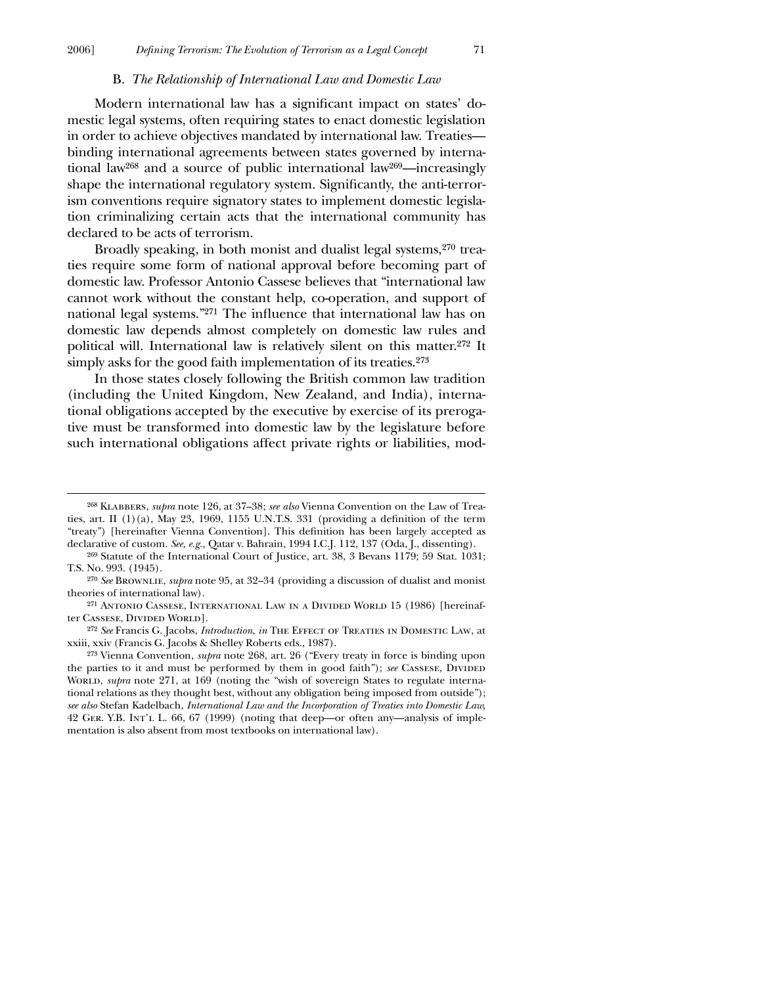### B. *The Relationship of International Law and Domestic Law*

Modern international law has a significant impact on states' domestic legal systems, often requiring states to enact domestic legislation in order to achieve objectives mandated by international law. Treaties binding international agreements between states governed by international law268 and a source of public international law269—increasingly shape the international regulatory system. Significantly, the anti-terrorism conventions require signatory states to implement domestic legislation criminalizing certain acts that the international community has declared to be acts of terrorism.

Broadly speaking, in both monist and dualist legal systems,270 treaties require some form of national approval before becoming part of domestic law. Professor Antonio Cassese believes that "international law cannot work without the constant help, co-operation, and support of national legal systems."<sup>271</sup> The influence that international law has on domestic law depends almost completely on domestic law rules and political will. International law is relatively silent on this matter.272 It simply asks for the good faith implementation of its treaties.<sup>273</sup>

In those states closely following the British common law tradition (including the United Kingdom, New Zealand, and India), international obligations accepted by the executive by exercise of its prerogative must be transformed into domestic law by the legislature before such international obligations affect private rights or liabilities, mod-

<sup>268</sup> Klabbers, *supra* note 126, at 37–38; *see also* Vienna Convention on the Law of Treaties, art. II  $(1)(a)$ , May 23, 1969, 1155 U.N.T.S. 331 (providing a definition of the term "treaty") [hereinafter Vienna Convention]. This definition has been largely accepted as declarative of custom. *See, e.g.,* Qatar v. Bahrain, 1994 I.C.J. 112, 137 (Oda, J., dissenting).

<sup>269</sup> Statute of the International Court of Justice, art. 38, 3 Bevans 1179; 59 Stat. 1031; T.S. No. 993. (1945).

<sup>270</sup> *See* Brownlie, *supra* note 95, at 32–34 (providing a discussion of dualist and monist theories of international law).

<sup>271</sup> Antonio Cassese, International Law in a Divided World 15 (1986) [hereinafter Cassese, Divided World].

<sup>272</sup> *See* Francis G. Jacobs, *Introduction*, *in* The Effect of Treaties in Domestic Law, at xxiii, xxiv (Francis G. Jacobs & Shelley Roberts eds., 1987).

<sup>273</sup> Vienna Convention, *supra* note 268, art. 26 ("Every treaty in force is binding upon the parties to it and must be performed by them in good faith"); *see* Cassese, Divided WORLD, *supra* note 271, at 169 (noting the "wish of sovereign States to regulate international relations as they thought best, without any obligation being imposed from outside"); *see also* Stefan Kadelbach, *International Law and the Incorporation of Treaties into Domestic Law,* 42 Ger. Y.B. Int'l L. 66, 67 (1999) (noting that deep—or often any—analysis of implementation is also absent from most textbooks on international law).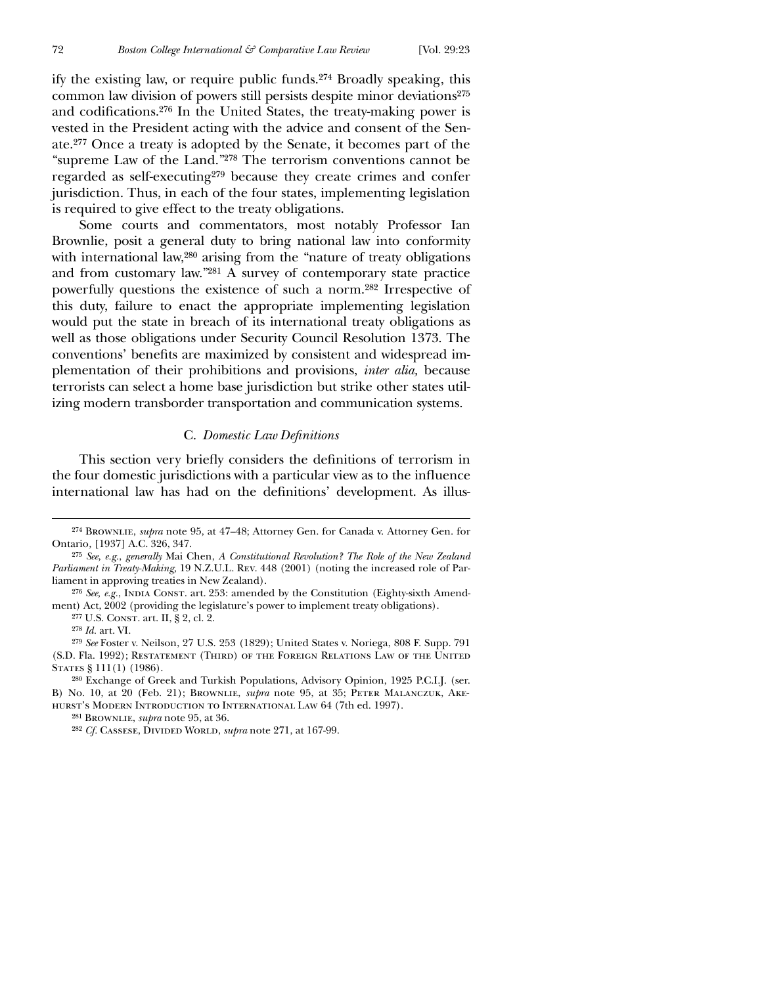ify the existing law, or require public funds.274 Broadly speaking, this common law division of powers still persists despite minor deviations<sup>275</sup> and codifications.<sup>276</sup> In the United States, the treaty-making power is vested in the President acting with the advice and consent of the Senate.277 Once a treaty is adopted by the Senate, it becomes part of the "supreme Law of the Land."278 The terrorism conventions cannot be regarded as self-executing279 because they create crimes and confer jurisdiction. Thus, in each of the four states, implementing legislation is required to give effect to the treaty obligations.

Some courts and commentators, most notably Professor Ian Brownlie, posit a general duty to bring national law into conformity with international law,<sup>280</sup> arising from the "nature of treaty obligations" and from customary law."281 A survey of contemporary state practice powerfully questions the existence of such a norm.282 Irrespective of this duty, failure to enact the appropriate implementing legislation would put the state in breach of its international treaty obligations as well as those obligations under Security Council Resolution 1373. The conventions' benefits are maximized by consistent and widespread implementation of their prohibitions and provisions, *inter alia,* because terrorists can select a home base jurisdiction but strike other states utilizing modern transborder transportation and communication systems.

### **C.** Domestic Law Definitions

This section very briefly considers the definitions of terrorism in the four domestic jurisdictions with a particular view as to the influence international law has had on the definitions' development. As illus-

278 *Id.* art. VI.

 $\overline{a}$ 

279 *See* Foster v. Neilson, 27 U.S. 253 (1829); United States v. Noriega, 808 F. Supp. 791 (S.D. Fla. 1992); Restatement (Third) of the Foreign Relations Law of the United STATES § 111(1) (1986).

280 Exchange of Greek and Turkish Populations, Advisory Opinion, 1925 P.C.I.J. (ser. B) No. 10, at 20 (Feb. 21); Brownlie, *supra* note 95, at 35; Peter Malanczuk, Akehurst's Modern Introduction to International Law 64 (7th ed. 1997).

281 Brownlie, *supra* note 95, at 36.

<sup>282</sup> *Cf.* CASSESE, DIVIDED WORLD, *supra* note 271, at 167-99.

<sup>274</sup> Brownlie, *supra* note 95, at 47–48; Attorney Gen. for Canada v. Attorney Gen. for Ontario*,* [1937] A.C. 326, 347.

<sup>275</sup> *See, e.g.*, *generally* Mai Chen, *A Constitutional Revolution? The Role of the New Zealand Parliament in Treaty-Making,* 19 N.Z.U.L. Rev. 448 (2001) (noting the increased role of Parliament in approving treaties in New Zealand).

<sup>&</sup>lt;sup>276</sup> See, e.g., INDIA CONST. art. 253: amended by the Constitution (Eighty-sixth Amendment) Act, 2002 (providing the legislature's power to implement treaty obligations).

<sup>277</sup> U.S. Const. art. II, § 2, cl. 2.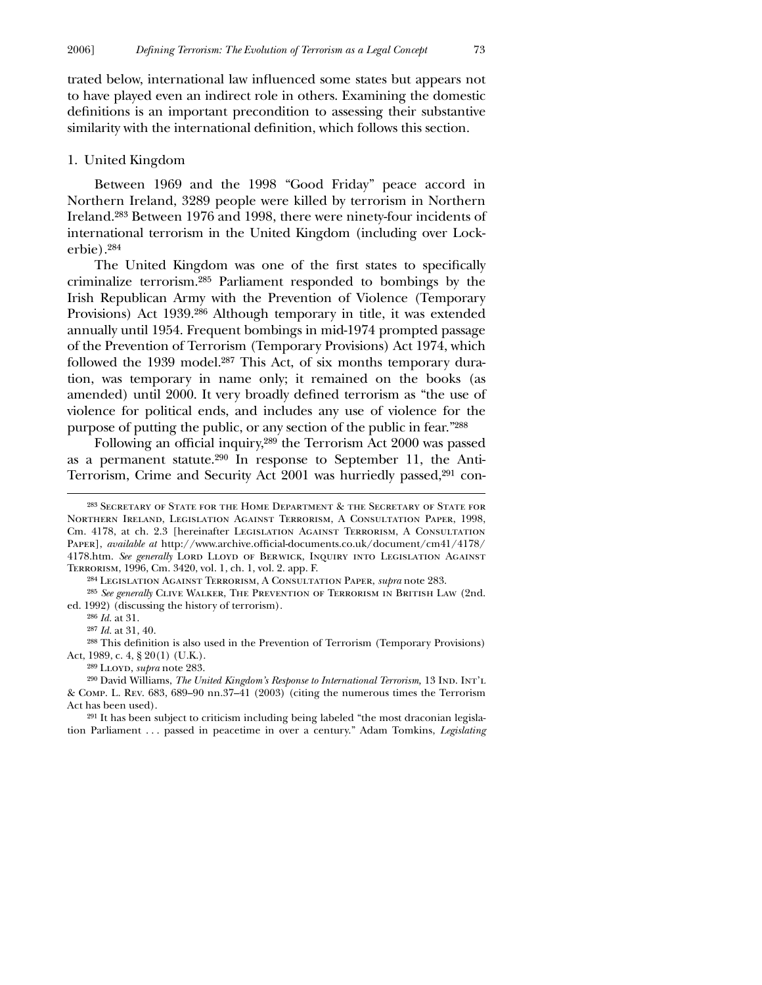trated below, international law influenced some states but appears not to have played even an indirect role in others. Examining the domestic definitions is an important precondition to assessing their substantive similarity with the international definition, which follows this section.

### 1. United Kingdom

Between 1969 and the 1998 "Good Friday" peace accord in Northern Ireland, 3289 people were killed by terrorism in Northern Ireland.283 Between 1976 and 1998, there were ninety-four incidents of international terrorism in the United Kingdom (including over Lockerbie).284

The United Kingdom was one of the first states to specifically criminalize terrorism.285 Parliament responded to bombings by the Irish Republican Army with the Prevention of Violence (Temporary Provisions) Act 1939.286 Although temporary in title, it was extended annually until 1954. Frequent bombings in mid-1974 prompted passage of the Prevention of Terrorism (Temporary Provisions) Act 1974, which followed the 1939 model.<sup>287</sup> This Act, of six months temporary duration, was temporary in name only; it remained on the books (as amended) until 2000. It very broadly defined terrorism as "the use of violence for political ends, and includes any use of violence for the purpose of putting the public, or any section of the public in fear."288

Following an official inquiry,<sup>289</sup> the Terrorism Act 2000 was passed as a permanent statute.290 In response to September 11, the Anti-Terrorism, Crime and Security Act 2001 was hurriedly passed,<sup>291</sup> con-

285 *See generally* Clive Walker, The Prevention of Terrorism in British Law (2nd. ed. 1992) (discussing the history of terrorism).

286 *Id.* at 31.

 $\overline{a}$ 

287 *Id.* at 31, 40.

<sup>288</sup> This definition is also used in the Prevention of Terrorism (Temporary Provisions) Act, 1989, c. 4, § 20(1) (U.K.).

289 Lloyd, *supra* note 283.

<sup>290</sup> David Williams, *The United Kingdom's Response to International Terrorism*, 13 IND. INT'L & Comp. L. Rev. 683, 689–90 nn.37–41 (2003) (citing the numerous times the Terrorism Act has been used).

291 It has been subject to criticism including being labeled "the most draconian legislation Parliament . . . passed in peacetime in over a century." Adam Tomkins, *Legislating*

<sup>283</sup> Secretary of State for the Home Department & the Secretary of State for Northern Ireland, Legislation Against Terrorism, A Consultation Paper, 1998, Cm. 4178, at ch. 2.3 [hereinafter Legislation Against Terrorism, A Consultation Paper], *available at* http://www.archive.official-documents.co.uk/document/cm41/4178/ 4178.htm. *See generally* Lord Lloyd of Berwick, Inquiry into Legislation Against Terrorism, 1996, Cm. 3420, vol. 1, ch. 1, vol. 2. app. F.

<sup>284</sup> Legislation Against Terrorism, A Consultation Paper, *supra* note 283.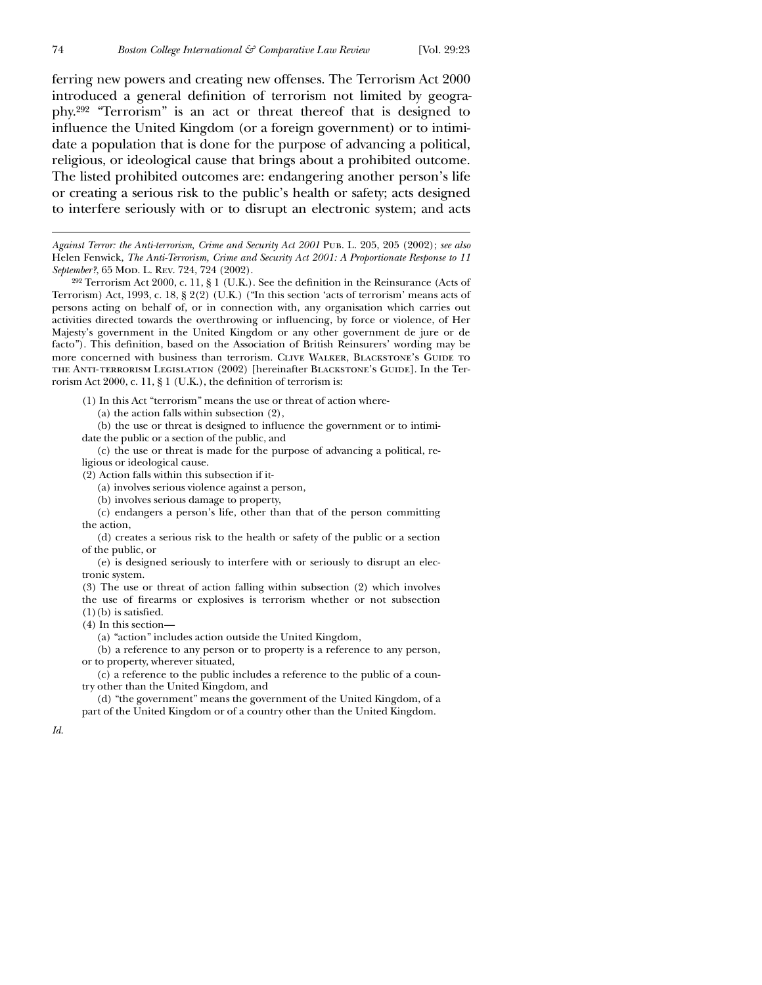ferring new powers and creating new offenses. The Terrorism Act 2000 introduced a general definition of terrorism not limited by geography.292 "Terrorism" is an act or threat thereof that is designed to influence the United Kingdom (or a foreign government) or to intimidate a population that is done for the purpose of advancing a political, religious, or ideological cause that brings about a prohibited outcome. The listed prohibited outcomes are: endangering another person's life or creating a serious risk to the public's health or safety; acts designed to interfere seriously with or to disrupt an electronic system; and acts

*Against Terror: the Anti-terrorism, Crime and Security Act 2001* Pub. L. 205, 205 (2002); *see also* Helen Fenwick, *The Anti-Terrorism, Crime and Security Act 2001: A Proportionate Response to 11* September?, 65 Mod. L. Rev. 724, 724 (2002).

<sup>292</sup> Terrorism Act 2000, c. 11, § 1 (U.K.). See the definition in the Reinsurance (Acts of Terrorism) Act, 1993, c. 18, § 2(2) (U.K.) ("In this section 'acts of terrorism' means acts of persons acting on behalf of, or in connection with, any organisation which carries out activities directed towards the overthrowing or influencing, by force or violence, of Her Majesty's government in the United Kingdom or any other government de jure or de facto"). This definition, based on the Association of British Reinsurers' wording may be more concerned with business than terrorism. CLIVE WALKER, BLACKSTONE'S GUIDE TO the Anti-terrorism Legislation (2002) [hereinafter Blackstone's Guide]. In the Terrorism Act 2000, c. 11,  $\S$  1 (U.K.), the definition of terrorism is:

(1) In this Act "terrorism" means the use or threat of action where-

(a) the action falls within subsection (2),

(b) the use or threat is designed to influence the government or to intimidate the public or a section of the public, and

(c) the use or threat is made for the purpose of advancing a political, religious or ideological cause.

(2) Action falls within this subsection if it-

(a) involves serious violence against a person,

(b) involves serious damage to property,

(c) endangers a person's life, other than that of the person committing the action,

(d) creates a serious risk to the health or safety of the public or a section of the public, or

(e) is designed seriously to interfere with or seriously to disrupt an electronic system.

(3) The use or threat of action falling within subsection (2) which involves the use of firearms or explosives is terrorism whether or not subsection  $(1)(b)$  is satisfied.

(4) In this section—

(a) "action" includes action outside the United Kingdom,

(b) a reference to any person or to property is a reference to any person, or to property, wherever situated,

(c) a reference to the public includes a reference to the public of a country other than the United Kingdom, and

(d) "the government" means the government of the United Kingdom, of a part of the United Kingdom or of a country other than the United Kingdom.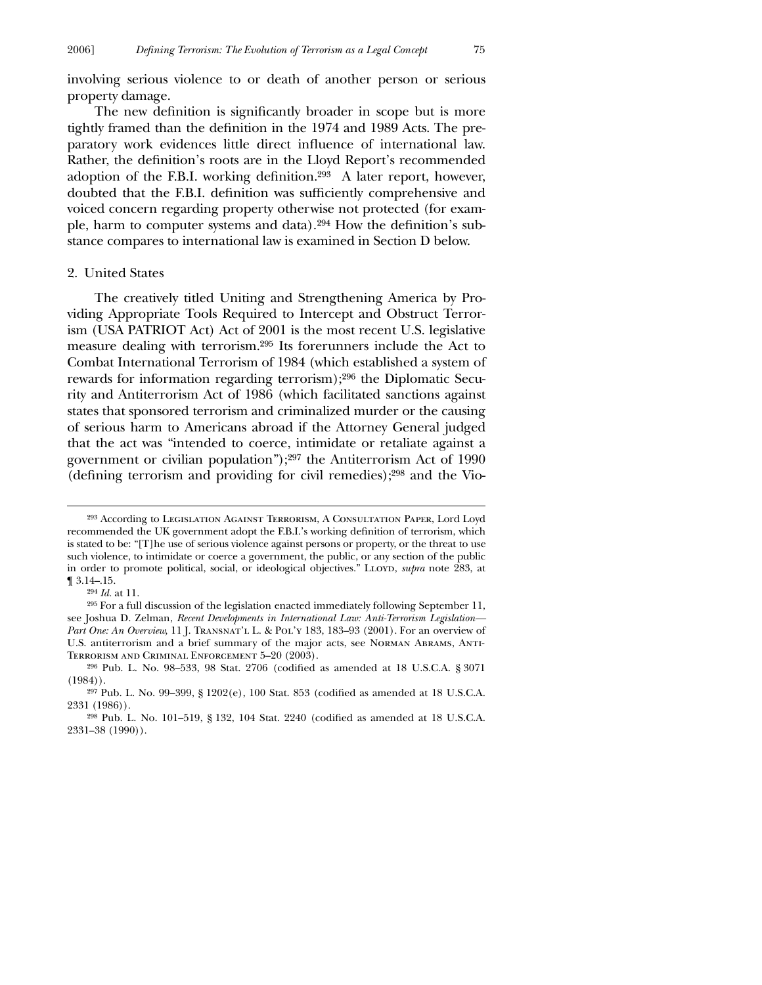involving serious violence to or death of another person or serious property damage.

The new definition is significantly broader in scope but is more tightly framed than the definition in the 1974 and 1989 Acts. The preparatory work evidences little direct influence of international law. Rather, the definition's roots are in the Lloyd Report's recommended adoption of the F.B.I. working definition.<sup>293</sup> A later report, however, doubted that the F.B.I. definition was sufficiently comprehensive and voiced concern regarding property otherwise not protected (for example, harm to computer systems and data).<sup>294</sup> How the definition's substance compares to international law is examined in Section D below.

# 2. United States

The creatively titled Uniting and Strengthening America by Providing Appropriate Tools Required to Intercept and Obstruct Terrorism (USA PATRIOT Act) Act of 2001 is the most recent U.S. legislative measure dealing with terrorism.295 Its forerunners include the Act to Combat International Terrorism of 1984 (which established a system of rewards for information regarding terrorism);296 the Diplomatic Security and Antiterrorism Act of 1986 (which facilitated sanctions against states that sponsored terrorism and criminalized murder or the causing of serious harm to Americans abroad if the Attorney General judged that the act was "intended to coerce, intimidate or retaliate against a government or civilian population");297 the Antiterrorism Act of 1990 (defining terrorism and providing for civil remedies); $298$  and the Vio-

294 *Id.* at 11.

<sup>293</sup> According to Legislation Against Terrorism, A Consultation Paper, Lord Loyd recommended the UK government adopt the F.B.I.'s working definition of terrorism, which is stated to be: "[T]he use of serious violence against persons or property, or the threat to use such violence, to intimidate or coerce a government, the public, or any section of the public in order to promote political, social, or ideological objectives." LLOYD, *supra* note 283, at ¶ 3.14–.15.

<sup>295</sup> For a full discussion of the legislation enacted immediately following September 11, see Joshua D. Zelman, *Recent Developments in International Law: Anti-Terrorism Legislation—* Part One: An Overview, 11 J. TRANSNAT'L L. & POL'Y 183, 183-93 (2001). For an overview of U.S. antiterrorism and a brief summary of the major acts, see Norman Abrams, Anti-Terrorism and Criminal Enforcement 5–20 (2003).

<sup>&</sup>lt;sup>296</sup> Pub. L. No. 98–533, 98 Stat. 2706 (codified as amended at 18 U.S.C.A. § 3071 (1984)).

 $297$  Pub. L. No. 99-399, § 1202(e), 100 Stat. 853 (codified as amended at 18 U.S.C.A. 2331 (1986)).

<sup>&</sup>lt;sup>298</sup> Pub. L. No. 101-519, § 132, 104 Stat. 2240 (codified as amended at 18 U.S.C.A. 2331–38 (1990)).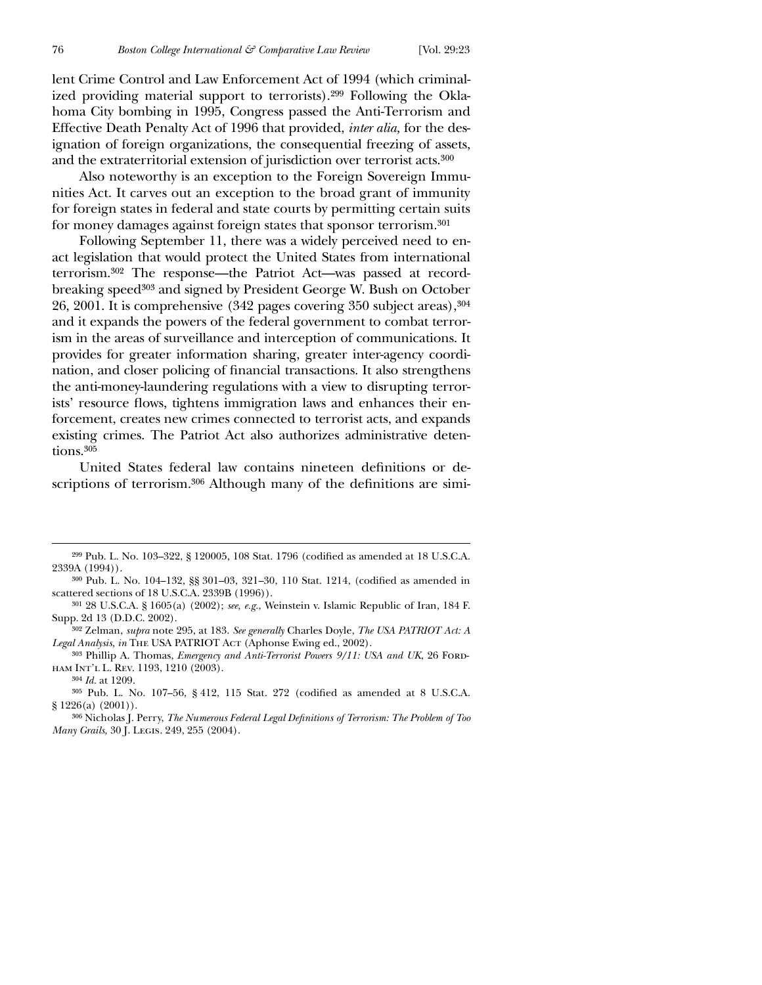lent Crime Control and Law Enforcement Act of 1994 (which criminalized providing material support to terrorists).299 Following the Oklahoma City bombing in 1995, Congress passed the Anti-Terrorism and Effective Death Penalty Act of 1996 that provided, *inter alia,* for the designation of foreign organizations, the consequential freezing of assets, and the extraterritorial extension of jurisdiction over terrorist acts.300

Also noteworthy is an exception to the Foreign Sovereign Immunities Act. It carves out an exception to the broad grant of immunity for foreign states in federal and state courts by permitting certain suits for money damages against foreign states that sponsor terrorism.301

Following September 11, there was a widely perceived need to enact legislation that would protect the United States from international terrorism.302 The response—the Patriot Act—was passed at recordbreaking speed303 and signed by President George W. Bush on October 26, 2001. It is comprehensive (342 pages covering 350 subject areas),304 and it expands the powers of the federal government to combat terrorism in the areas of surveillance and interception of communications. It provides for greater information sharing, greater inter-agency coordination, and closer policing of financial transactions. It also strengthens the anti-money-laundering regulations with a view to disrupting terrorists' resource flows, tightens immigration laws and enhances their enforcement, creates new crimes connected to terrorist acts, and expands existing crimes. The Patriot Act also authorizes administrative detentions.<sup>305</sup>

United States federal law contains nineteen definitions or descriptions of terrorism.<sup>306</sup> Although many of the definitions are simi-

 $299$  Pub. L. No. 103–322, § 120005, 108 Stat. 1796 (codified as amended at 18 U.S.C.A. 2339A (1994)).

<sup>300</sup> Pub. L. No. 104-132, §§ 301-03, 321-30, 110 Stat. 1214, (codified as amended in scattered sections of 18 U.S.C.A. 2339B (1996)).

<sup>301</sup> 28 U.S.C.A. § 1605(a) (2002); *see, e.g.*, Weinstein v. Islamic Republic of Iran, 184 F. Supp. 2d 13 (D.D.C. 2002).

<sup>302</sup> Zelman, *supra* note 295, at 183. *See generally* Charles Doyle, *The USA PATRIOT Act: A* Legal Analysis, in THE USA PATRIOT Act (Aphonse Ewing ed., 2002).

<sup>303</sup> Phillip A. Thomas, *Emergency and Anti-Terrorist Powers 9/11: USA and UK*, 26 Fordham Int'l L. Rev. 1193, 1210 (2003).

<sup>304</sup> *Id.* at 1209.

 $305$  Pub. L. No. 107-56, § 412, 115 Stat. 272 (codified as amended at 8 U.S.C.A. § 1226(a) (2001)).

<sup>&</sup>lt;sup>306</sup> Nicholas J. Perry, *The Numerous Federal Legal Definitions of Terrorism: The Problem of Too Many Grails,* 30 J. Legis. 249, 255 (2004).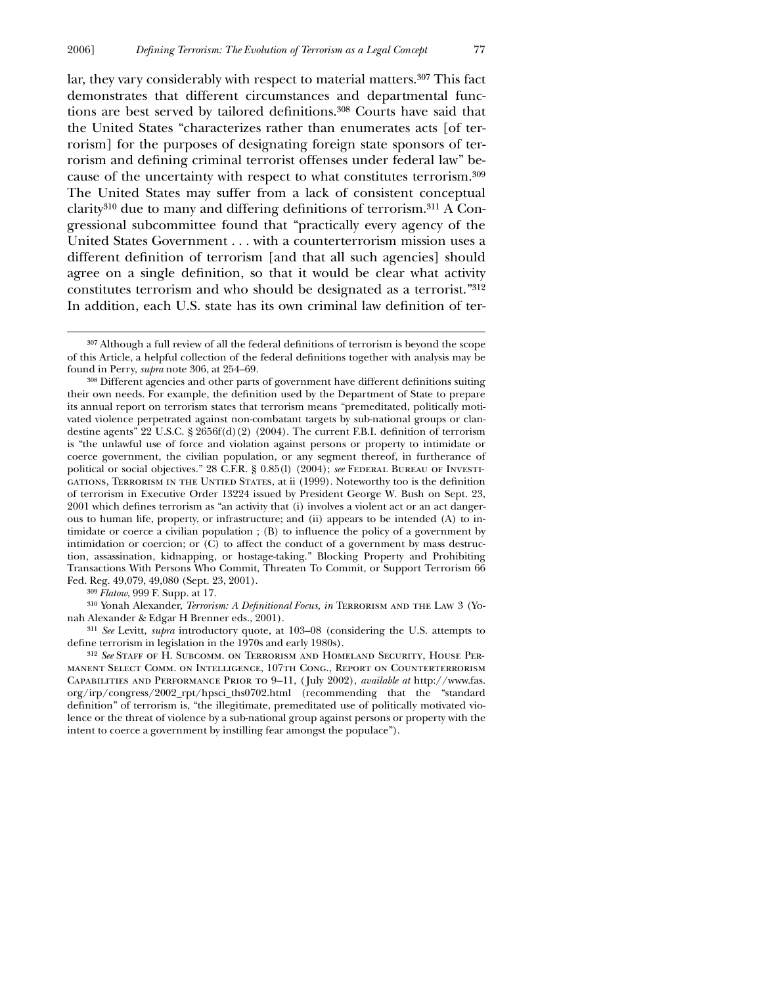lar, they vary considerably with respect to material matters.<sup>307</sup> This fact demonstrates that different circumstances and departmental functions are best served by tailored definitions.<sup>308</sup> Courts have said that the United States "characterizes rather than enumerates acts [of terrorism] for the purposes of designating foreign state sponsors of terrorism and defining criminal terrorist offenses under federal law" because of the uncertainty with respect to what constitutes terrorism.309 The United States may suffer from a lack of consistent conceptual  $clarity<sup>310</sup>$  due to many and differing definitions of terrorism.<sup>311</sup> A Congressional subcommittee found that "practically every agency of the United States Government . . . with a counterterrorism mission uses a different definition of terrorism [and that all such agencies] should agree on a single definition, so that it would be clear what activity constitutes terrorism and who should be designated as a terrorist."312 In addition, each U.S. state has its own criminal law definition of ter-

309 *Flatow*, 999 F. Supp. at 17.

 $\overline{a}$ 

<sup>310</sup> Yonah Alexander, *Terrorism: A Definitional Focus, in* TERRORISM AND THE LAW 3 (Yonah Alexander & Edgar H Brenner eds., 2001).

311 *See* Levitt, *supra* introductory quote, at 103–08 (considering the U.S. attempts to define terrorism in legislation in the 1970s and early 1980s).

312 *See* Staff of H. Subcomm. on Terrorism and Homeland Security, House Permanent Select Comm. on Intelligence, 107th Cong., Report on Counterterrorism Capabilities and Performance Prior to 9–11, ( July 2002), *available at* http://www.fas. org/irp/congress/2002\_rpt/hpsci\_ths0702.html (recommending that the "standard definition" of terrorism is, "the illegitimate, premeditated use of politically motivated violence or the threat of violence by a sub-national group against persons or property with the intent to coerce a government by instilling fear amongst the populace").

 $307$  Although a full review of all the federal definitions of terrorism is beyond the scope of this Article, a helpful collection of the federal definitions together with analysis may be found in Perry, *supra* note 306, at 254–69.

<sup>308</sup> Different agencies and other parts of government have different definitions suiting their own needs. For example, the definition used by the Department of State to prepare its annual report on terrorism states that terrorism means "premeditated, politically motivated violence perpetrated against non-combatant targets by sub-national groups or clandestine agents" 22 U.S.C.  $\S 2656f(d)(2)$  (2004). The current F.B.I. definition of terrorism is "the unlawful use of force and violation against persons or property to intimidate or coerce government, the civilian population, or any segment thereof, in furtherance of political or social objectives." 28 C.F.R. § 0.85(l) (2004); *see* Federal Bureau of Investi-GATIONS, TERRORISM IN THE UNTIED STATES, at ii (1999). Noteworthy too is the definition of terrorism in Executive Order 13224 issued by President George W. Bush on Sept. 23, 2001 which defines terrorism as "an activity that (i) involves a violent act or an act dangerous to human life, property, or infrastructure; and (ii) appears to be intended (A) to intimidate or coerce a civilian population ;  $(B)$  to influence the policy of a government by intimidation or coercion; or (C) to affect the conduct of a government by mass destruction, assassination, kidnapping, or hostage-taking." Blocking Property and Prohibiting Transactions With Persons Who Commit, Threaten To Commit, or Support Terrorism 66 Fed. Reg. 49,079, 49,080 (Sept. 23, 2001).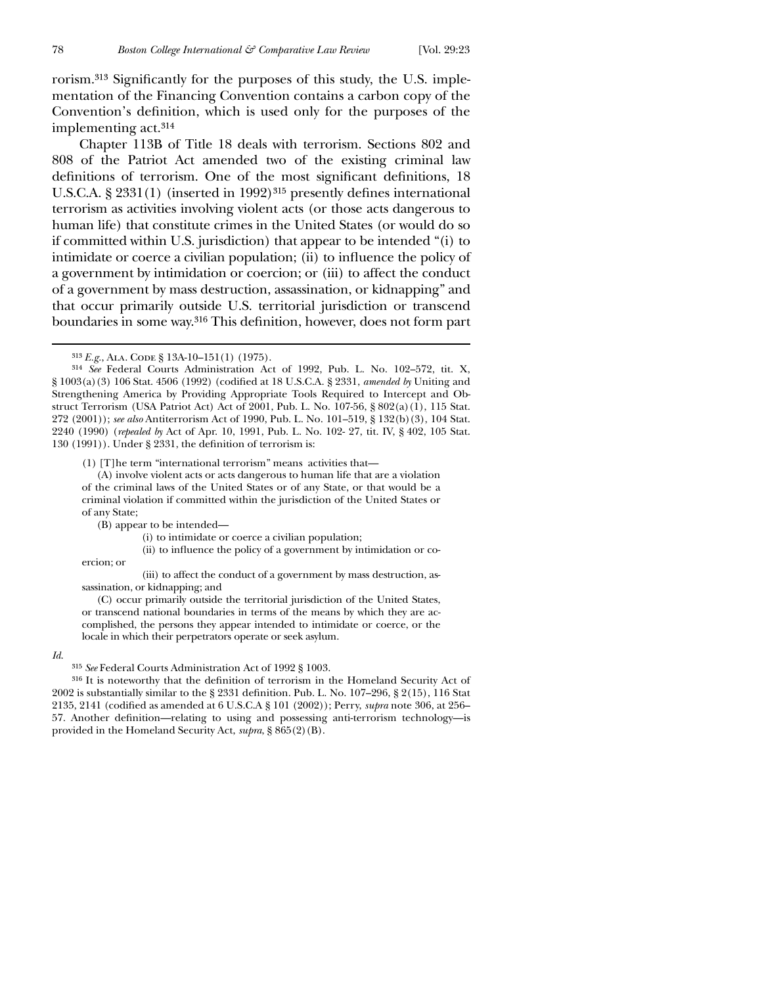rorism.<sup>313</sup> Significantly for the purposes of this study, the U.S. implementation of the Financing Convention contains a carbon copy of the Convention's definition, which is used only for the purposes of the implementing act.314

Chapter 113B of Title 18 deals with terrorism. Sections 802 and 808 of the Patriot Act amended two of the existing criminal law definitions of terrorism. One of the most significant definitions, 18 U.S.C.A.  $\S 2331(1)$  (inserted in 1992)<sup>315</sup> presently defines international terrorism as activities involving violent acts (or those acts dangerous to human life) that constitute crimes in the United States (or would do so if committed within U.S. jurisdiction) that appear to be intended "(i) to intimidate or coerce a civilian population; (ii) to influence the policy of a government by intimidation or coercion; or (iii) to affect the conduct of a government by mass destruction, assassination, or kidnapping" and that occur primarily outside U.S. territorial jurisdiction or transcend boundaries in some way.<sup>316</sup> This definition, however, does not form part

(1) [T]he term "international terrorism" means activities that—

(A) involve violent acts or acts dangerous to human life that are a violation of the criminal laws of the United States or of any State, or that would be a criminal violation if committed within the jurisdiction of the United States or of any State;

(B) appear to be intended—

(i) to intimidate or coerce a civilian population;

(ii) to influence the policy of a government by intimidation or co-

ercion; or

(iii) to affect the conduct of a government by mass destruction, assassination, or kidnapping; and

(C) occur primarily outside the territorial jurisdiction of the United States, or transcend national boundaries in terms of the means by which they are accomplished, the persons they appear intended to intimidate or coerce, or the locale in which their perpetrators operate or seek asylum.

#### *Id*.

315 *See* Federal Courts Administration Act of 1992 § 1003.

 $316$  It is noteworthy that the definition of terrorism in the Homeland Security Act of 2002 is substantially similar to the § 2331 definition. Pub. L. No.  $107-296$ , §  $2(15)$ , 116 Stat 2135, 2141 (codified as amended at 6 U.S.C.A § 101 (2002)); Perry, *supra* note 306, at 256– 57. Another definition—relating to using and possessing anti-terrorism technology—is provided in the Homeland Security Act, *supra*, § 865(2)(B).

<sup>313</sup> *E.g.*, Ala. Code § 13A-10–151(1) (1975).

<sup>314</sup> *See* Federal Courts Administration Act of 1992, Pub. L. No. 102–572, tit. X, § 1003(a)(3) 106 Stat. 4506 (1992) (codified at 18 U.S.C.A. § 2331, *amended by* Uniting and Strengthening America by Providing Appropriate Tools Required to Intercept and Obstruct Terrorism (USA Patriot Act) Act of 2001, Pub. L. No. 107-56, § 802(a)(1), 115 Stat. 272 (2001)); *see also* Antiterrorism Act of 1990, Pub. L. No. 101–519, § 132(b)(3), 104 Stat. 2240 (1990) (*repealed by* Act of Apr. 10, 1991, Pub. L. No. 102- 27, tit. IV, § 402, 105 Stat. 130 (1991)). Under § 2331, the definition of terrorism is: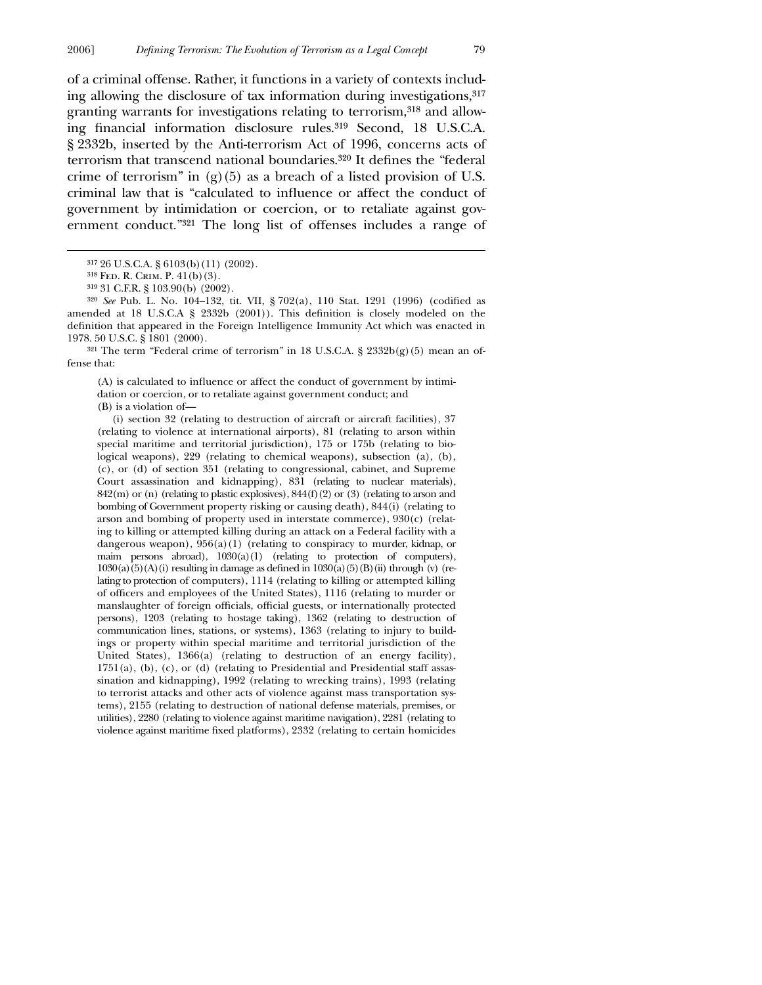of a criminal offense. Rather, it functions in a variety of contexts including allowing the disclosure of tax information during investigations,317 granting warrants for investigations relating to terrorism,318 and allowing financial information disclosure rules.<sup>319</sup> Second, 18 U.S.C.A. § 2332b, inserted by the Anti-terrorism Act of 1996, concerns acts of terrorism that transcend national boundaries.<sup>320</sup> It defines the "federal crime of terrorism" in  $(g)(5)$  as a breach of a listed provision of U.S. criminal law that is "calculated to influence or affect the conduct of government by intimidation or coercion, or to retaliate against government conduct."321 The long list of offenses includes a range of

 $\overline{a}$ 

<sup>320</sup> *See* Pub. L. No. 104-132, tit. VII, § 702(a), 110 Stat. 1291 (1996) (codified as amended at 18 U.S.C.A  $\S$  2332b (2001)). This definition is closely modeled on the definition that appeared in the Foreign Intelligence Immunity Act which was enacted in 1978. 50 U.S.C. § 1801 (2000).

<sup>321</sup> The term "Federal crime of terrorism" in 18 U.S.C.A. §  $2332b(g)(5)$  mean an offense that:

(A) is calculated to influence or affect the conduct of government by intimidation or coercion, or to retaliate against government conduct; and (B) is a violation of—

(i) section 32 (relating to destruction of aircraft or aircraft facilities),  $37$ (relating to violence at international airports), 81 (relating to arson within special maritime and territorial jurisdiction), 175 or 175b (relating to biological weapons), 229 (relating to chemical weapons), subsection (a), (b), (c), or (d) of section 351 (relating to congressional, cabinet, and Supreme Court assassination and kidnapping), 831 (relating to nuclear materials),  $842(m)$  or (n) (relating to plastic explosives),  $844(f)(2)$  or (3) (relating to arson and bombing of Government property risking or causing death), 844(i) (relating to arson and bombing of property used in interstate commerce), 930(c) (relating to killing or attempted killing during an attack on a Federal facility with a dangerous weapon),  $956(a)(1)$  (relating to conspiracy to murder, kidnap, or maim persons abroad), 1030(a)(1) (relating to protection of computers),  $1030(a)(5)(A)(i)$  resulting in damage as defined in  $1030(a)(5)(B)(ii)$  through (v) (relating to protection of computers), 1114 (relating to killing or attempted killing of officers and employees of the United States), 1116 (relating to murder or manslaughter of foreign officials, official guests, or internationally protected persons), 1203 (relating to hostage taking), 1362 (relating to destruction of communication lines, stations, or systems), 1363 (relating to injury to buildings or property within special maritime and territorial jurisdiction of the United States), 1366(a) (relating to destruction of an energy facility), 1751(a), (b), (c), or (d) (relating to Presidential and Presidential staff assassination and kidnapping), 1992 (relating to wrecking trains), 1993 (relating to terrorist attacks and other acts of violence against mass transportation systems), 2155 (relating to destruction of national defense materials, premises, or utilities), 2280 (relating to violence against maritime navigation), 2281 (relating to violence against maritime fixed platforms), 2332 (relating to certain homicides

<sup>317</sup> 26 U.S.C.A. § 6103(b)(11) (2002).

<sup>318</sup> Fed. R. Crim. P. 41(b)(3).

<sup>319</sup> 31 C.F.R. § 103.90(b) (2002).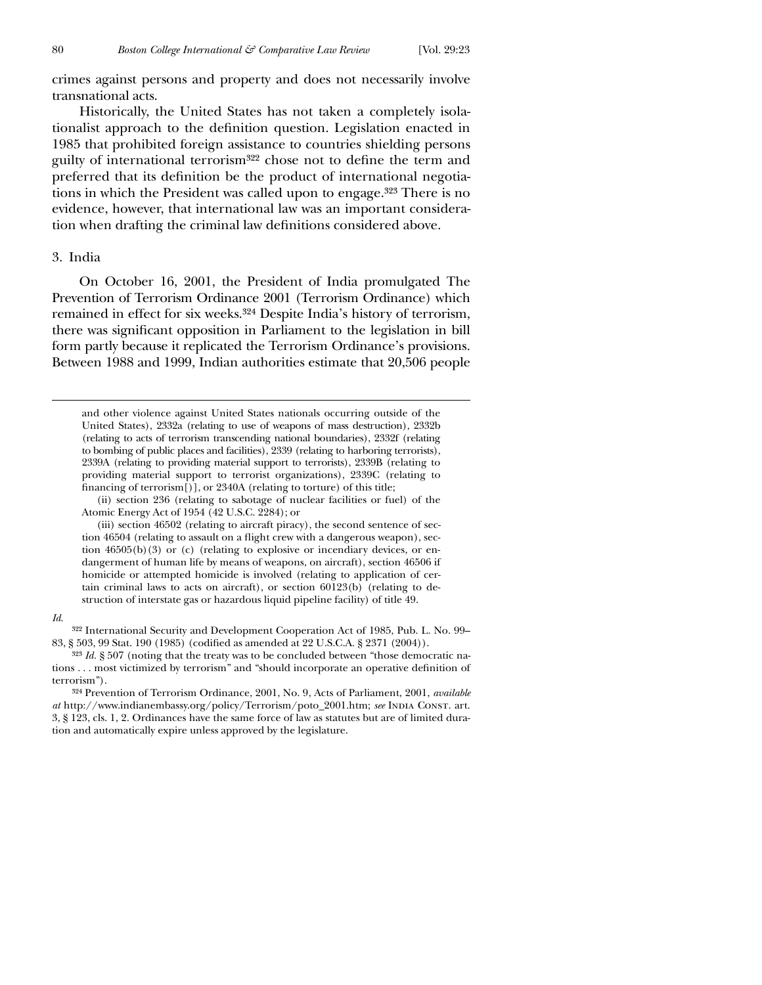crimes against persons and property and does not necessarily involve transnational acts.

Historically, the United States has not taken a completely isolationalist approach to the definition question. Legislation enacted in 1985 that prohibited foreign assistance to countries shielding persons guilty of international terrorism<sup>322</sup> chose not to define the term and preferred that its definition be the product of international negotiations in which the President was called upon to engage.323 There is no evidence, however, that international law was an important consideration when drafting the criminal law definitions considered above.

## 3. India

On October 16, 2001, the President of India promulgated The Prevention of Terrorism Ordinance 2001 (Terrorism Ordinance) which remained in effect for six weeks.324 Despite India's history of terrorism, there was significant opposition in Parliament to the legislation in bill form partly because it replicated the Terrorism Ordinance's provisions. Between 1988 and 1999, Indian authorities estimate that 20,506 people

 and other violence against United States nationals occurring outside of the United States), 2332a (relating to use of weapons of mass destruction), 2332b (relating to acts of terrorism transcending national boundaries), 2332f (relating to bombing of public places and facilities), 2339 (relating to harboring terrorists), 2339A (relating to providing material support to terrorists), 2339B (relating to providing material support to terrorist organizations), 2339C (relating to financing of terrorism $[$ )], or 2340A (relating to torture) of this title;

(ii) section 236 (relating to sabotage of nuclear facilities or fuel) of the Atomic Energy Act of 1954 (42 U.S.C. 2284); or

(iii) section 46502 (relating to aircraft piracy), the second sentence of section 46504 (relating to assault on a flight crew with a dangerous weapon), section 46505(b)(3) or (c) (relating to explosive or incendiary devices, or endangerment of human life by means of weapons, on aircraft), section 46506 if homicide or attempted homicide is involved (relating to application of certain criminal laws to acts on aircraft), or section 60123(b) (relating to destruction of interstate gas or hazardous liquid pipeline facility) of title 49.

#### *Id*.

322 International Security and Development Cooperation Act of 1985, Pub. L. No. 99– 83, § 503, 99 Stat. 190 (1985) (codified as amended at 22 U.S.C.A. § 2371 (2004)).

323 *Id.* § 507 (noting that the treaty was to be concluded between "those democratic nations . . . most victimized by terrorism" and "should incorporate an operative definition of terrorism").

324 Prevention of Terrorism Ordinance, 2001, No. 9, Acts of Parliament, 2001, *available at* http://www.indianembassy.org/policy/Terrorism/poto\_2001.htm; *see* India Const. art. 3, § 123, cls. 1, 2. Ordinances have the same force of law as statutes but are of limited duration and automatically expire unless approved by the legislature.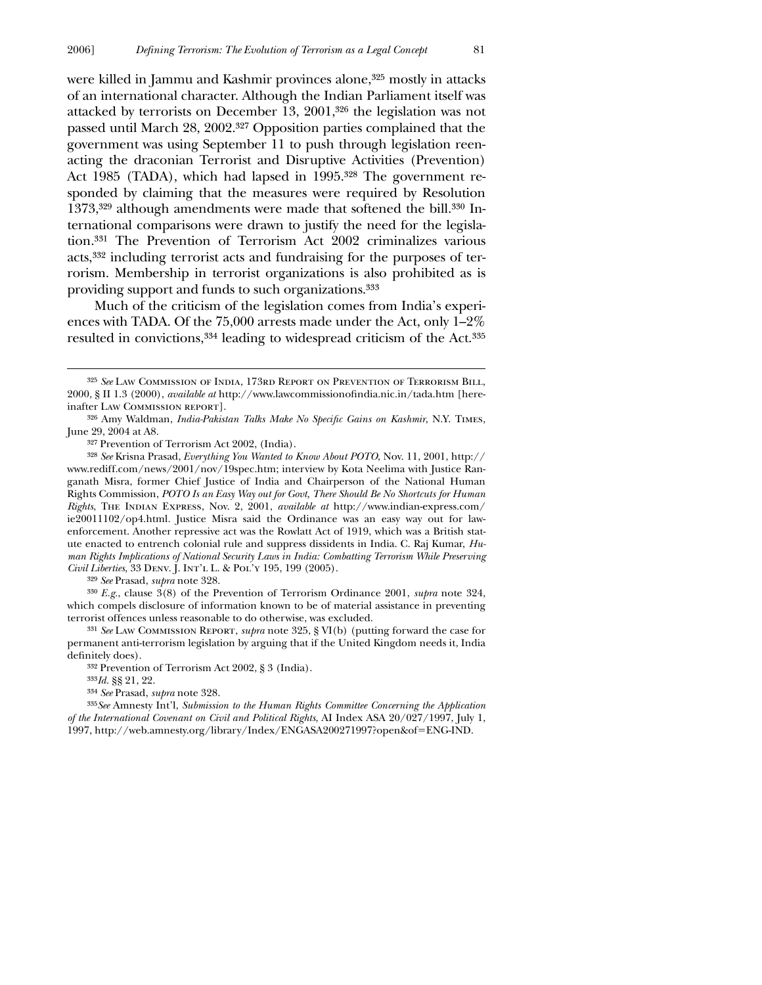were killed in Jammu and Kashmir provinces alone,325 mostly in attacks of an international character. Although the Indian Parliament itself was attacked by terrorists on December 13, 2001,326 the legislation was not passed until March 28, 2002.327 Opposition parties complained that the government was using September 11 to push through legislation reenacting the draconian Terrorist and Disruptive Activities (Prevention) Act 1985 (TADA), which had lapsed in 1995.<sup>328</sup> The government responded by claiming that the measures were required by Resolution 1373,329 although amendments were made that softened the bill.330 International comparisons were drawn to justify the need for the legislation.331 The Prevention of Terrorism Act 2002 criminalizes various acts,332 including terrorist acts and fundraising for the purposes of terrorism. Membership in terrorist organizations is also prohibited as is providing support and funds to such organizations.333

Much of the criticism of the legislation comes from India's experiences with TADA. Of the 75,000 arrests made under the Act, only 1–2% resulted in convictions,334 leading to widespread criticism of the Act.335

327 Prevention of Terrorism Act 2002, (India).

329 *See* Prasad, *supra* note 328.

 $\overline{a}$ 

330 *E.g.*, clause 3(8) of the Prevention of Terrorism Ordinance 2001, *supra* note 324, which compels disclosure of information known to be of material assistance in preventing terrorist offences unless reasonable to do otherwise, was excluded.

331 *See* Law Commission Report, *supra* note 325, § VI(b) (putting forward the case for permanent anti-terrorism legislation by arguing that if the United Kingdom needs it, India definitely does).

332 Prevention of Terrorism Act 2002, § 3 (India).

333*Id.* §§ 21, 22.

334 *See* Prasad, *supra* note 328.

335*See* Amnesty Int'l, *Submission to the Human Rights Committee Concerning the Application of the International Covenant on Civil and Political Rights*, AI Index ASA 20/027/1997, July 1, 1997, http://web.amnesty.org/library/Index/ENGASA200271997?open&of=ENG-IND.

<sup>325</sup> *See* Law Commission of India, 173rd Report on Prevention of Terrorism Bill, 2000, § II 1.3 (2000), *available at* http://www.lawcommissionofindia.nic.in/tada.htm [hereinafter Law Commission report].

<sup>&</sup>lt;sup>326</sup> Amy Waldman, *India-Pakistan Talks Make No Specific Gains on Kashmir*, N.Y. TIMES, June 29, 2004 at A8.

<sup>328</sup> *See* Krisna Prasad, *Everything You Wanted to Know About POTO*, Nov. 11, 2001, http:// www.rediff.com/news/2001/nov/19spec.htm; interview by Kota Neelima with Justice Ranganath Misra, former Chief Justice of India and Chairperson of the National Human Rights Commission, *POTO Is an Easy Way out for Govt, There Should Be No Shortcuts for Human Rights*, The Indian Express, Nov. 2, 2001, *available at* http://www.indian-express.com/ ie20011102/op4.html. Justice Misra said the Ordinance was an easy way out for lawenforcement. Another repressive act was the Rowlatt Act of 1919, which was a British statute enacted to entrench colonial rule and suppress dissidents in India. C. Raj Kumar, *Human Rights Implications of National Security Laws in India: Combatting Terrorism While Preserving Civil Liberties*, 33 Denv. J. Int'l L. & Pol'y 195, 199 (2005).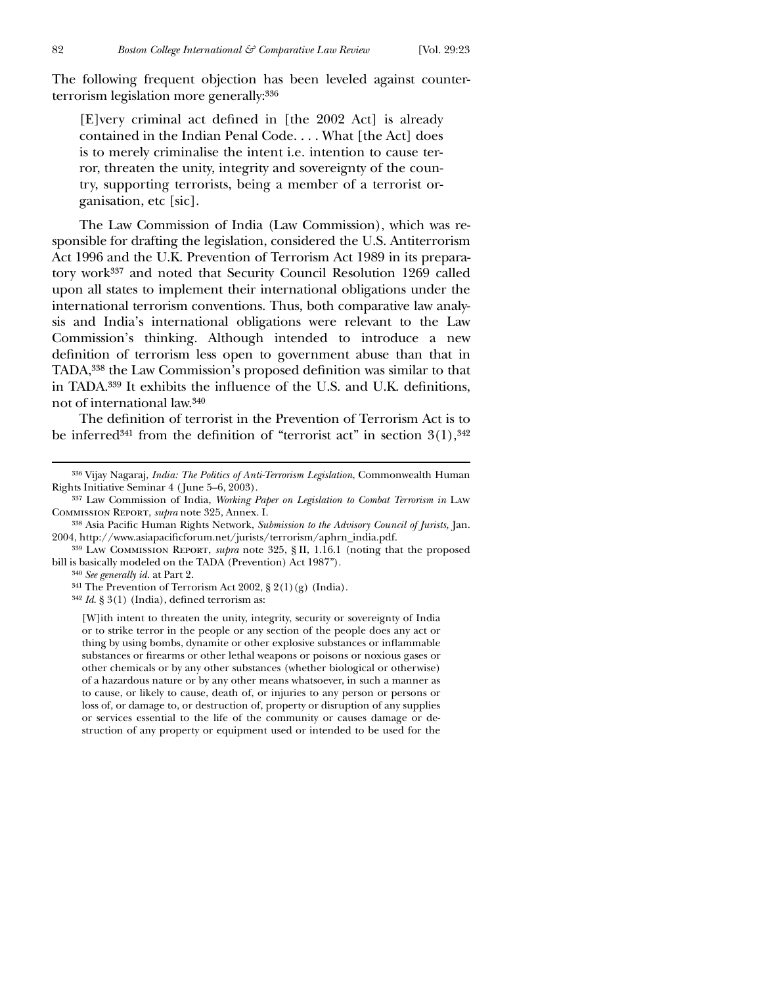The following frequent objection has been leveled against counterterrorism legislation more generally:336

[E]very criminal act defined in  $[the 2002 \text{ Act}]$  is already contained in the Indian Penal Code. . . . What [the Act] does is to merely criminalise the intent i.e. intention to cause terror, threaten the unity, integrity and sovereignty of the country, supporting terrorists, being a member of a terrorist organisation, etc [sic].

The Law Commission of India (Law Commission), which was responsible for drafting the legislation, considered the U.S. Antiterrorism Act 1996 and the U.K. Prevention of Terrorism Act 1989 in its preparatory work337 and noted that Security Council Resolution 1269 called upon all states to implement their international obligations under the international terrorism conventions. Thus, both comparative law analysis and India's international obligations were relevant to the Law Commission's thinking. Although intended to introduce a new definition of terrorism less open to government abuse than that in TADA,<sup>338</sup> the Law Commission's proposed definition was similar to that in TADA.<sup>339</sup> It exhibits the influence of the U.S. and U.K. definitions, not of international law.340

The definition of terrorist in the Prevention of Terrorism Act is to be inferred<sup>341</sup> from the definition of "terrorist act" in section  $3(1),^{342}$ 

338 Asia Pacific Human Rights Network, *Submission to the Advisory Council of Jurists*, Jan. 2004, http://www.asiapacificforum.net/jurists/terrorism/aphrn\_india.pdf.

340 *See generally id.* at Part 2.

<sup>341</sup> The Prevention of Terrorism Act 2002,  $\S 2(1)(g)$  (India).

<sup>342</sup> *Id.* § 3(1) (India), defined terrorism as:

[W]ith intent to threaten the unity, integrity, security or sovereignty of India or to strike terror in the people or any section of the people does any act or thing by using bombs, dynamite or other explosive substances or inflammable substances or firearms or other lethal weapons or poisons or noxious gases or other chemicals or by any other substances (whether biological or otherwise) of a hazardous nature or by any other means whatsoever, in such a manner as to cause, or likely to cause, death of, or injuries to any person or persons or loss of, or damage to, or destruction of, property or disruption of any supplies or services essential to the life of the community or causes damage or destruction of any property or equipment used or intended to be used for the

<sup>336</sup> Vijay Nagaraj, *India: The Politics of Anti-Terrorism Legislation*, Commonwealth Human Rights Initiative Seminar 4 ( June 5–6, 2003).

<sup>337</sup> Law Commission of India, *Working Paper on Legislation to Combat Terrorism in* Law Commission Report, *supra* note 325, Annex. I.

<sup>339</sup> Law Commission Report, *supra* note 325, § II, 1.16.1 (noting that the proposed bill is basically modeled on the TADA (Prevention) Act 1987").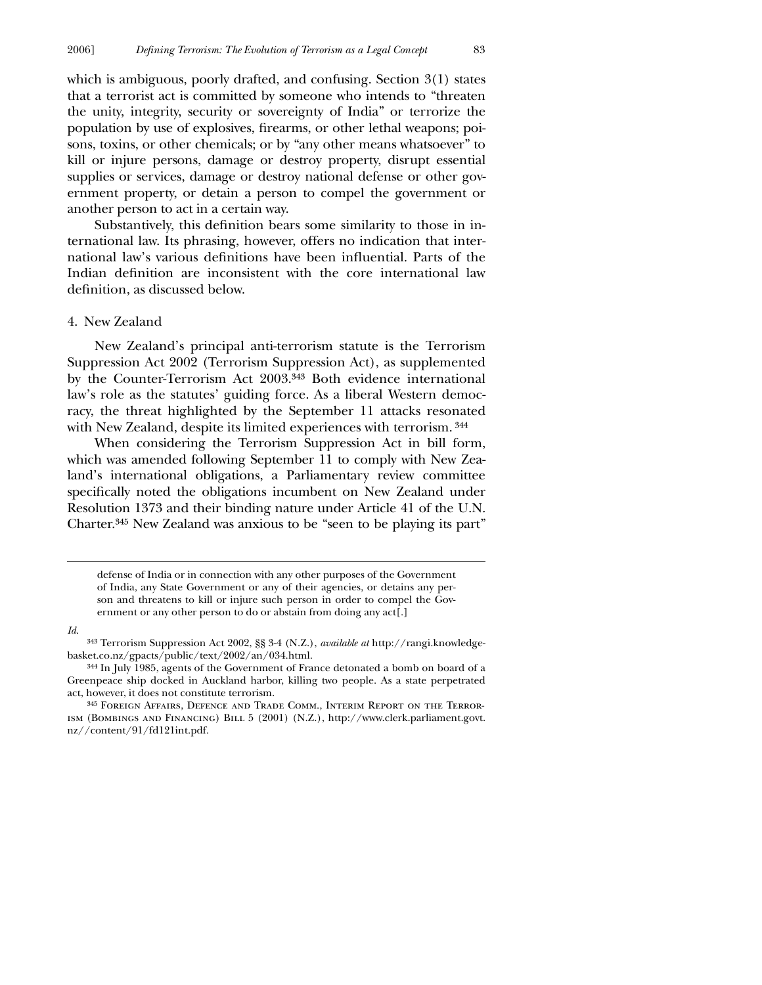which is ambiguous, poorly drafted, and confusing. Section 3(1) states that a terrorist act is committed by someone who intends to "threaten the unity, integrity, security or sovereignty of India" or terrorize the population by use of explosives, firearms, or other lethal weapons; poisons, toxins, or other chemicals; or by "any other means whatsoever" to kill or injure persons, damage or destroy property, disrupt essential supplies or services, damage or destroy national defense or other government property, or detain a person to compel the government or another person to act in a certain way.

Substantively, this definition bears some similarity to those in international law. Its phrasing, however, offers no indication that international law's various definitions have been influential. Parts of the Indian definition are inconsistent with the core international law definition, as discussed below.

### 4. New Zealand

New Zealand's principal anti-terrorism statute is the Terrorism Suppression Act 2002 (Terrorism Suppression Act), as supplemented by the Counter-Terrorism Act 2003.343 Both evidence international law's role as the statutes' guiding force. As a liberal Western democracy, the threat highlighted by the September 11 attacks resonated with New Zealand, despite its limited experiences with terrorism. 344

When considering the Terrorism Suppression Act in bill form, which was amended following September 11 to comply with New Zealand's international obligations, a Parliamentary review committee specifically noted the obligations incumbent on New Zealand under Resolution 1373 and their binding nature under Article 41 of the U.N. Charter.345 New Zealand was anxious to be "seen to be playing its part"

 defense of India or in connection with any other purposes of the Government of India, any State Government or any of their agencies, or detains any person and threatens to kill or injure such person in order to compel the Government or any other person to do or abstain from doing any act[.]

#### *Id*.

<sup>343</sup> Terrorism Suppression Act 2002, §§ 3-4 (N.Z.), *available at* http://rangi.knowledgebasket.co.nz/gpacts/public/text/2002/an/034.html.

<sup>344</sup> In July 1985, agents of the Government of France detonated a bomb on board of a Greenpeace ship docked in Auckland harbor, killing two people. As a state perpetrated act, however, it does not constitute terrorism.

<sup>345</sup> Foreign Affairs, Defence and Trade Comm., Interim Report on the Terrorism (Bombings and Financing) Bill 5 (2001) (N.Z.), http://www.clerk.parliament.govt. nz//content/91/fd121int.pdf.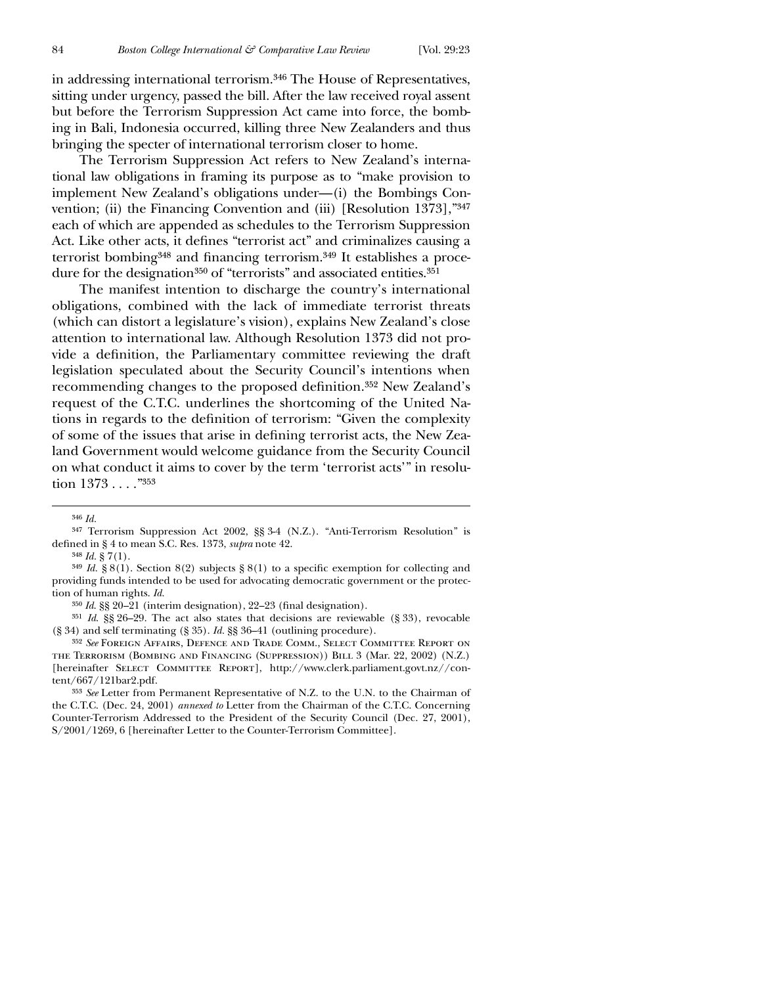in addressing international terrorism.346 The House of Representatives, sitting under urgency, passed the bill. After the law received royal assent but before the Terrorism Suppression Act came into force, the bombing in Bali, Indonesia occurred, killing three New Zealanders and thus bringing the specter of international terrorism closer to home.

The Terrorism Suppression Act refers to New Zealand's international law obligations in framing its purpose as to "make provision to implement New Zealand's obligations under—(i) the Bombings Convention; (ii) the Financing Convention and (iii) [Resolution 1373],"347 each of which are appended as schedules to the Terrorism Suppression Act. Like other acts, it defines "terrorist act" and criminalizes causing a terrorist bombing<sup>348</sup> and financing terrorism.<sup>349</sup> It establishes a procedure for the designation<sup>350</sup> of "terrorists" and associated entities.<sup>351</sup>

The manifest intention to discharge the country's international obligations, combined with the lack of immediate terrorist threats (which can distort a legislature's vision), explains New Zealand's close attention to international law. Although Resolution 1373 did not provide a definition, the Parliamentary committee reviewing the draft legislation speculated about the Security Council's intentions when recommending changes to the proposed definition.<sup>352</sup> New Zealand's request of the C.T.C. underlines the shortcoming of the United Nations in regards to the definition of terrorism: "Given the complexity of some of the issues that arise in defining terrorist acts, the New Zealand Government would welcome guidance from the Security Council on what conduct it aims to cover by the term 'terrorist acts'" in resolution 1373 . . . ."353

<sup>346</sup> *Id.*

<sup>347</sup> Terrorism Suppression Act 2002, §§ 3-4 (N.Z.). "Anti-Terrorism Resolution" is defined in § 4 to mean S.C. Res. 1373, *supra* note 42.

 $348$  *Id.* § 7(1).

<sup>&</sup>lt;sup>349</sup> *Id.* § 8(1). Section 8(2) subjects § 8(1) to a specific exemption for collecting and providing funds intended to be used for advocating democratic government or the protection of human rights. *Id.*

<sup>&</sup>lt;sup>350</sup> *Id.* §§ 20–21 (interim designation), 22–23 (final designation).

<sup>351</sup> *Id*. §§ 26–29. The act also states that decisions are reviewable (§ 33), revocable (§ 34) and self terminating (§ 35). *Id.* §§ 36–41 (outlining procedure).

<sup>352</sup> *See* Foreign Affairs, Defence and Trade Comm., Select Committee Report on the Terrorism (Bombing and Financing (Suppression)) Bill 3 (Mar. 22, 2002) (N.Z.) [hereinafter SELECT COMMITTEE REPORT], http://www.clerk.parliament.govt.nz//content/667/121bar2.pdf.

<sup>353</sup> *See* Letter from Permanent Representative of N.Z. to the U.N. to the Chairman of the C.T.C. (Dec. 24, 2001) *annexed to* Letter from the Chairman of the C.T.C. Concerning Counter-Terrorism Addressed to the President of the Security Council (Dec. 27, 2001), S/2001/1269, 6 [hereinafter Letter to the Counter-Terrorism Committee].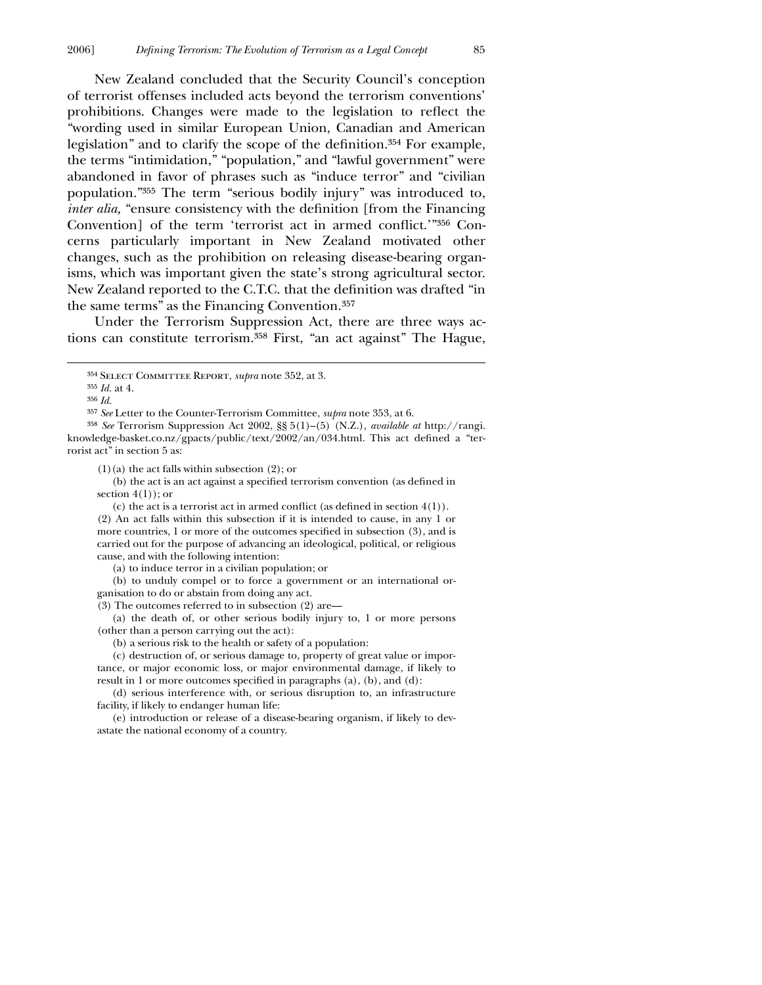New Zealand concluded that the Security Council's conception of terrorist offenses included acts beyond the terrorism conventions' prohibitions. Changes were made to the legislation to reflect the "wording used in similar European Union, Canadian and American legislation" and to clarify the scope of the definition.<sup>354</sup> For example, the terms "intimidation," "population," and "lawful government" were abandoned in favor of phrases such as "induce terror" and "civilian population."355 The term "serious bodily injury" was introduced to, *inter alia,* "ensure consistency with the definition [from the Financing Convention] of the term 'terrorist act in armed conflict.'"356 Concerns particularly important in New Zealand motivated other changes, such as the prohibition on releasing disease-bearing organisms, which was important given the state's strong agricultural sector. New Zealand reported to the C.T.C. that the definition was drafted "in the same terms" as the Financing Convention.357

Under the Terrorism Suppression Act, there are three ways actions can constitute terrorism.358 First, "an act against" The Hague,

 $\overline{a}$ 

358 *See* Terrorism Suppression Act 2002, §§ 5(1)–(5) (N.Z.), *available at* http://rangi. knowledge-basket.co.nz/gpacts/public/text/2002/an/034.html. This act defined a "terrorist act" in section 5 as:

 $(1)(a)$  the act falls within subsection  $(2)$ ; or

(b) the act is an act against a specified terrorism convention (as defined in section  $4(1)$ ; or

(c) the act is a terrorist act in armed conflict (as defined in section  $4(1)$ ). (2) An act falls within this subsection if it is intended to cause, in any 1 or more countries,  $1$  or more of the outcomes specified in subsection  $(3)$ , and is carried out for the purpose of advancing an ideological, political, or religious cause, and with the following intention:

(a) to induce terror in a civilian population; or

(b) to unduly compel or to force a government or an international organisation to do or abstain from doing any act.

(3) The outcomes referred to in subsection (2) are—

(a) the death of, or other serious bodily injury to, 1 or more persons (other than a person carrying out the act):

(b) a serious risk to the health or safety of a population:

(c) destruction of, or serious damage to, property of great value or importance, or major economic loss, or major environmental damage, if likely to result in 1 or more outcomes specified in paragraphs (a), (b), and (d):

(d) serious interference with, or serious disruption to, an infrastructure facility, if likely to endanger human life:

(e) introduction or release of a disease-bearing organism, if likely to devastate the national economy of a country.

<sup>354</sup> Select Committee Report, *supra* note 352, at 3.

<sup>355</sup> *Id.* at 4.

<sup>356</sup> *Id.*

<sup>357</sup> *See* Letter to the Counter-Terrorism Committee, *supra* note 353, at 6.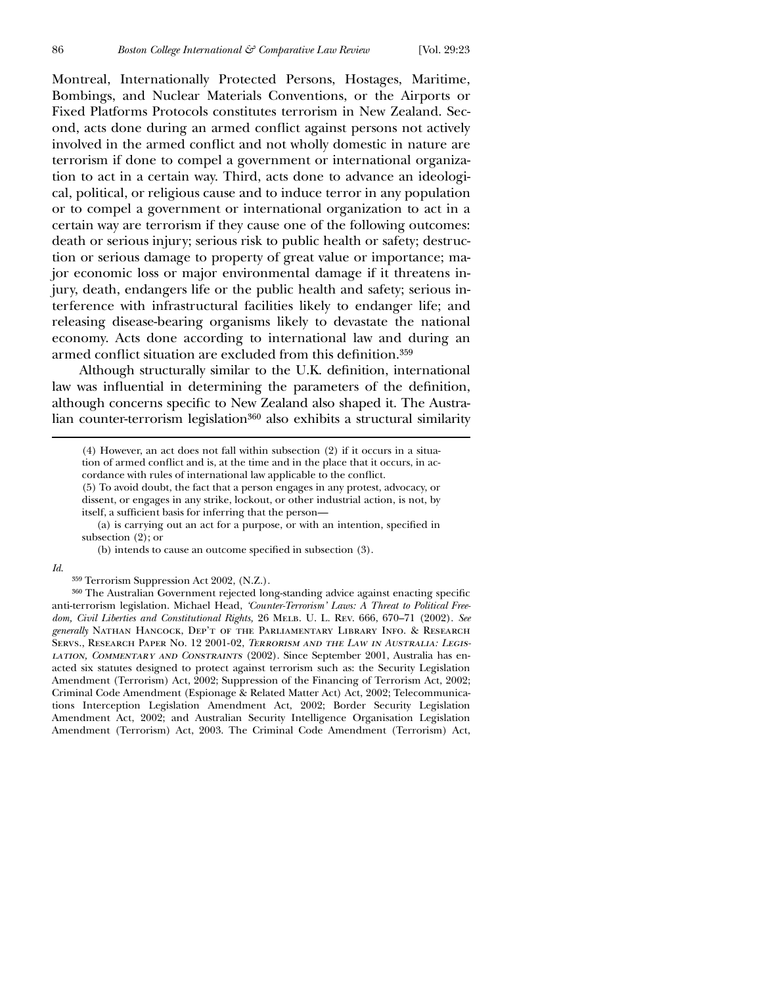Montreal, Internationally Protected Persons, Hostages, Maritime, Bombings, and Nuclear Materials Conventions, or the Airports or Fixed Platforms Protocols constitutes terrorism in New Zealand. Second, acts done during an armed conflict against persons not actively involved in the armed conflict and not wholly domestic in nature are terrorism if done to compel a government or international organization to act in a certain way. Third, acts done to advance an ideological, political, or religious cause and to induce terror in any population or to compel a government or international organization to act in a certain way are terrorism if they cause one of the following outcomes: death or serious injury; serious risk to public health or safety; destruction or serious damage to property of great value or importance; major economic loss or major environmental damage if it threatens injury, death, endangers life or the public health and safety; serious interference with infrastructural facilities likely to endanger life; and releasing disease-bearing organisms likely to devastate the national economy. Acts done according to international law and during an armed conflict situation are excluded from this definition.<sup>359</sup>

Although structurally similar to the U.K. definition, international law was influential in determining the parameters of the definition, although concerns specific to New Zealand also shaped it. The Australian counter-terrorism legislation360 also exhibits a structural similarity

(5) To avoid doubt, the fact that a person engages in any protest, advocacy, or dissent, or engages in any strike, lockout, or other industrial action, is not, by itself, a sufficient basis for inferring that the person—

 $(a)$  is carrying out an act for a purpose, or with an intention, specified in subsection (2); or

(b) intends to cause an outcome specified in subsection  $(3)$ .

#### *Id*.

359 Terrorism Suppression Act 2002, (N.Z.).

360 The Australian Government rejected long-standing advice against enacting specific anti-terrorism legislation. Michael Head, *'Counter-Terrorism' Laws: A Threat to Political Freedom, Civil Liberties and Constitutional Rights,* 26 MELB. U. L. REV. 666, 670-71 (2002). See *generally* Nathan Hancock, Dep't of the Parliamentary Library Info. & Research Servs., Research Paper No. 12 2001-02, *Terrorism and the Law in Australia: Legislation, Commentary and Constraints* (2002). Since September 2001, Australia has enacted six statutes designed to protect against terrorism such as: the Security Legislation Amendment (Terrorism) Act, 2002; Suppression of the Financing of Terrorism Act, 2002; Criminal Code Amendment (Espionage & Related Matter Act) Act, 2002; Telecommunications Interception Legislation Amendment Act, 2002; Border Security Legislation Amendment Act, 2002; and Australian Security Intelligence Organisation Legislation Amendment (Terrorism) Act, 2003. The Criminal Code Amendment (Terrorism) Act,

 <sup>(4)</sup> However, an act does not fall within subsection (2) if it occurs in a situation of armed conflict and is, at the time and in the place that it occurs, in accordance with rules of international law applicable to the conflict.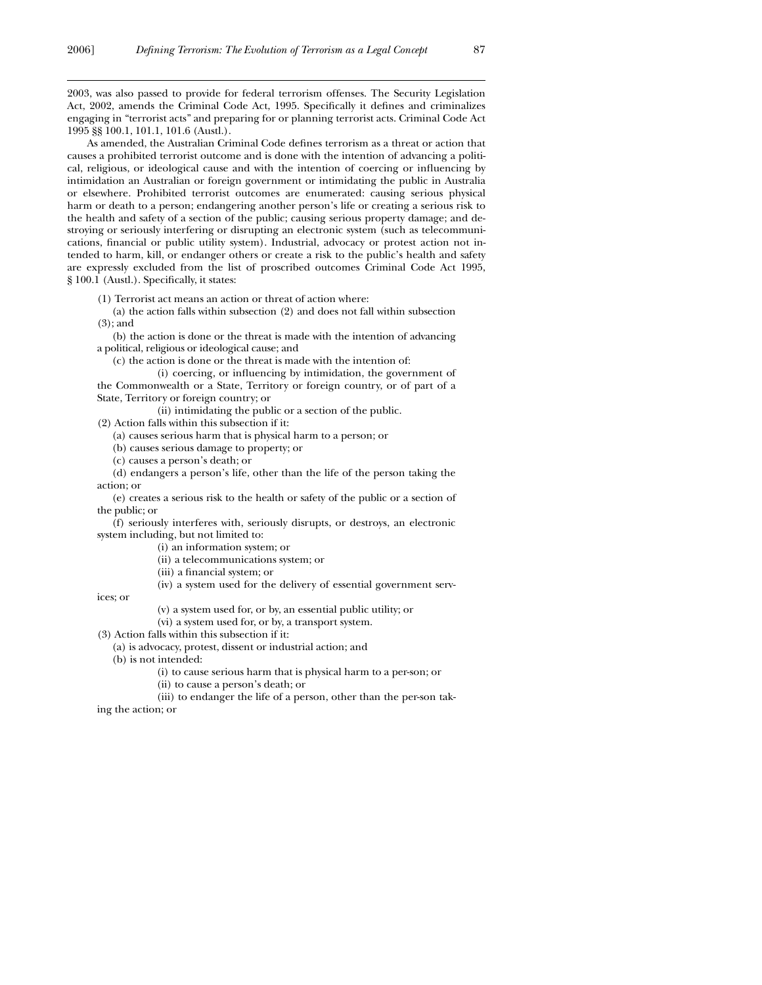2003, was also passed to provide for federal terrorism offenses. The Security Legislation Act, 2002, amends the Criminal Code Act, 1995. Specifically it defines and criminalizes engaging in "terrorist acts" and preparing for or planning terrorist acts. Criminal Code Act 1995 §§ 100.1, 101.1, 101.6 (Austl.).

As amended, the Australian Criminal Code defines terrorism as a threat or action that causes a prohibited terrorist outcome and is done with the intention of advancing a political, religious, or ideological cause and with the intention of coercing or influencing by intimidation an Australian or foreign government or intimidating the public in Australia or elsewhere. Prohibited terrorist outcomes are enumerated: causing serious physical harm or death to a person; endangering another person's life or creating a serious risk to the health and safety of a section of the public; causing serious property damage; and destroying or seriously interfering or disrupting an electronic system (such as telecommunications, financial or public utility system). Industrial, advocacy or protest action not intended to harm, kill, or endanger others or create a risk to the public's health and safety are expressly excluded from the list of proscribed outcomes Criminal Code Act 1995, § 100.1 (Austl.). Specifically, it states:

(1) Terrorist act means an action or threat of action where:

(a) the action falls within subsection (2) and does not fall within subsection (3); and

(b) the action is done or the threat is made with the intention of advancing a political, religious or ideological cause; and

(c) the action is done or the threat is made with the intention of:

(i) coercing, or influencing by intimidation, the government of the Commonwealth or a State, Territory or foreign country, or of part of a State, Territory or foreign country; or

(ii) intimidating the public or a section of the public.

(2) Action falls within this subsection if it:

(a) causes serious harm that is physical harm to a person; or

(b) causes serious damage to property; or

(c) causes a person's death; or

(d) endangers a person's life, other than the life of the person taking the action; or

(e) creates a serious risk to the health or safety of the public or a section of the public; or

(f) seriously interferes with, seriously disrupts, or destroys, an electronic system including, but not limited to:

(i) an information system; or

(ii) a telecommunications system; or

(iii) a financial system; or

(iv) a system used for the delivery of essential government serv-

ices; or

 $\overline{a}$ 

(v) a system used for, or by, an essential public utility; or

(vi) a system used for, or by, a transport system.

(3) Action falls within this subsection if it:

(a) is advocacy, protest, dissent or industrial action; and

(b) is not intended:

(i) to cause serious harm that is physical harm to a per-son; or

(ii) to cause a person's death; or

(iii) to endanger the life of a person, other than the per-son tak-

ing the action; or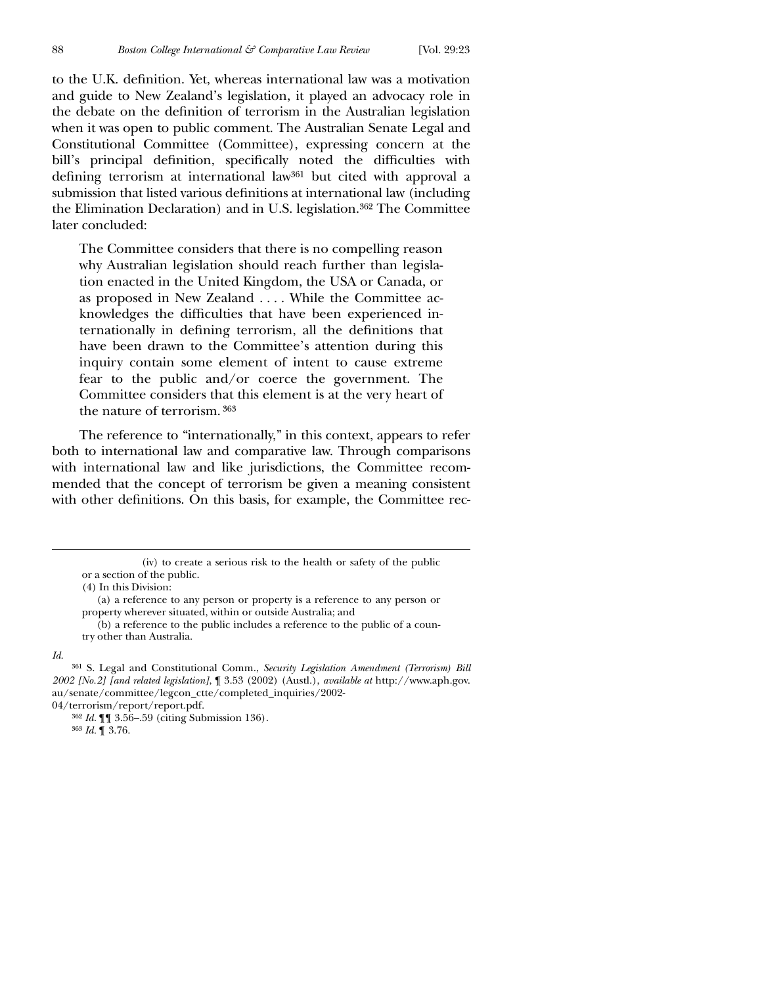to the U.K. definition. Yet, whereas international law was a motivation and guide to New Zealand's legislation, it played an advocacy role in the debate on the definition of terrorism in the Australian legislation when it was open to public comment. The Australian Senate Legal and Constitutional Committee (Committee), expressing concern at the bill's principal definition, specifically noted the difficulties with defining terrorism at international law<sup>361</sup> but cited with approval a submission that listed various definitions at international law (including the Elimination Declaration) and in U.S. legislation.362 The Committee later concluded:

The Committee considers that there is no compelling reason why Australian legislation should reach further than legislation enacted in the United Kingdom, the USA or Canada, or as proposed in New Zealand . . . . While the Committee acknowledges the difficulties that have been experienced internationally in defining terrorism, all the definitions that have been drawn to the Committee's attention during this inquiry contain some element of intent to cause extreme fear to the public and/or coerce the government. The Committee considers that this element is at the very heart of the nature of terrorism. 363

The reference to "internationally," in this context, appears to refer both to international law and comparative law. Through comparisons with international law and like jurisdictions, the Committee recommended that the concept of terrorism be given a meaning consistent with other definitions. On this basis, for example, the Committee rec-

*Id*.

362 *Id.* ¶¶ 3.56–.59 (citing Submission 136).

363 *Id.* ¶ 3.76.

 <sup>(</sup>iv) to create a serious risk to the health or safety of the public or a section of the public.

<sup>(4)</sup> In this Division:

<sup>(</sup>a) a reference to any person or property is a reference to any person or property wherever situated, within or outside Australia; and

<sup>(</sup>b) a reference to the public includes a reference to the public of a country other than Australia.

<sup>361</sup> S. Legal and Constitutional Comm., *Security Legislation Amendment (Terrorism) Bill 2002 [No.2] [and related legislation]*, ¶ 3.53 (2002) (Austl.), *available at* http://www.aph.gov. au/senate/committee/legcon\_ctte/completed\_inquiries/2002-

<sup>04/</sup>terrorism/report/report.pdf.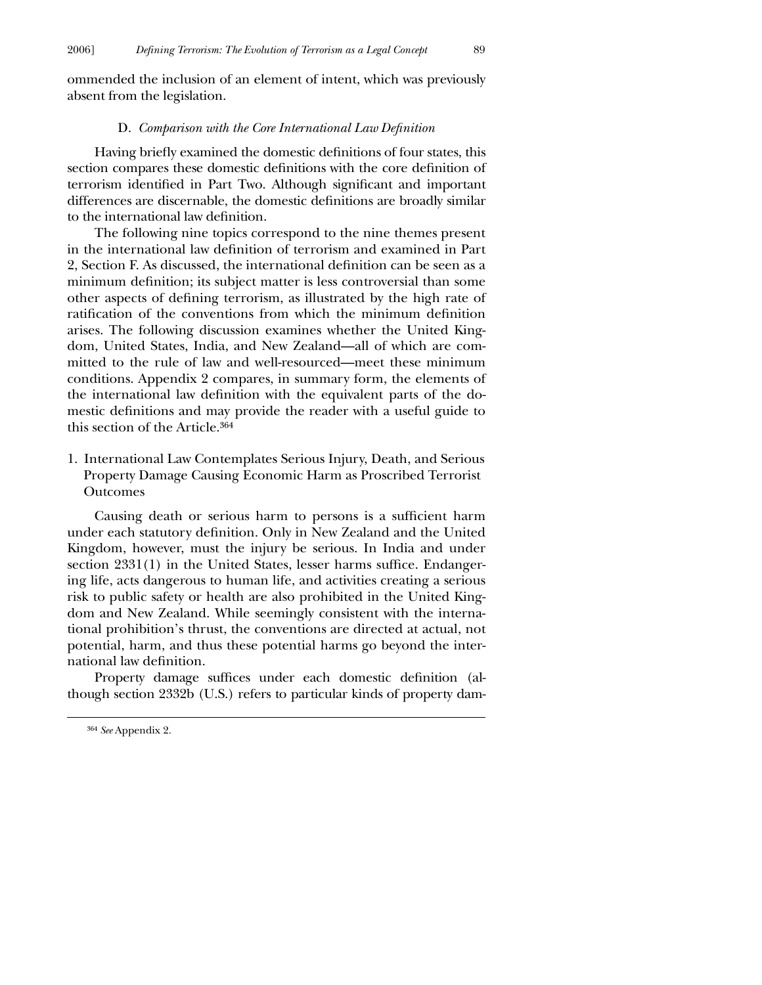ommended the inclusion of an element of intent, which was previously absent from the legislation.

#### D. *Comparison with the Core International Law Definition*

Having briefly examined the domestic definitions of four states, this section compares these domestic definitions with the core definition of terrorism identified in Part Two. Although significant and important differences are discernable, the domestic definitions are broadly similar to the international law definition.

The following nine topics correspond to the nine themes present in the international law definition of terrorism and examined in Part 2, Section F. As discussed, the international definition can be seen as a minimum definition; its subject matter is less controversial than some other aspects of defining terrorism, as illustrated by the high rate of ratification of the conventions from which the minimum definition arises. The following discussion examines whether the United Kingdom, United States, India, and New Zealand—all of which are committed to the rule of law and well-resourced—meet these minimum conditions. Appendix 2 compares, in summary form, the elements of the international law definition with the equivalent parts of the domestic definitions and may provide the reader with a useful guide to this section of the Article.364

1. International Law Contemplates Serious Injury, Death, and Serious Property Damage Causing Economic Harm as Proscribed Terrorist Outcomes

Causing death or serious harm to persons is a sufficient harm under each statutory definition. Only in New Zealand and the United Kingdom, however, must the injury be serious. In India and under  $\chi$  section 2331(1) in the United States, lesser harms suffice. Endangering life, acts dangerous to human life, and activities creating a serious risk to public safety or health are also prohibited in the United Kingdom and New Zealand. While seemingly consistent with the international prohibition's thrust, the conventions are directed at actual, not potential, harm, and thus these potential harms go beyond the international law definition.

Property damage suffices under each domestic definition (although section 2332b (U.S.) refers to particular kinds of property dam-

<sup>364</sup> *See* Appendix 2.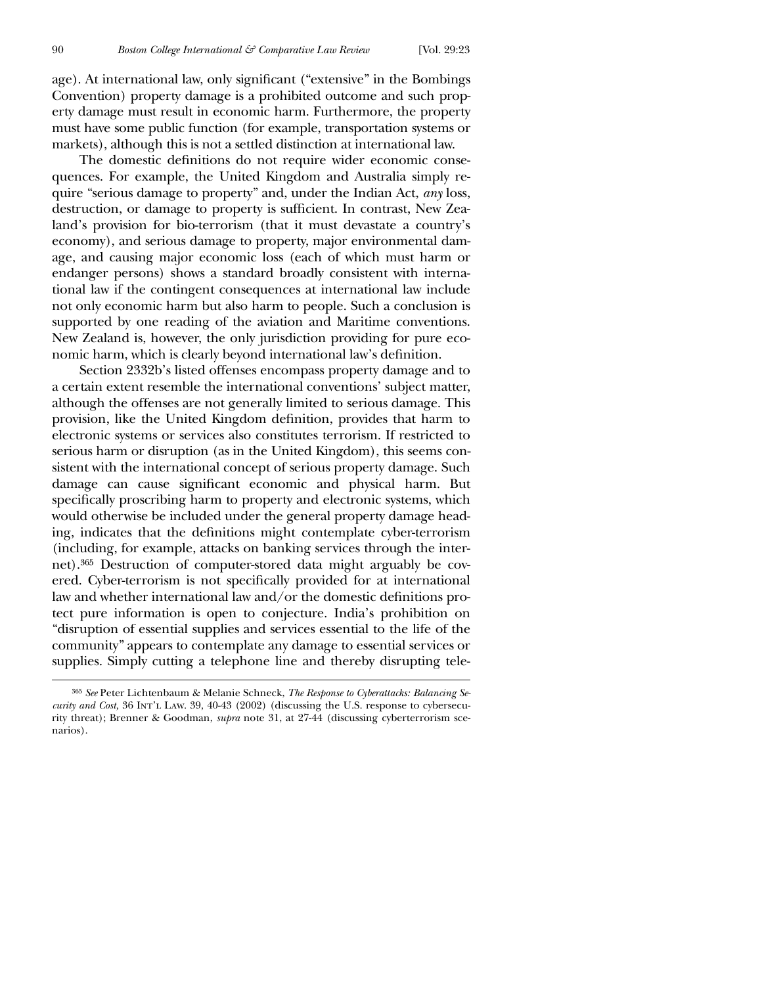age). At international law, only significant ("extensive" in the Bombings Convention) property damage is a prohibited outcome and such property damage must result in economic harm. Furthermore, the property must have some public function (for example, transportation systems or markets), although this is not a settled distinction at international law.

The domestic definitions do not require wider economic consequences. For example, the United Kingdom and Australia simply require "serious damage to property" and, under the Indian Act, *any* loss, destruction, or damage to property is sufficient. In contrast, New Zealand's provision for bio-terrorism (that it must devastate a country's economy), and serious damage to property, major environmental damage, and causing major economic loss (each of which must harm or endanger persons) shows a standard broadly consistent with international law if the contingent consequences at international law include not only economic harm but also harm to people. Such a conclusion is supported by one reading of the aviation and Maritime conventions. New Zealand is, however, the only jurisdiction providing for pure economic harm, which is clearly beyond international law's definition.

Section 2332b's listed offenses encompass property damage and to a certain extent resemble the international conventions' subject matter, although the offenses are not generally limited to serious damage. This provision, like the United Kingdom definition, provides that harm to electronic systems or services also constitutes terrorism. If restricted to serious harm or disruption (as in the United Kingdom), this seems consistent with the international concept of serious property damage. Such damage can cause significant economic and physical harm. But specifically proscribing harm to property and electronic systems, which would otherwise be included under the general property damage heading, indicates that the definitions might contemplate cyber-terrorism (including, for example, attacks on banking services through the internet).365 Destruction of computer-stored data might arguably be covered. Cyber-terrorism is not specifically provided for at international law and whether international law and/or the domestic definitions protect pure information is open to conjecture. India's prohibition on "disruption of essential supplies and services essential to the life of the community" appears to contemplate any damage to essential services or supplies. Simply cutting a telephone line and thereby disrupting tele-

<sup>365</sup> *See* Peter Lichtenbaum & Melanie Schneck, *The Response to Cyberattacks: Balancing Security and Cost,* 36 INT'L LAW. 39, 40-43 (2002) (discussing the U.S. response to cybersecurity threat); Brenner & Goodman, *supra* note 31, at 27-44 (discussing cyberterrorism scenarios).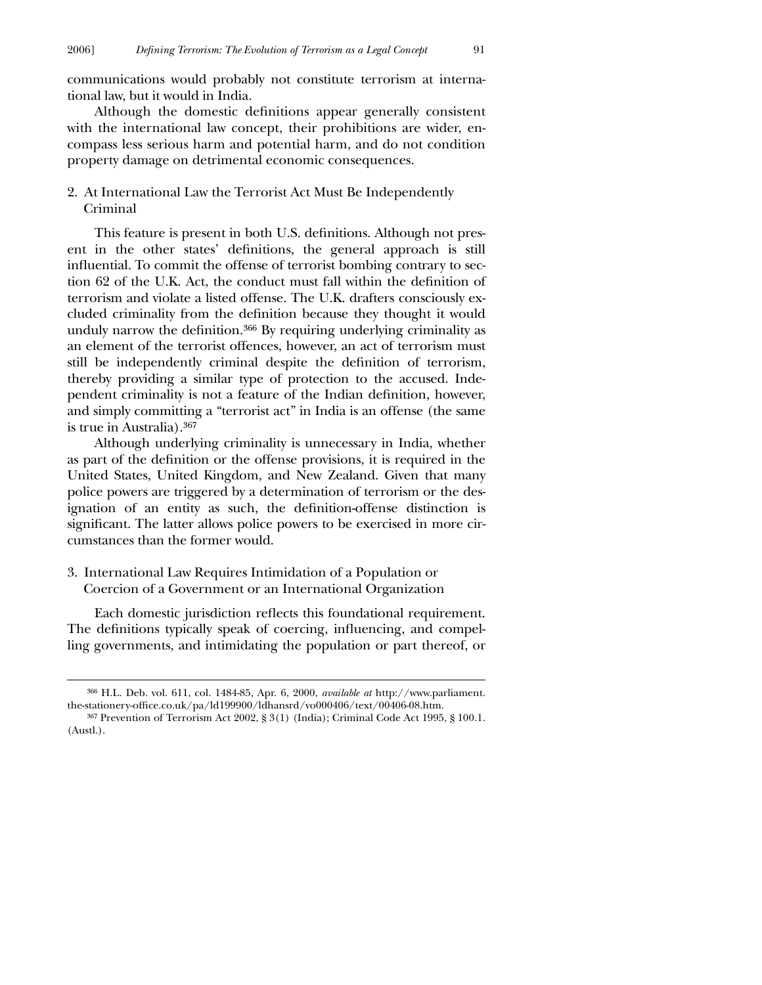communications would probably not constitute terrorism at international law, but it would in India.

Although the domestic definitions appear generally consistent with the international law concept, their prohibitions are wider, encompass less serious harm and potential harm, and do not condition property damage on detrimental economic consequences.

# 2. At International Law the Terrorist Act Must Be Independently Criminal

This feature is present in both U.S. definitions. Although not present in the other states' definitions, the general approach is still influential. To commit the offense of terrorist bombing contrary to section 62 of the U.K. Act, the conduct must fall within the definition of terrorism and violate a listed offense. The U.K. drafters consciously excluded criminality from the definition because they thought it would unduly narrow the definition. $366$  By requiring underlying criminality as an element of the terrorist offences, however, an act of terrorism must still be independently criminal despite the definition of terrorism, thereby providing a similar type of protection to the accused. Independent criminality is not a feature of the Indian definition, however, and simply committing a "terrorist act" in India is an offense (the same is true in Australia).367

Although underlying criminality is unnecessary in India, whether as part of the definition or the offense provisions, it is required in the United States, United Kingdom, and New Zealand. Given that many police powers are triggered by a determination of terrorism or the designation of an entity as such, the definition-offense distinction is significant. The latter allows police powers to be exercised in more circumstances than the former would.

3. International Law Requires Intimidation of a Population or Coercion of a Government or an International Organization

 $\overline{a}$ 

Each domestic jurisdiction reflects this foundational requirement. The definitions typically speak of coercing, influencing, and compelling governments, and intimidating the population or part thereof, or

<sup>366</sup> H.L. Deb. vol. 611, col. 1484-85, Apr. 6, 2000, *available at* http://www.parliament. the-stationery-office.co.uk/pa/ld199900/ldhansrd/vo000406/text/00406-08.htm.

<sup>367</sup> Prevention of Terrorism Act 2002, § 3(1) (India); Criminal Code Act 1995, § 100.1. (Austl.).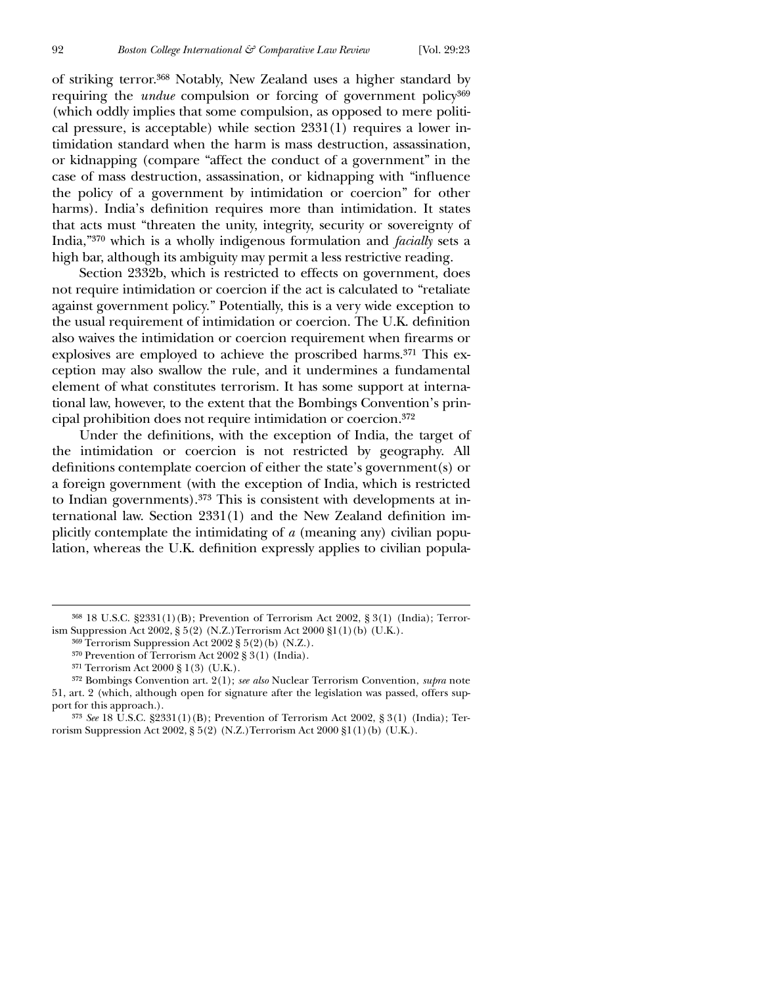of striking terror.368 Notably, New Zealand uses a higher standard by requiring the *undue* compulsion or forcing of government policy<sup>369</sup> (which oddly implies that some compulsion, as opposed to mere political pressure, is acceptable) while section 2331(1) requires a lower intimidation standard when the harm is mass destruction, assassination, or kidnapping (compare "affect the conduct of a government" in the case of mass destruction, assassination, or kidnapping with "influence the policy of a government by intimidation or coercion" for other harms). India's definition requires more than intimidation. It states that acts must "threaten the unity, integrity, security or sovereignty of India,"370 which is a wholly indigenous formulation and *facially* sets a high bar, although its ambiguity may permit a less restrictive reading.

Section 2332b, which is restricted to effects on government, does not require intimidation or coercion if the act is calculated to "retaliate against government policy." Potentially, this is a very wide exception to the usual requirement of intimidation or coercion. The U.K. definition also waives the intimidation or coercion requirement when firearms or explosives are employed to achieve the proscribed harms.<sup>371</sup> This exception may also swallow the rule, and it undermines a fundamental element of what constitutes terrorism. It has some support at international law, however, to the extent that the Bombings Convention's principal prohibition does not require intimidation or coercion.372

Under the definitions, with the exception of India, the target of the intimidation or coercion is not restricted by geography. All definitions contemplate coercion of either the state's government(s) or a foreign government (with the exception of India, which is restricted to Indian governments).373 This is consistent with developments at international law. Section  $2331(1)$  and the New Zealand definition implicitly contemplate the intimidating of *a* (meaning any) civilian population, whereas the U.K. definition expressly applies to civilian popula-

<sup>368</sup> 18 U.S.C. §2331(1)(B); Prevention of Terrorism Act 2002, § 3(1) (India); Terrorism Suppression Act 2002, § 5(2) (N.Z.)Terrorism Act 2000 §1(1)(b) (U.K.).

<sup>369</sup> Terrorism Suppression Act 2002 § 5(2)(b) (N.Z.).

<sup>370</sup> Prevention of Terrorism Act 2002 § 3(1) (India).

<sup>371</sup> Terrorism Act 2000 § 1(3) (U.K.).

<sup>372</sup> Bombings Convention art. 2(1); *see also* Nuclear Terrorism Convention, *supra* note 51, art. 2 (which, although open for signature after the legislation was passed, offers support for this approach.).

<sup>373</sup> *See* 18 U.S.C. §2331(1)(B); Prevention of Terrorism Act 2002, § 3(1) (India); Terrorism Suppression Act 2002, § 5(2) (N.Z.)Terrorism Act 2000 §1(1)(b) (U.K.).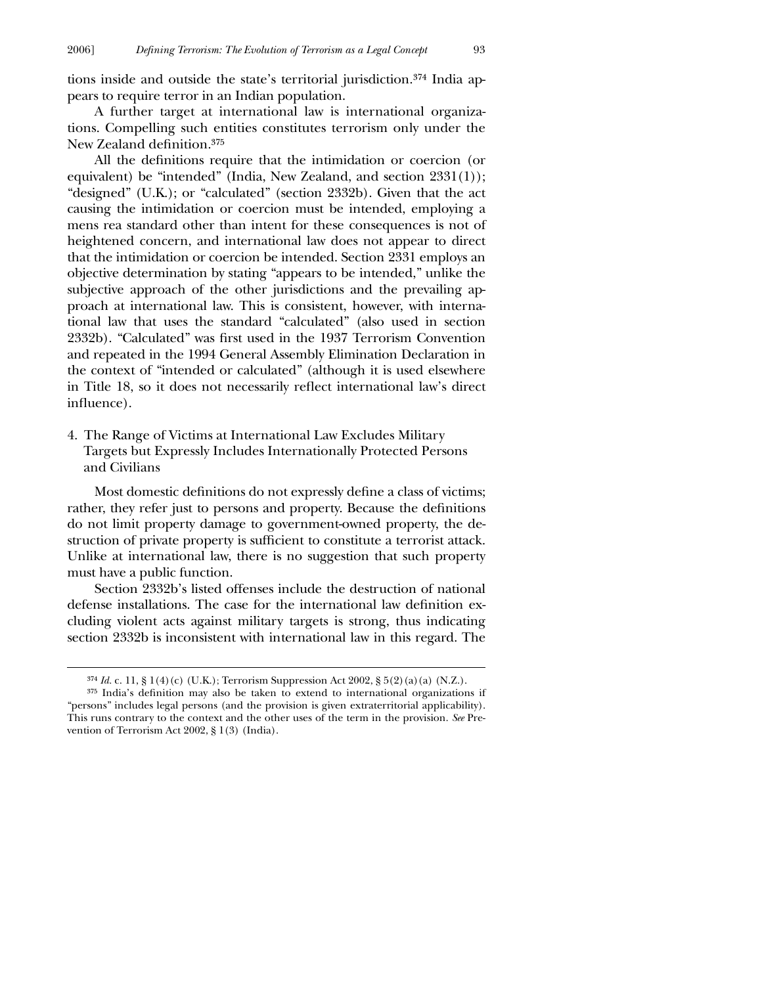tions inside and outside the state's territorial jurisdiction.374 India appears to require terror in an Indian population.

A further target at international law is international organizations. Compelling such entities constitutes terrorism only under the New Zealand definition.<sup>375</sup>

All the definitions require that the intimidation or coercion (or equivalent) be "intended" (India, New Zealand, and section 2331(1)); "designed" (U.K.); or "calculated" (section 2332b). Given that the act causing the intimidation or coercion must be intended, employing a mens rea standard other than intent for these consequences is not of heightened concern, and international law does not appear to direct that the intimidation or coercion be intended. Section 2331 employs an objective determination by stating "appears to be intended," unlike the subjective approach of the other jurisdictions and the prevailing approach at international law. This is consistent, however, with international law that uses the standard "calculated" (also used in section 2332b). "Calculated" was first used in the 1937 Terrorism Convention and repeated in the 1994 General Assembly Elimination Declaration in the context of "intended or calculated" (although it is used elsewhere in Title 18, so it does not necessarily reflect international law's direct influence).

4. The Range of Victims at International Law Excludes Military Targets but Expressly Includes Internationally Protected Persons and Civilians

Most domestic definitions do not expressly define a class of victims; rather, they refer just to persons and property. Because the definitions do not limit property damage to government-owned property, the destruction of private property is sufficient to constitute a terrorist attack. Unlike at international law, there is no suggestion that such property must have a public function.

Section 2332b's listed offenses include the destruction of national defense installations. The case for the international law definition excluding violent acts against military targets is strong, thus indicating section 2332b is inconsistent with international law in this regard. The

<sup>374</sup> *Id.* c. 11, § 1(4)(c) (U.K.); Terrorism Suppression Act 2002, § 5(2)(a)(a) (N.Z.).

 $375$  India's definition may also be taken to extend to international organizations if "persons" includes legal persons (and the provision is given extraterritorial applicability). This runs contrary to the context and the other uses of the term in the provision. *See* Prevention of Terrorism Act 2002, § 1(3) (India).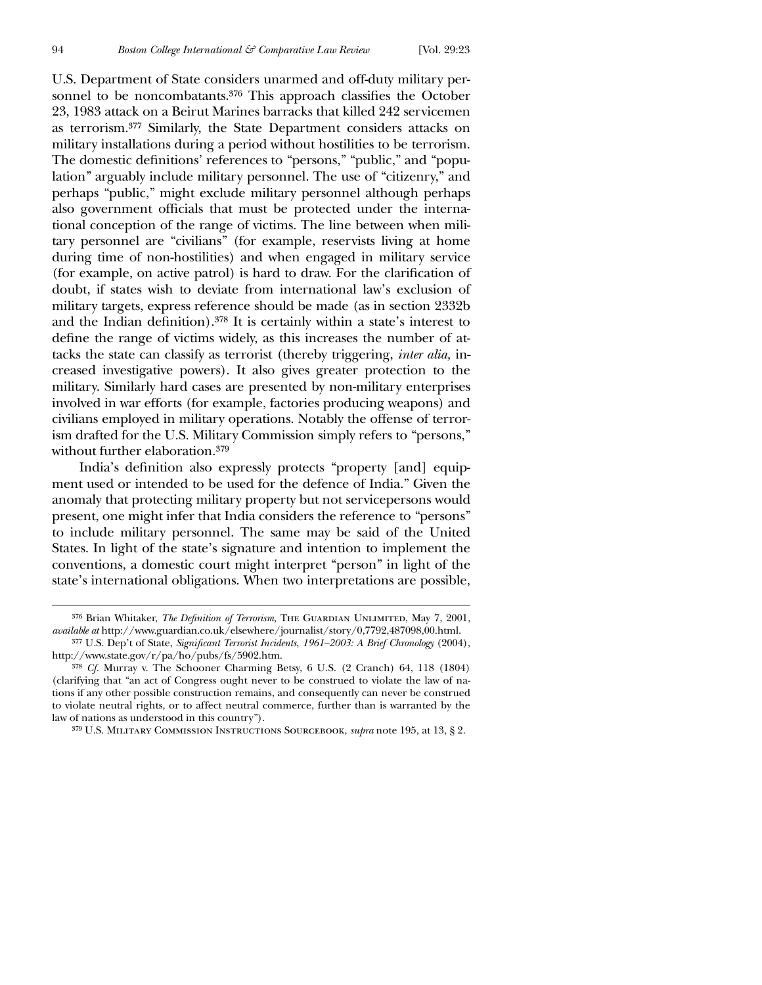$\overline{a}$ 

U.S. Department of State considers unarmed and off-duty military personnel to be noncombatants.<sup>376</sup> This approach classifies the October 23, 1983 attack on a Beirut Marines barracks that killed 242 servicemen as terrorism.377 Similarly, the State Department considers attacks on military installations during a period without hostilities to be terrorism. The domestic definitions' references to "persons," "public," and "population" arguably include military personnel. The use of "citizenry," and perhaps "public," might exclude military personnel although perhaps also government officials that must be protected under the international conception of the range of victims. The line between when military personnel are "civilians" (for example, reservists living at home during time of non-hostilities) and when engaged in military service (for example, on active patrol) is hard to draw. For the clarification of doubt, if states wish to deviate from international law's exclusion of military targets, express reference should be made (as in section 2332b and the Indian definition). $378$  It is certainly within a state's interest to define the range of victims widely, as this increases the number of attacks the state can classify as terrorist (thereby triggering, *inter alia,* increased investigative powers). It also gives greater protection to the military. Similarly hard cases are presented by non-military enterprises involved in war efforts (for example, factories producing weapons) and civilians employed in military operations. Notably the offense of terrorism drafted for the U.S. Military Commission simply refers to "persons," without further elaboration.379

India's definition also expressly protects "property [and] equipment used or intended to be used for the defence of India." Given the anomaly that protecting military property but not servicepersons would present, one might infer that India considers the reference to "persons" to include military personnel. The same may be said of the United States. In light of the state's signature and intention to implement the conventions, a domestic court might interpret "person" in light of the state's international obligations. When two interpretations are possible,

<sup>&</sup>lt;sup>376</sup> Brian Whitaker, *The Definition of Terrorism*, THE GUARDIAN UNLIMITED, May 7, 2001, *available at* http://www.guardian.co.uk/elsewhere/journalist/story/0,7792,487098,00.html.

<sup>&</sup>lt;sup>377</sup> U.S. Dep't of State, *Significant Terrorist Incidents*, 1961–2003: A Brief Chronology (2004), http://www.state.gov/r/pa/ho/pubs/fs/5902.htm.

<sup>378</sup> *Cf.* Murray v. The Schooner Charming Betsy, 6 U.S. (2 Cranch) 64, 118 (1804) (clarifying that "an act of Congress ought never to be construed to violate the law of nations if any other possible construction remains, and consequently can never be construed to violate neutral rights, or to affect neutral commerce, further than is warranted by the law of nations as understood in this country").

<sup>379</sup> U.S. Military Commission Instructions Sourcebook, *supra* note 195, at 13, § 2.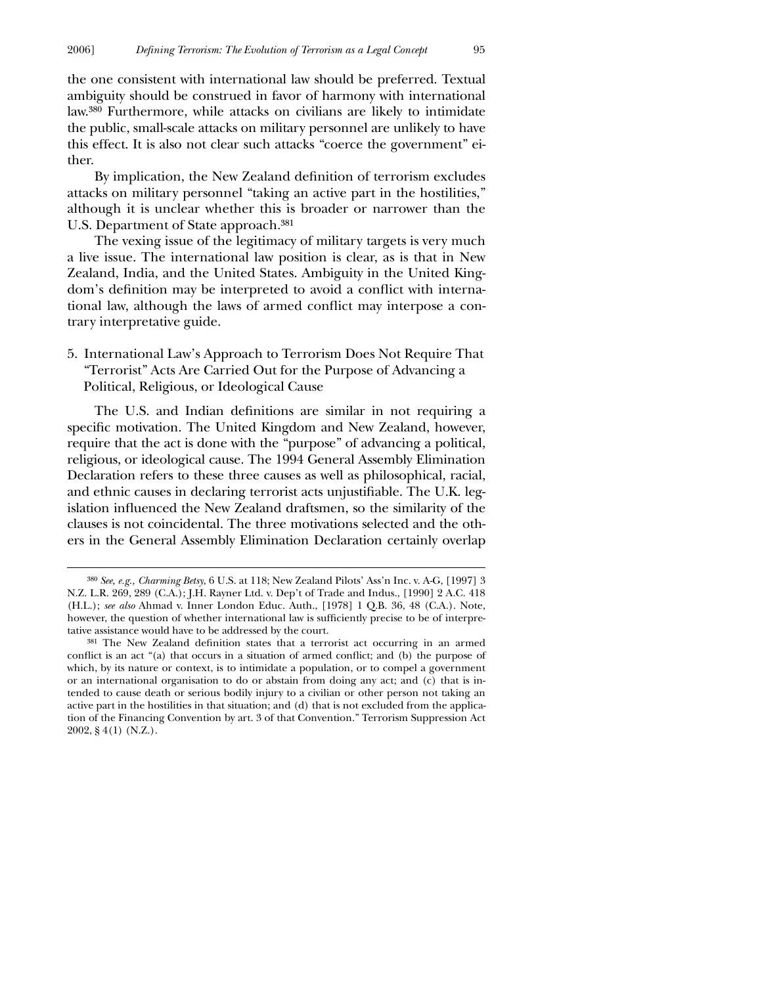the one consistent with international law should be preferred. Textual ambiguity should be construed in favor of harmony with international law.380 Furthermore, while attacks on civilians are likely to intimidate the public, small-scale attacks on military personnel are unlikely to have this effect. It is also not clear such attacks "coerce the government" either.

By implication, the New Zealand definition of terrorism excludes attacks on military personnel "taking an active part in the hostilities," although it is unclear whether this is broader or narrower than the U.S. Department of State approach.381

The vexing issue of the legitimacy of military targets is very much a live issue. The international law position is clear, as is that in New Zealand, India, and the United States. Ambiguity in the United Kingdom's definition may be interpreted to avoid a conflict with international law, although the laws of armed conflict may interpose a contrary interpretative guide.

5. International Law's Approach to Terrorism Does Not Require That "Terrorist" Acts Are Carried Out for the Purpose of Advancing a Political, Religious, or Ideological Cause

The U.S. and Indian definitions are similar in not requiring a specific motivation. The United Kingdom and New Zealand, however, require that the act is done with the "purpose" of advancing a political, religious, or ideological cause. The 1994 General Assembly Elimination Declaration refers to these three causes as well as philosophical, racial, and ethnic causes in declaring terrorist acts unjustifiable. The U.K. legislation influenced the New Zealand draftsmen, so the similarity of the clauses is not coincidental. The three motivations selected and the others in the General Assembly Elimination Declaration certainly overlap

 $\overline{a}$ 

<sup>380</sup> *See, e.g., Charming Betsy*, 6 U.S. at 118; New Zealand Pilots' Ass'n Inc. v. A-G, [1997] 3 N.Z. L.R. 269, 289 (C.A.); J.H. Rayner Ltd. v. Dep't of Trade and Indus., [1990] 2 A.C. 418 (H.L.); *see also* Ahmad v. Inner London Educ. Auth., [1978] 1 Q.B. 36, 48 (C.A.). Note, however, the question of whether international law is sufficiently precise to be of interpretative assistance would have to be addressed by the court.

<sup>381</sup> The New Zealand definition states that a terrorist act occurring in an armed conflict is an act "(a) that occurs in a situation of armed conflict; and (b) the purpose of which, by its nature or context, is to intimidate a population, or to compel a government or an international organisation to do or abstain from doing any act; and (c) that is intended to cause death or serious bodily injury to a civilian or other person not taking an active part in the hostilities in that situation; and (d) that is not excluded from the application of the Financing Convention by art. 3 of that Convention." Terrorism Suppression Act 2002, § 4(1) (N.Z.).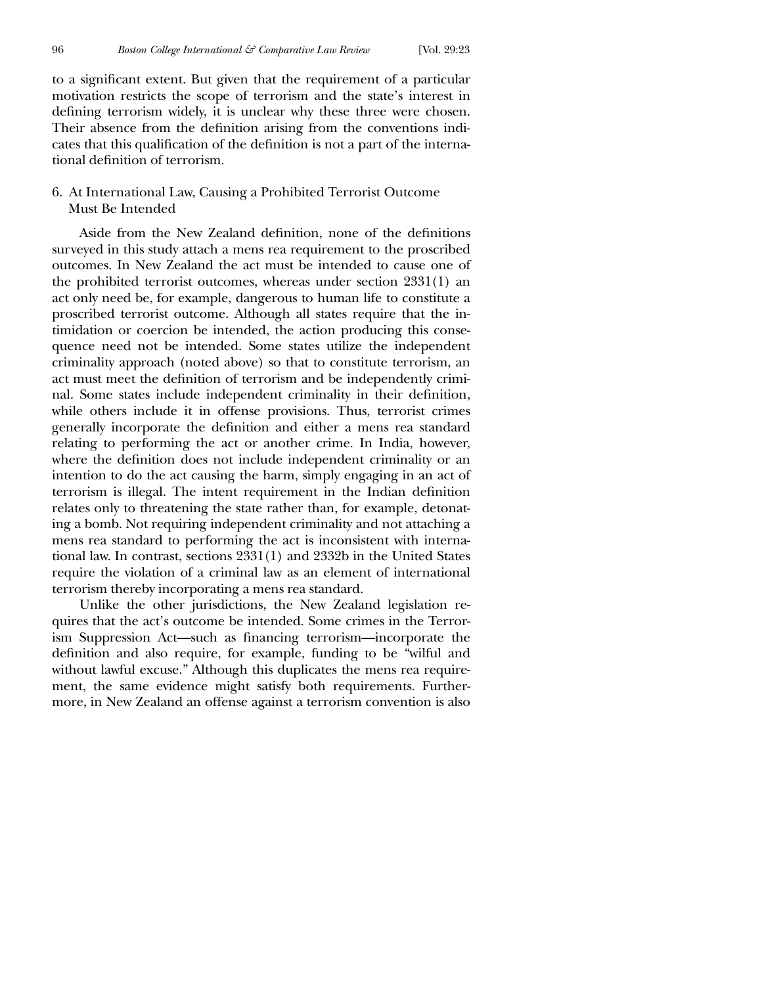to a significant extent. But given that the requirement of a particular motivation restricts the scope of terrorism and the state's interest in defining terrorism widely, it is unclear why these three were chosen. Their absence from the definition arising from the conventions indicates that this qualification of the definition is not a part of the international definition of terrorism.

## 6. At International Law, Causing a Prohibited Terrorist Outcome Must Be Intended

Aside from the New Zealand definition, none of the definitions surveyed in this study attach a mens rea requirement to the proscribed outcomes. In New Zealand the act must be intended to cause one of the prohibited terrorist outcomes, whereas under section 2331(1) an act only need be, for example, dangerous to human life to constitute a proscribed terrorist outcome. Although all states require that the intimidation or coercion be intended, the action producing this consequence need not be intended. Some states utilize the independent criminality approach (noted above) so that to constitute terrorism, an act must meet the definition of terrorism and be independently criminal. Some states include independent criminality in their definition, while others include it in offense provisions. Thus, terrorist crimes generally incorporate the definition and either a mens rea standard relating to performing the act or another crime. In India, however, where the definition does not include independent criminality or an intention to do the act causing the harm, simply engaging in an act of terrorism is illegal. The intent requirement in the Indian definition relates only to threatening the state rather than, for example, detonating a bomb. Not requiring independent criminality and not attaching a mens rea standard to performing the act is inconsistent with international law. In contrast, sections 2331(1) and 2332b in the United States require the violation of a criminal law as an element of international terrorism thereby incorporating a mens rea standard.

Unlike the other jurisdictions, the New Zealand legislation requires that the act's outcome be intended. Some crimes in the Terrorism Suppression Act—such as financing terrorism—incorporate the definition and also require, for example, funding to be "wilful and without lawful excuse." Although this duplicates the mens rea requirement, the same evidence might satisfy both requirements. Furthermore, in New Zealand an offense against a terrorism convention is also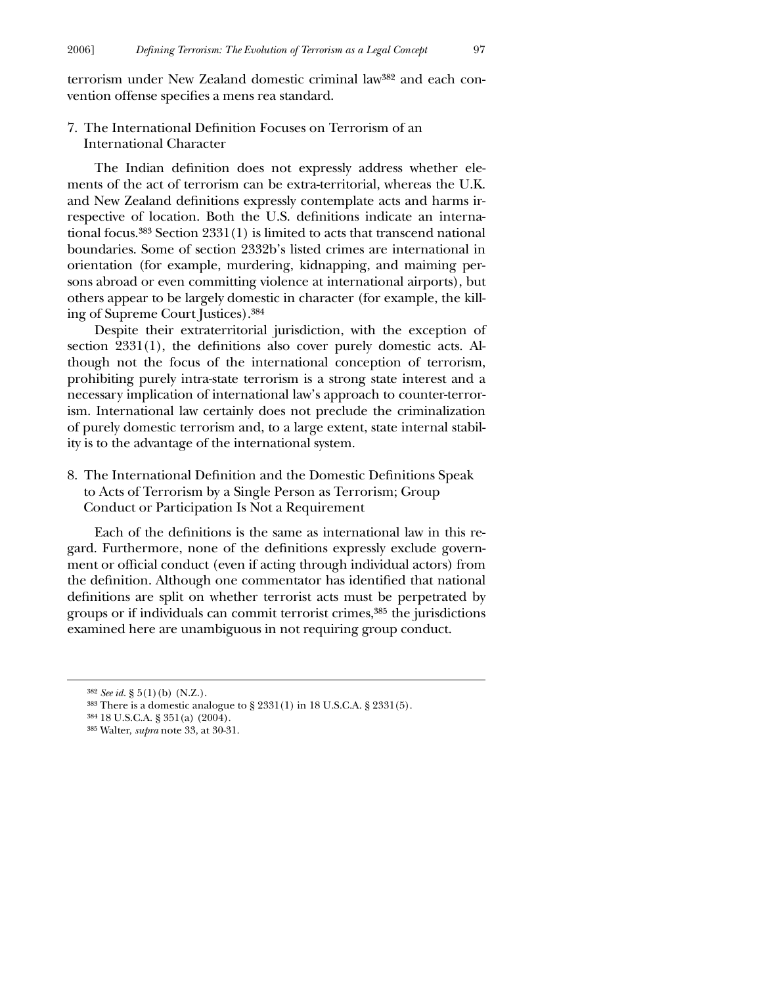terrorism under New Zealand domestic criminal law382 and each convention offense specifies a mens rea standard.

7. The International Definition Focuses on Terrorism of an International Character

The Indian definition does not expressly address whether elements of the act of terrorism can be extra-territorial, whereas the U.K. and New Zealand definitions expressly contemplate acts and harms irrespective of location. Both the U.S. definitions indicate an international focus.383 Section 2331(1) is limited to acts that transcend national boundaries. Some of section 2332b's listed crimes are international in orientation (for example, murdering, kidnapping, and maiming persons abroad or even committing violence at international airports), but others appear to be largely domestic in character (for example, the killing of Supreme Court Justices).384

Despite their extraterritorial jurisdiction, with the exception of section  $2331(1)$ , the definitions also cover purely domestic acts. Although not the focus of the international conception of terrorism, prohibiting purely intra-state terrorism is a strong state interest and a necessary implication of international law's approach to counter-terrorism. International law certainly does not preclude the criminalization of purely domestic terrorism and, to a large extent, state internal stability is to the advantage of the international system.

8. The International Definition and the Domestic Definitions Speak to Acts of Terrorism by a Single Person as Terrorism; Group Conduct or Participation Is Not a Requirement

Each of the definitions is the same as international law in this regard. Furthermore, none of the definitions expressly exclude government or official conduct (even if acting through individual actors) from the definition. Although one commentator has identified that national definitions are split on whether terrorist acts must be perpetrated by groups or if individuals can commit terrorist crimes,385 the jurisdictions examined here are unambiguous in not requiring group conduct.

 $\overline{a}$ 

<sup>382</sup> *See id.* § 5(1)(b) (N.Z.).

<sup>383</sup> There is a domestic analogue to § 2331(1) in 18 U.S.C.A. § 2331(5).

<sup>384</sup> 18 U.S.C.A. § 351(a) (2004).

<sup>385</sup> Walter, *supra* note 33, at 30-31.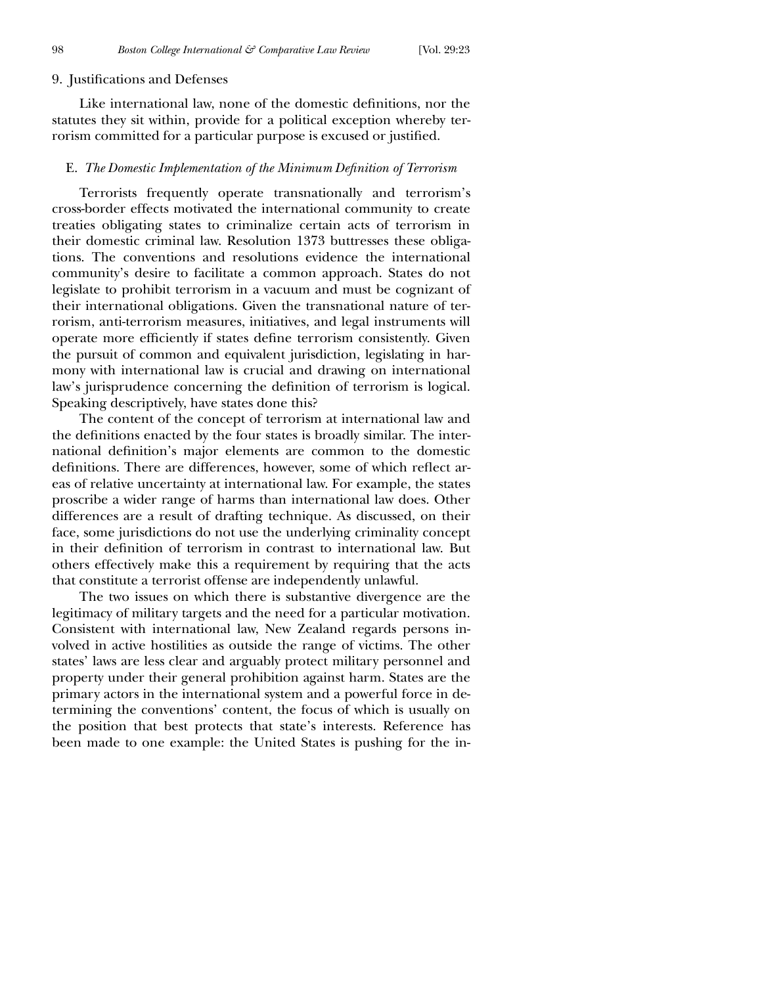## 9. Justifications and Defenses

Like international law, none of the domestic definitions, nor the statutes they sit within, provide for a political exception whereby terrorism committed for a particular purpose is excused or justified.

## E. The Domestic Implementation of the Minimum Definition of Terrorism

Terrorists frequently operate transnationally and terrorism's cross-border effects motivated the international community to create treaties obligating states to criminalize certain acts of terrorism in their domestic criminal law. Resolution 1373 buttresses these obligations. The conventions and resolutions evidence the international community's desire to facilitate a common approach. States do not legislate to prohibit terrorism in a vacuum and must be cognizant of their international obligations. Given the transnational nature of terrorism, anti-terrorism measures, initiatives, and legal instruments will operate more efficiently if states define terrorism consistently. Given the pursuit of common and equivalent jurisdiction, legislating in harmony with international law is crucial and drawing on international law's jurisprudence concerning the definition of terrorism is logical. Speaking descriptively, have states done this?

The content of the concept of terrorism at international law and the definitions enacted by the four states is broadly similar. The international definition's major elements are common to the domestic definitions. There are differences, however, some of which reflect areas of relative uncertainty at international law. For example, the states proscribe a wider range of harms than international law does. Other differences are a result of drafting technique. As discussed, on their face, some jurisdictions do not use the underlying criminality concept in their definition of terrorism in contrast to international law. But others effectively make this a requirement by requiring that the acts that constitute a terrorist offense are independently unlawful.

The two issues on which there is substantive divergence are the legitimacy of military targets and the need for a particular motivation. Consistent with international law, New Zealand regards persons involved in active hostilities as outside the range of victims. The other states' laws are less clear and arguably protect military personnel and property under their general prohibition against harm. States are the primary actors in the international system and a powerful force in determining the conventions' content, the focus of which is usually on the position that best protects that state's interests. Reference has been made to one example: the United States is pushing for the in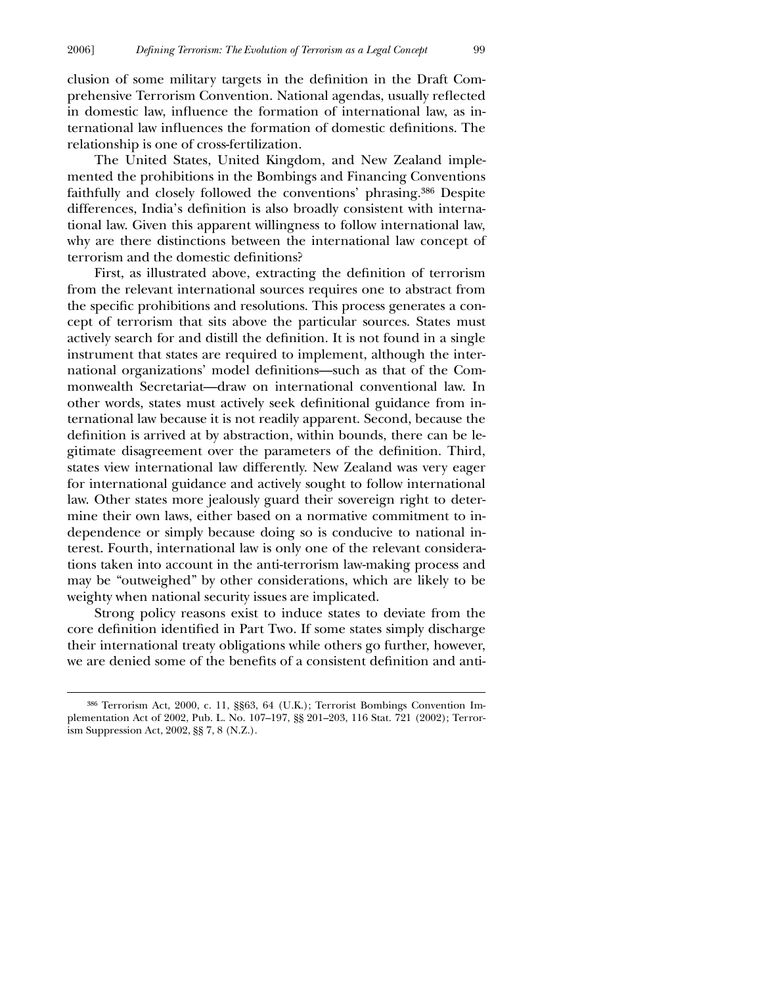clusion of some military targets in the definition in the Draft Comprehensive Terrorism Convention. National agendas, usually reflected in domestic law, influence the formation of international law, as international law influences the formation of domestic definitions. The relationship is one of cross-fertilization.

The United States, United Kingdom, and New Zealand implemented the prohibitions in the Bombings and Financing Conventions faithfully and closely followed the conventions' phrasing.386 Despite differences, India's definition is also broadly consistent with international law. Given this apparent willingness to follow international law, why are there distinctions between the international law concept of terrorism and the domestic definitions?

First, as illustrated above, extracting the definition of terrorism from the relevant international sources requires one to abstract from the specific prohibitions and resolutions. This process generates a concept of terrorism that sits above the particular sources. States must actively search for and distill the definition. It is not found in a single instrument that states are required to implement, although the international organizations' model definitions—such as that of the Commonwealth Secretariat—draw on international conventional law. In other words, states must actively seek definitional guidance from international law because it is not readily apparent. Second, because the definition is arrived at by abstraction, within bounds, there can be legitimate disagreement over the parameters of the definition. Third, states view international law differently. New Zealand was very eager for international guidance and actively sought to follow international law. Other states more jealously guard their sovereign right to determine their own laws, either based on a normative commitment to independence or simply because doing so is conducive to national interest. Fourth, international law is only one of the relevant considerations taken into account in the anti-terrorism law-making process and may be "outweighed" by other considerations, which are likely to be weighty when national security issues are implicated.

Strong policy reasons exist to induce states to deviate from the core definition identified in Part Two. If some states simply discharge their international treaty obligations while others go further, however, we are denied some of the benefits of a consistent definition and anti-

 $\overline{a}$ 

<sup>386</sup> Terrorism Act, 2000, c. 11, §§63, 64 (U.K.); Terrorist Bombings Convention Implementation Act of 2002, Pub. L. No. 107–197, §§ 201–203, 116 Stat. 721 (2002); Terrorism Suppression Act, 2002, §§ 7, 8 (N.Z.).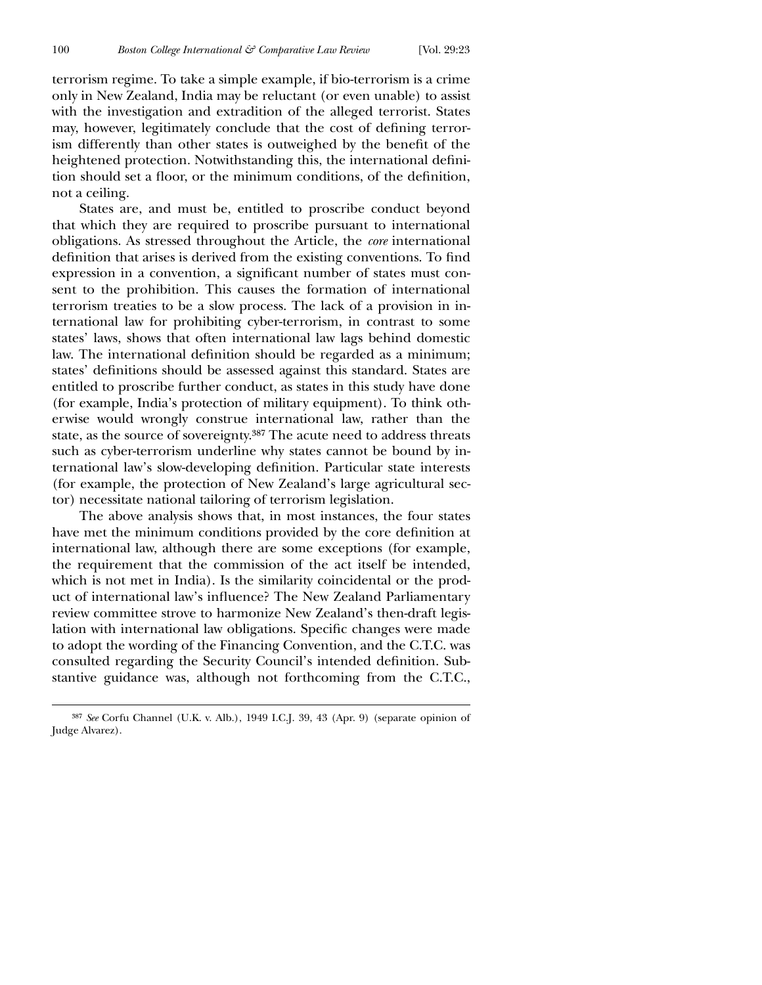$\overline{a}$ 

terrorism regime. To take a simple example, if bio-terrorism is a crime only in New Zealand, India may be reluctant (or even unable) to assist with the investigation and extradition of the alleged terrorist. States may, however, legitimately conclude that the cost of defining terrorism differently than other states is outweighed by the benefit of the heightened protection. Notwithstanding this, the international definition should set a floor, or the minimum conditions, of the definition, not a ceiling.

States are, and must be, entitled to proscribe conduct beyond that which they are required to proscribe pursuant to international obligations. As stressed throughout the Article, the *core* international definition that arises is derived from the existing conventions. To find expression in a convention, a significant number of states must consent to the prohibition. This causes the formation of international terrorism treaties to be a slow process. The lack of a provision in international law for prohibiting cyber-terrorism, in contrast to some states' laws, shows that often international law lags behind domestic law. The international definition should be regarded as a minimum; states' definitions should be assessed against this standard. States are entitled to proscribe further conduct, as states in this study have done (for example, India's protection of military equipment). To think otherwise would wrongly construe international law, rather than the state, as the source of sovereignty.387 The acute need to address threats such as cyber-terrorism underline why states cannot be bound by international law's slow-developing definition. Particular state interests (for example, the protection of New Zealand's large agricultural sector) necessitate national tailoring of terrorism legislation.

The above analysis shows that, in most instances, the four states have met the minimum conditions provided by the core definition at international law, although there are some exceptions (for example, the requirement that the commission of the act itself be intended, which is not met in India). Is the similarity coincidental or the product of international law's influence? The New Zealand Parliamentary review committee strove to harmonize New Zealand's then-draft legislation with international law obligations. Specific changes were made to adopt the wording of the Financing Convention, and the C.T.C. was consulted regarding the Security Council's intended definition. Substantive guidance was, although not forthcoming from the C.T.C.,

<sup>387</sup> *See* Corfu Channel (U.K. v. Alb.), 1949 I.C.J. 39, 43 (Apr. 9) (separate opinion of Judge Alvarez).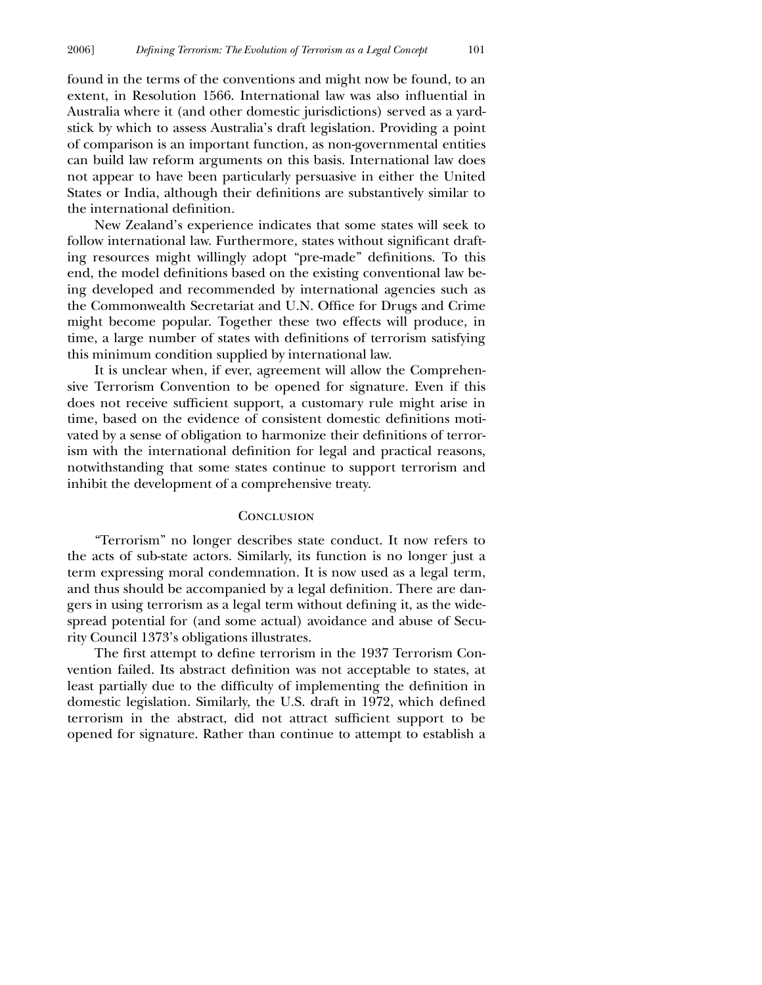found in the terms of the conventions and might now be found, to an extent, in Resolution 1566. International law was also influential in Australia where it (and other domestic jurisdictions) served as a yardstick by which to assess Australia's draft legislation. Providing a point of comparison is an important function, as non-governmental entities can build law reform arguments on this basis. International law does not appear to have been particularly persuasive in either the United States or India, although their definitions are substantively similar to the international definition.

New Zealand's experience indicates that some states will seek to follow international law. Furthermore, states without significant drafting resources might willingly adopt "pre-made" definitions. To this end, the model definitions based on the existing conventional law being developed and recommended by international agencies such as the Commonwealth Secretariat and U.N. Office for Drugs and Crime might become popular. Together these two effects will produce, in time, a large number of states with definitions of terrorism satisfying this minimum condition supplied by international law.

It is unclear when, if ever, agreement will allow the Comprehensive Terrorism Convention to be opened for signature. Even if this does not receive sufficient support, a customary rule might arise in time, based on the evidence of consistent domestic definitions motivated by a sense of obligation to harmonize their definitions of terrorism with the international definition for legal and practical reasons, notwithstanding that some states continue to support terrorism and inhibit the development of a comprehensive treaty.

## **CONCLUSION**

"Terrorism" no longer describes state conduct. It now refers to the acts of sub-state actors. Similarly, its function is no longer just a term expressing moral condemnation. It is now used as a legal term, and thus should be accompanied by a legal definition. There are dangers in using terrorism as a legal term without defining it, as the widespread potential for (and some actual) avoidance and abuse of Security Council 1373's obligations illustrates.

The first attempt to define terrorism in the 1937 Terrorism Convention failed. Its abstract definition was not acceptable to states, at least partially due to the difficulty of implementing the definition in domestic legislation. Similarly, the U.S. draft in 1972, which defined terrorism in the abstract, did not attract sufficient support to be opened for signature. Rather than continue to attempt to establish a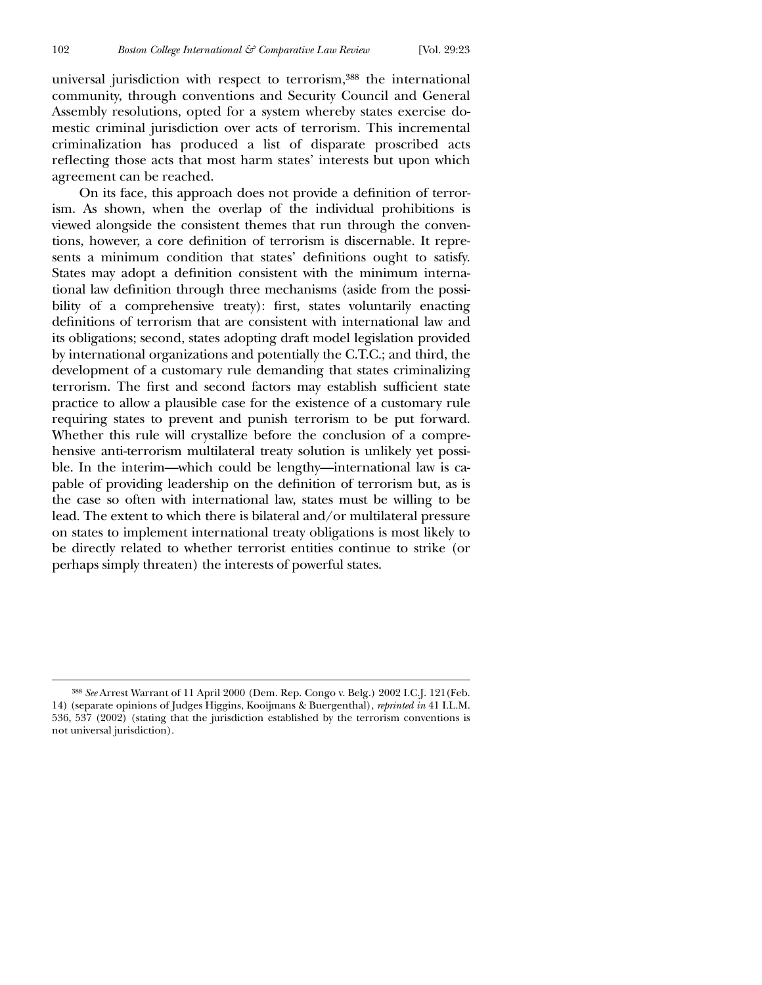$\overline{a}$ 

universal jurisdiction with respect to terrorism,388 the international community, through conventions and Security Council and General Assembly resolutions, opted for a system whereby states exercise domestic criminal jurisdiction over acts of terrorism. This incremental criminalization has produced a list of disparate proscribed acts reflecting those acts that most harm states' interests but upon which agreement can be reached.

On its face, this approach does not provide a definition of terrorism. As shown, when the overlap of the individual prohibitions is viewed alongside the consistent themes that run through the conventions, however, a core definition of terrorism is discernable. It represents a minimum condition that states' definitions ought to satisfy. States may adopt a definition consistent with the minimum international law definition through three mechanisms (aside from the possibility of a comprehensive treaty): first, states voluntarily enacting definitions of terrorism that are consistent with international law and its obligations; second, states adopting draft model legislation provided by international organizations and potentially the C.T.C.; and third, the development of a customary rule demanding that states criminalizing terrorism. The first and second factors may establish sufficient state practice to allow a plausible case for the existence of a customary rule requiring states to prevent and punish terrorism to be put forward. Whether this rule will crystallize before the conclusion of a comprehensive anti-terrorism multilateral treaty solution is unlikely yet possible. In the interim—which could be lengthy—international law is capable of providing leadership on the definition of terrorism but, as is the case so often with international law, states must be willing to be lead. The extent to which there is bilateral and/or multilateral pressure on states to implement international treaty obligations is most likely to be directly related to whether terrorist entities continue to strike (or perhaps simply threaten) the interests of powerful states.

<sup>388</sup> *See* Arrest Warrant of 11 April 2000 (Dem. Rep. Congo v. Belg.) 2002 I.C.J. 121(Feb. 14) (separate opinions of Judges Higgins, Kooijmans & Buergenthal), *reprinted in* 41 I.L.M. 536, 537 (2002) (stating that the jurisdiction established by the terrorism conventions is not universal jurisdiction).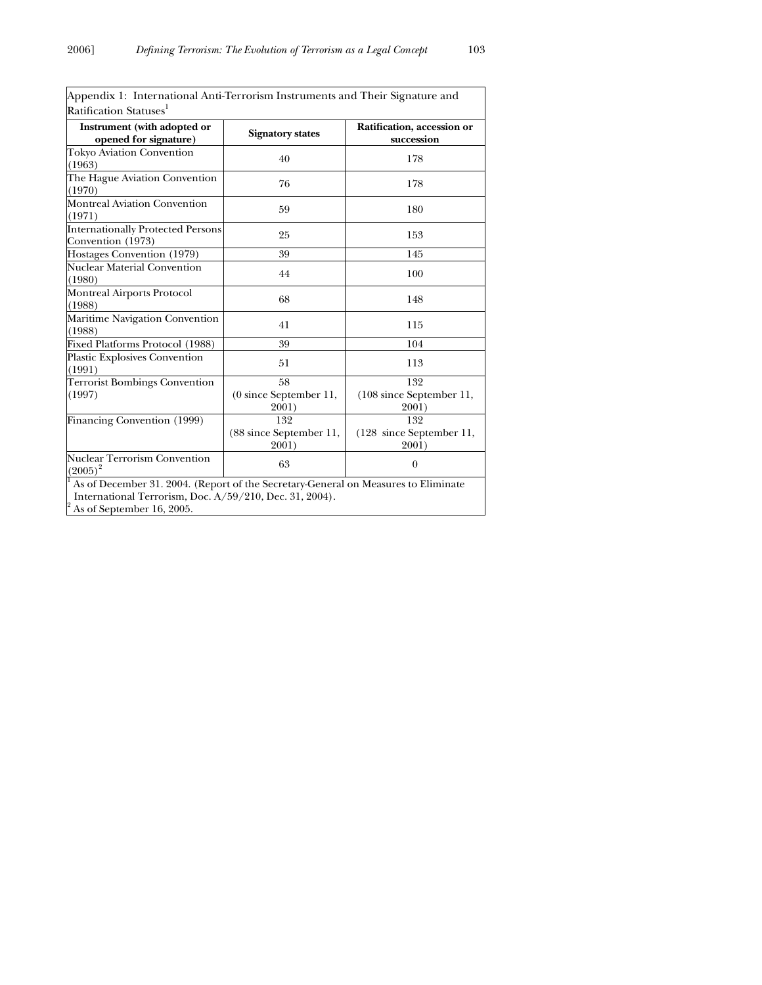| Ratification Statuses <sup>1</sup><br>Instrument (with adopted or |                                         |                                                     |
|-------------------------------------------------------------------|-----------------------------------------|-----------------------------------------------------|
|                                                                   |                                         |                                                     |
| opened for signature)                                             | <b>Signatory states</b>                 | Ratification, accession or<br>succession            |
| Tokyo Aviation Convention<br>(1963)                               | 40                                      | 178                                                 |
| The Hague Aviation Convention<br>(1970)                           | 76                                      | 178                                                 |
| Montreal Aviation Convention<br>(1971)                            | 59                                      | 180                                                 |
| <b>Internationally Protected Persons</b><br>Convention (1973)     | 25                                      | 153                                                 |
| Hostages Convention (1979)                                        | 39                                      | 145                                                 |
| Nuclear Material Convention<br>(1980)                             | 44                                      | 100                                                 |
| Montreal Airports Protocol<br>(1988)                              | 68                                      | 148                                                 |
| Maritime Navigation Convention<br>(1988)                          | 41                                      | 115                                                 |
| Fixed Platforms Protocol (1988)                                   | 39                                      | 104                                                 |
| Plastic Explosives Convention<br>(1991)                           | 51                                      | 113                                                 |
| <b>Terrorist Bombings Convention</b><br>(1997)                    | 58<br>(0 since September 11,<br>2001)   | 132<br>(108 since September 11,<br>2001)            |
| Financing Convention (1999)                                       | 132<br>(88 since September 11,<br>2001) | 132<br>$(128 \text{ since September } 11,$<br>2001) |
| <b>Nuclear Terrorism Convention</b><br>$(2005)^2$                 | 63                                      | $\theta$                                            |

| Appendix 1: International Anti-Terrorism Instruments and Their Signature and |  |
|------------------------------------------------------------------------------|--|
| Ratification Statuses <sup>1</sup>                                           |  |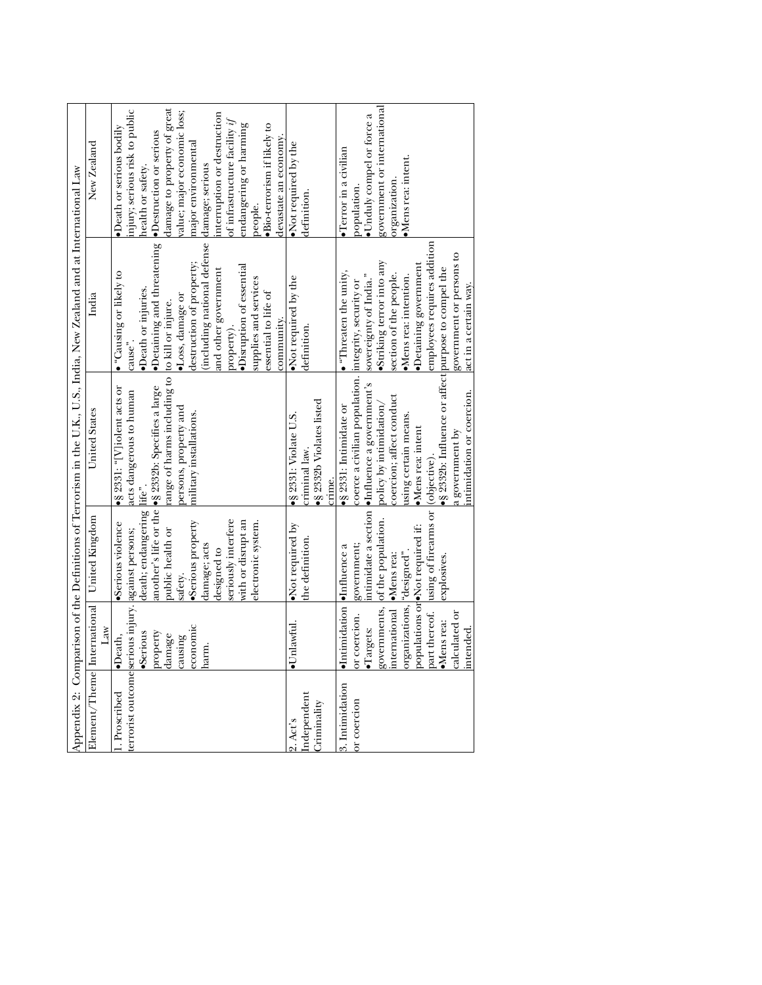|                                                                    |                                                                                                                                                                              |                                                                                                                                                                                                     |                                                                                                                                                                                                                                                                                                                                                    | Appendix 2: Comparison of the Definitions of Terrorism in the U.K., U.S., India, New Zealand and at International Law                                                                                                                                                                                 |                                                                                                                                                                                                                                                                                                                                                                                           |
|--------------------------------------------------------------------|------------------------------------------------------------------------------------------------------------------------------------------------------------------------------|-----------------------------------------------------------------------------------------------------------------------------------------------------------------------------------------------------|----------------------------------------------------------------------------------------------------------------------------------------------------------------------------------------------------------------------------------------------------------------------------------------------------------------------------------------------------|-------------------------------------------------------------------------------------------------------------------------------------------------------------------------------------------------------------------------------------------------------------------------------------------------------|-------------------------------------------------------------------------------------------------------------------------------------------------------------------------------------------------------------------------------------------------------------------------------------------------------------------------------------------------------------------------------------------|
|                                                                    | Law                                                                                                                                                                          | Element/Theme International United Kingdom                                                                                                                                                          | United States                                                                                                                                                                                                                                                                                                                                      | India                                                                                                                                                                                                                                                                                                 | New Zealand                                                                                                                                                                                                                                                                                                                                                                               |
| terrorist outcomeserious injury. against persons;<br>1. Proscribed | economic<br>property<br>·Serious<br>lamage<br>sursure<br>·Death,<br>harm.                                                                                                    | death; endangering life".<br>seriously interfere<br>with or disrupt an<br>·Serious property<br>Serious violence<br>electronic system.<br>public health or<br>damage; acts<br>designed to<br>safety. | range of harms including to to kill or injure.<br>another's life or the \$2332b: Specifies a large<br>$\bullet$ § 2331: "[V]iolent acts or<br>acts dangerous to human<br>persons, property and<br>military installations.                                                                                                                          | Detaining and threatening<br>(including national defense<br>destruction of property;<br>Disruption of essential<br>and other government<br>• "Causing or likely to<br>supplies and services<br>•Death or injuries.<br>essential to life of<br>·Loss, damage or<br>community.<br>property).<br>cause". | lamage to property of great<br>njury; serious risk to public<br>value; major economic loss;<br>interruption or destruction<br>of infrastructure facility $if$<br>endangering or harming<br>$\bullet$ Bio-terrorism if likely to<br>•Death or serious bodily<br>•Destruction or serious<br>devastate an economy.<br>major environmental<br>nealth or safety.<br>damage; serious<br>people. |
| Independent<br>Criminality<br>2. Act's                             | ·Unlawful.                                                                                                                                                                   | •Not required by<br>the definition.                                                                                                                                                                 | § 2332b Violates listed<br>$\bullet$ § 2331: Violate U.S.<br>criminal law.<br>crime.                                                                                                                                                                                                                                                               | Not required by the<br>definition.                                                                                                                                                                                                                                                                    | Not required by the<br>definition.                                                                                                                                                                                                                                                                                                                                                        |
| 3. Intimidation<br>or coercion                                     | ·Intimidation lufluence a<br>organizations, "designed".<br>international Mens rea:<br>part thereof.<br>or coercion.<br>calculated or<br>·Mens rea:<br>·Targets:<br>intended. | using of firearms or (objective).<br>governments, of the population.<br>populations or<br><b>•Not</b> required if:<br>government;<br>explosives.                                                    | ·§ 2332b: Influence or affect purpose to compel the<br>coerce a civilian population. Integrity, security or<br>intimidate a section <b>•</b> Influence a government's<br>ntimidation or coercion.<br>coercion; affect conduct<br>policy by intimidation/<br>S 2331: Intimidate or<br>using certain means.<br>$Mens$ rea: intent<br>a government by | employees requires addition<br>government or persons to<br>Striking terror into any<br>Detaining government<br>$\bullet$ "Threaten the unity,<br>section of the people.<br>sovereignty of India."<br>$Mens$ rea: intention.<br>act <u>in a certain way</u> .                                          | government or international<br>Unduly compel or force a<br>$\bullet$ Terror in a civilian<br>$\bullet$ Mens rea: intent.<br>organization.<br>population.                                                                                                                                                                                                                                  |